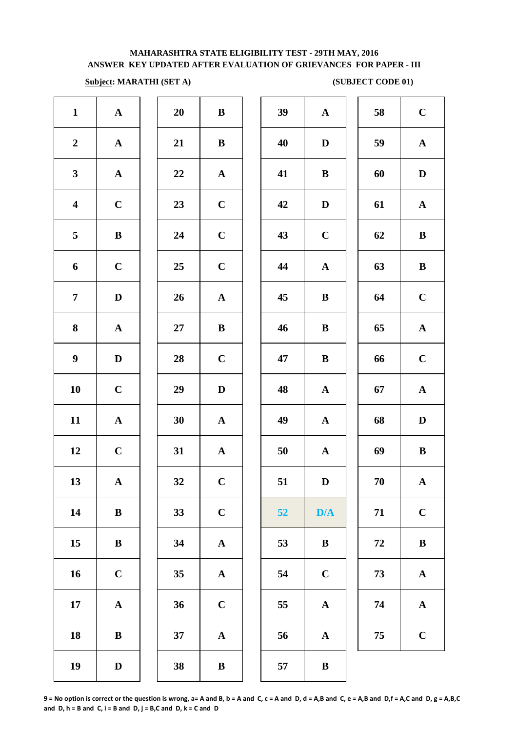# **Subject: MARATHI (SET A)** (SUBJECT CODE 01)

| $\mathbf A$  | 39     | $\, {\bf B}$          | 20 | $\boldsymbol{\rm{A}}$ | $\mathbf{1}$            |
|--------------|--------|-----------------------|----|-----------------------|-------------------------|
| $\mathbf{D}$ | 40     | $\, {\bf B}$          | 21 | ${\bf A}$             | $\boldsymbol{2}$        |
| $\bf{B}$     | 41     | ${\bf A}$             | 22 | ${\bf A}$             | $\mathbf{3}$            |
| $\mathbf{D}$ | 42     | $\mathbf C$           | 23 | $\mathbf C$           | $\overline{\mathbf{4}}$ |
| $\mathbf C$  | 43     | $\mathbf C$           | 24 | $\bf{B}$              | 5                       |
| $\mathbf A$  | 44     | $\mathbf C$           | 25 | $\mathbf C$           | 6                       |
| $\bf{B}$     | 45     | ${\bf A}$             | 26 | $\mathbf D$           | $\overline{7}$          |
| $\bf{B}$     | 46     | $\bf{B}$              | 27 | $\mathbf A$           | 8                       |
| $\bf{B}$     | 47     | $\mathbf C$           | 28 | $\mathbf D$           | $\boldsymbol{9}$        |
| $\mathbf A$  | 48     | $\mathbf D$           | 29 | $\mathbf C$           | 10                      |
| $\mathbf A$  | 49     | $\boldsymbol{\rm{A}}$ | 30 | $\boldsymbol{\rm{A}}$ | 11                      |
| $\mathbf A$  | $50\,$ | $\boldsymbol{\rm{A}}$ | 31 | $\mathbf C$           | 12                      |
| $\mathbf D$  | 51     | $\mathbf C$           | 32 | ${\bf A}$             | 13                      |
| D/           | 52     | $\mathbf C$           | 33 | $\, {\bf B}$          | 14                      |
| $\bf{B}$     | 53     | $\boldsymbol{\rm{A}}$ | 34 | $\, {\bf B}$          | $15\,$                  |
| $\mathbf C$  | 54     | $\boldsymbol{\rm{A}}$ | 35 | $\mathbf C$           | 16                      |
| $\mathbf A$  | 55     | $\mathbf C$           | 36 | ${\bf A}$             | 17                      |
| $\mathbf A$  | 56     | $\boldsymbol{\rm{A}}$ | 37 | $\bf{B}$              | 18                      |
| $\bf{B}$     | 57     | $\, {\bf B}$          | 38 | $\mathbf D$           | 19                      |
|              |        |                       |    |                       |                         |

| 20 | $\bf{B}$                |  |
|----|-------------------------|--|
| 21 | B                       |  |
| 22 | $\mathbf{A}$            |  |
| 23 | $\mathbf C$             |  |
| 24 | $\mathbf C$             |  |
| 25 | $\mathbf C$             |  |
| 26 | $\mathbf{A}$            |  |
| 27 | B                       |  |
| 28 | $\mathbf C$             |  |
| 29 | D                       |  |
| 30 | $\mathbf A$             |  |
| 31 | $\mathbf{A}$            |  |
| 32 | $\mathbf C$             |  |
| 33 | $\mathbf C$             |  |
| 34 | $\mathbf{A}$            |  |
| 35 | $\overline{\mathbf{A}}$ |  |
| 36 | $\mathbf C$             |  |
| 37 | $\overline{\mathbf{A}}$ |  |
|    |                         |  |

| $\mathbf{1}$            | ${\bf A}$    | 20     | $\bf{B}$     | 39 | ${\bf A}$    | 58 | $\mathbf C$  |
|-------------------------|--------------|--------|--------------|----|--------------|----|--------------|
| $\overline{2}$          | ${\bf A}$    | 21     | $\bf{B}$     | 40 | D            | 59 | ${\bf A}$    |
| 3                       | ${\bf A}$    | 22     | $\mathbf{A}$ | 41 | $\bf{B}$     | 60 | $\mathbf D$  |
| $\overline{\mathbf{4}}$ | $\mathbf C$  | 23     | $\mathbf C$  | 42 | $\mathbf D$  | 61 | $\mathbf{A}$ |
| $\overline{5}$          | ${\bf B}$    | 24     | $\mathbf C$  | 43 | $\mathbf C$  | 62 | $\, {\bf B}$ |
| 6                       | $\mathbf C$  | 25     | $\mathbf C$  | 44 | ${\bf A}$    | 63 | $\bf{B}$     |
| $\overline{7}$          | $\mathbf D$  | 26     | ${\bf A}$    | 45 | $\bf{B}$     | 64 | $\mathbf C$  |
| $\boldsymbol{8}$        | ${\bf A}$    | $27\,$ | $\bf{B}$     | 46 | $\bf{B}$     | 65 | ${\bf A}$    |
| $\boldsymbol{9}$        | D            | 28     | $\mathbf C$  | 47 | $\bf{B}$     | 66 | $\mathbf C$  |
| 10                      | $\mathbf C$  | 29     | $\mathbf D$  | 48 | $\mathbf{A}$ | 67 | ${\bf A}$    |
| 11                      | $\mathbf{A}$ | 30     | $\mathbf{A}$ | 49 | ${\bf A}$    | 68 | $\mathbf D$  |
| 12                      | $\mathbf C$  | 31     | $\mathbf{A}$ | 50 | $\mathbf{A}$ | 69 | $\, {\bf B}$ |
| 13                      | $\mathbf{A}$ | 32     | $\mathbf C$  | 51 | D            | 70 | $\mathbf{A}$ |
| 14                      | $\bf{B}$     | 33     | $\mathbf C$  | 52 | D/A          | 71 | $\mathbf C$  |
| 15                      | $\, {\bf B}$ | 34     | $\mathbf{A}$ | 53 | $\bf{B}$     | 72 | $\, {\bf B}$ |
| 16                      | $\mathbf C$  | 35     | ${\bf A}$    | 54 | $\mathbf C$  | 73 | ${\bf A}$    |
| 17                      | $\mathbf A$  | 36     | $\mathbf C$  | 55 | $\mathbf A$  | 74 | $\mathbf A$  |
| 18                      | $\, {\bf B}$ | 37     | ${\bf A}$    | 56 | ${\bf A}$    | 75 | $\mathbf C$  |
| 19                      | $\mathbf D$  | 38     | $\, {\bf B}$ | 57 | $\, {\bf B}$ |    |              |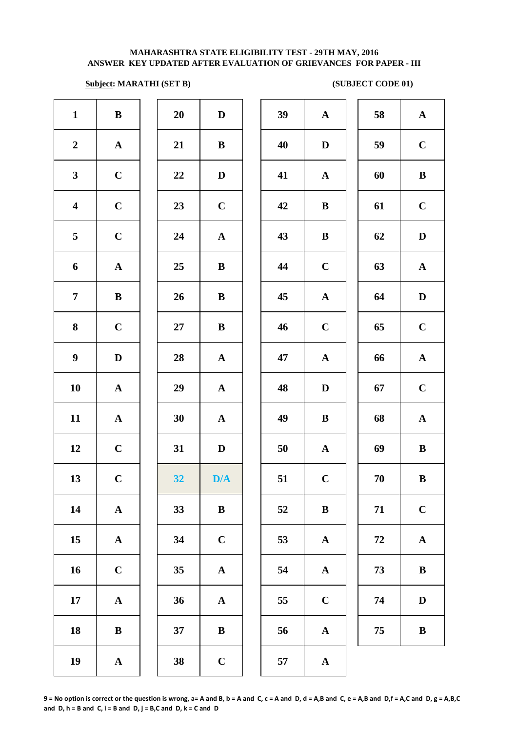## **Subject: MARATHI (SET B)** (SUBJECT CODE 01)

| $\mathbf{1}$            | $\bf{B}$    | 20     | $\mathbf{D}$            | 39 | ${\bf A}$    | 58         | $\mathbf A$  |
|-------------------------|-------------|--------|-------------------------|----|--------------|------------|--------------|
| $\boldsymbol{2}$        | ${\bf A}$   | 21     | $\bf{B}$                | 40 | $\mathbf D$  | 59         | $\mathbf C$  |
| $\mathbf{3}$            | $\mathbf C$ | $22\,$ | $\mathbf D$             | 41 | ${\bf A}$    | 60         | $\bf{B}$     |
| $\overline{\mathbf{4}}$ | $\mathbf C$ | 23     | $\mathbf C$             | 42 | $\bf{B}$     | 61         | $\mathbf C$  |
| 5                       | $\mathbf C$ | 24     | ${\bf A}$               | 43 | $\bf{B}$     | 62         | $\mathbf{D}$ |
| 6                       | ${\bf A}$   | 25     | $\bf{B}$                | 44 | $\mathbf C$  | 63         | $\mathbf A$  |
| $\overline{7}$          | $\bf{B}$    | 26     | $\mathbf{B}$            | 45 | ${\bf A}$    | 64         | $\mathbf{D}$ |
| 8                       | $\mathbf C$ | $27\,$ | $\mathbf{B}$            | 46 | $\mathbf C$  | 65         | $\mathbf C$  |
| $\boldsymbol{9}$        | $\mathbf D$ | 28     | ${\bf A}$               | 47 | ${\bf A}$    | 66         | $\mathbf A$  |
| 10                      | ${\bf A}$   | 29     | ${\bf A}$               | 48 | $\mathbf D$  | 67         | $\mathbf C$  |
| 11                      | ${\bf A}$   | 30     | ${\bf A}$               | 49 | $\bf{B}$     | 68         | $\mathbf A$  |
| 12                      | $\mathbf C$ | 31     | $\mathbf D$             | 50 | $\mathbf{A}$ | 69         | $\bf{B}$     |
| 13                      | $\mathbf C$ | 32     | $\mathbf{D}/\mathbf{A}$ | 51 | $\mathbf C$  | 70         | $\bf{B}$     |
| 14                      | ${\bf A}$   | 33     | $\bf{B}$                | 52 | $\bf{B}$     | 71         | $\mathbf C$  |
| 15                      | ${\bf A}$   | 34     | $\mathbf C$             | 53 | ${\bf A}$    | ${\bf 72}$ | $\mathbf A$  |
| 16                      | $\mathbf C$ | 35     | ${\bf A}$               | 54 | $\mathbf{A}$ | 73         | $\bf{B}$     |
| 17                      | ${\bf A}$   | 36     | ${\bf A}$               | 55 | $\mathbf C$  | 74         | $\mathbf{D}$ |
| 18                      | $\bf{B}$    | 37     | $\bf{B}$                | 56 | $\mathbf A$  | 75         | $\bf{B}$     |
| 19                      | ${\bf A}$   | 38     | $\mathbf C$             | 57 | $\mathbf{A}$ |            |              |
|                         |             |        |                         |    |              |            |              |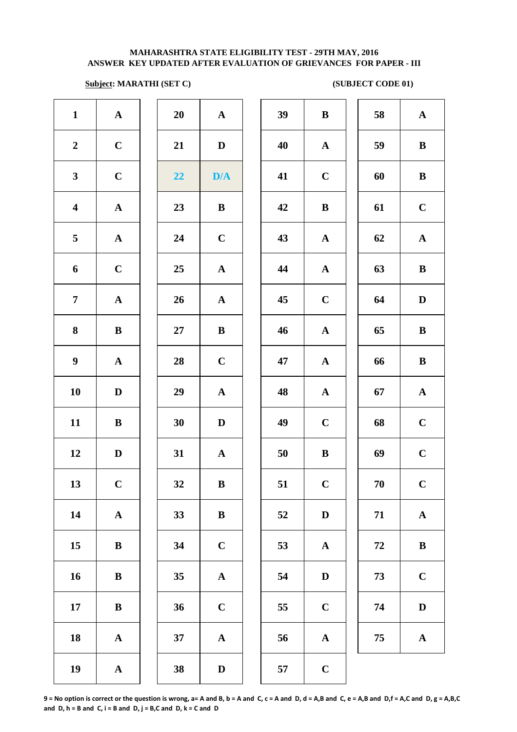# **Subject: MARATHI (SET C)** (SUBJECT CODE 01)

| $\mathbf{1}$            | ${\bf A}$             | 20     | $\mathbf A$           | 39 | $\bf{B}$     |
|-------------------------|-----------------------|--------|-----------------------|----|--------------|
| $\boldsymbol{2}$        | $\mathbf C$           | 21     | $\mathbf D$           | 40 | $\mathbf A$  |
| $\mathbf{3}$            | $\mathbf C$           | 22     | D/A                   | 41 | $\mathbf C$  |
| $\overline{\mathbf{4}}$ | ${\bf A}$             | 23     | $\bf{B}$              | 42 | $\bf{B}$     |
| $\overline{\mathbf{5}}$ | ${\bf A}$             | 24     | $\mathbf C$           | 43 | $\mathbf A$  |
| 6                       | $\mathbf C$           | 25     | ${\bf A}$             | 44 | $\mathbf A$  |
| $\overline{7}$          | $\boldsymbol{\rm{A}}$ | 26     | $\mathbf A$           | 45 | $\mathbf C$  |
| $\bf{8}$                | $\, {\bf B}$          | $27\,$ | $\, {\bf B}$          | 46 | $\mathbf{A}$ |
| $\boldsymbol{9}$        | $\mathbf A$           | 28     | $\mathbf C$           | 47 | $\mathbf{A}$ |
| ${\bf 10}$              | $\mathbf D$           | 29     | $\boldsymbol{\rm{A}}$ | 48 | $\mathbf{A}$ |
| 11                      | $\, {\bf B}$          | 30     | $\mathbf D$           | 49 | $\mathbf C$  |
| 12                      | $\mathbf D$           | 31     | $\mathbf A$           | 50 | $\bf{B}$     |
| 13                      | $\mathbf C$           | 32     | ${\bf B}$             | 51 | $\mathbf C$  |
| 14                      | $\boldsymbol{\rm{A}}$ | 33     | $\bf{B}$              | 52 | $\mathbf{D}$ |
| 15                      | ${\bf B}$             | 34     | $\mathbf C$           | 53 | $\mathbf A$  |
| 16                      | $\bf{B}$              | 35     | $\boldsymbol{\rm{A}}$ | 54 | $\mathbf{D}$ |
| 17                      | $\, {\bf B}$          | 36     | $\mathbf C$           | 55 | $\mathbf C$  |
| 18                      | $\mathbf A$           | 37     | $\mathbf A$           | 56 | $\mathbf A$  |
| 19                      | $\boldsymbol{\rm{A}}$ | 38     | $\mathbf{D}%$         | 57 | $\mathbf C$  |
|                         |                       |        |                       |    |              |

| 20 | $\overline{\mathbf{A}}$ |  |
|----|-------------------------|--|
| 21 | D                       |  |
| 22 | D/A                     |  |
| 23 | B                       |  |
| 24 | $\mathbf C$             |  |
| 25 | $\mathbf A$             |  |
| 26 | $\mathbf A$             |  |
| 27 | B                       |  |
| 28 | $\mathbf C$             |  |
| 29 | $\mathbf A$             |  |
| 30 | D                       |  |
| 31 | $\mathbf{A}$            |  |
| 32 | B                       |  |
| 33 | B                       |  |
| 34 | $\mathbf C$             |  |
| 35 | A                       |  |
| 36 | $\mathbf C$             |  |
| 37 | A                       |  |
|    |                         |  |

| $\mathbf{1}$            | ${\bf A}$    | 20         | ${\bf A}$               | 39 | $\bf{B}$     | 58     | $\mathbf{A}$ |
|-------------------------|--------------|------------|-------------------------|----|--------------|--------|--------------|
| $\overline{2}$          | $\mathbf C$  | 21         | $\mathbf{D}$            | 40 | ${\bf A}$    | 59     | $\, {\bf B}$ |
| $\mathbf{3}$            | $\mathbf C$  | 22         | $\mathbf{D}/\mathbf{A}$ | 41 | $\mathbf C$  | 60     | $\bf{B}$     |
| $\overline{\mathbf{4}}$ | ${\bf A}$    | 23         | $\, {\bf B}$            | 42 | $\, {\bf B}$ | 61     | $\bf C$      |
| $\overline{5}$          | ${\bf A}$    | 24         | $\mathbf C$             | 43 | $\mathbf{A}$ | 62     | ${\bf A}$    |
| 6                       | $\mathbf C$  | 25         | ${\bf A}$               | 44 | ${\bf A}$    | 63     | $\, {\bf B}$ |
| $\overline{7}$          | ${\bf A}$    | 26         | ${\bf A}$               | 45 | $\mathbf C$  | 64     | $\mathbf D$  |
| 8                       | $\, {\bf B}$ | $27\,$     | $\bf{B}$                | 46 | ${\bf A}$    | 65     | $\, {\bf B}$ |
| $\boldsymbol{9}$        | ${\bf A}$    | ${\bf 28}$ | $\mathbf C$             | 47 | ${\bf A}$    | 66     | $\, {\bf B}$ |
| 10                      | $\mathbf D$  | 29         | ${\bf A}$               | 48 | ${\bf A}$    | 67     | ${\bf A}$    |
| 11                      | $\bf{B}$     | 30         | $\mathbf D$             | 49 | $\mathbf C$  | 68     | $\mathbf C$  |
| 12                      | $\mathbf D$  | 31         | $\mathbf{A}$            | 50 | $\bf{B}$     | 69     | $\mathbf C$  |
| 13                      | $\mathbf C$  | 32         | ${\bf B}$               | 51 | $\mathbf C$  | $70\,$ | $\mathbf C$  |
| 14                      | ${\bf A}$    | 33         | $\, {\bf B}$            | 52 | $\mathbf D$  | 71     | $\mathbf A$  |
| 15                      | $\bf{B}$     | 34         | $\mathbf C$             | 53 | ${\bf A}$    | 72     | $\, {\bf B}$ |
| 16                      | ${\bf B}$    | 35         | ${\bf A}$               | 54 | $\mathbf D$  | 73     | $\mathbf C$  |
| 17                      | $\bf{B}$     | 36         | $\mathbf C$             | 55 | $\mathbf C$  | 74     | $\mathbf D$  |
| 18                      | ${\bf A}$    | 37         | ${\bf A}$               | 56 | ${\bf A}$    | 75     | ${\bf A}$    |
|                         |              |            |                         |    |              |        |              |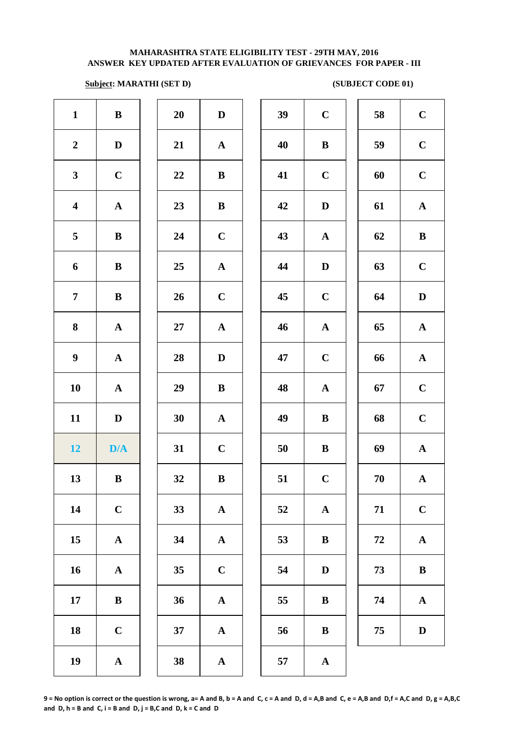## **Subject: MARATHI (SET D)** (SUBJECT CODE 01)

| $\mathbf{1}$            | $\bf{B}$     | 20     | $\mathbf D$  | 39 | $\bf C$      | 58         | $\mathbf C$  |
|-------------------------|--------------|--------|--------------|----|--------------|------------|--------------|
| $\boldsymbol{2}$        | $\mathbf D$  | 21     | ${\bf A}$    | 40 | $\bf{B}$     | 59         | $\mathbf C$  |
| $\mathbf{3}$            | $\mathbf C$  | 22     | $\bf{B}$     | 41 | $\mathbf C$  | 60         | $\mathbf C$  |
| $\overline{\mathbf{4}}$ | ${\bf A}$    | 23     | $\bf{B}$     | 42 | $\mathbf D$  | 61         | $\mathbf A$  |
| $5\phantom{.0}$         | $\bf{B}$     | 24     | $\mathbf C$  | 43 | ${\bf A}$    | 62         | $\bf{B}$     |
| $\boldsymbol{6}$        | $\mathbf{B}$ | 25     | ${\bf A}$    | 44 | $\mathbf D$  | 63         | $\mathbf C$  |
| $\overline{7}$          | ${\bf B}$    | 26     | $\mathbf C$  | 45 | $\mathbf C$  | 64         | D            |
| $\bf{8}$                | ${\bf A}$    | $27\,$ | ${\bf A}$    | 46 | ${\bf A}$    | 65         | $\mathbf A$  |
| $\boldsymbol{9}$        | ${\bf A}$    | 28     | $\mathbf D$  | 47 | $\mathbf C$  | 66         | $\mathbf A$  |
| 10                      | ${\bf A}$    | 29     | $\bf{B}$     | 48 | $\mathbf{A}$ | 67         | $\mathbf C$  |
| 11                      | $\mathbf D$  | 30     | ${\bf A}$    | 49 | $\bf{B}$     | 68         | $\mathbf C$  |
| 12                      | D/A          | 31     | $\mathbf C$  | 50 | $\, {\bf B}$ | 69         | $\mathbf A$  |
| 13                      | $\mathbf{B}$ | 32     | $\, {\bf B}$ | 51 | $\mathbf C$  | ${\bf 70}$ | $\mathbf A$  |
| 14                      | $\mathbf C$  | 33     | ${\bf A}$    | 52 | $\mathbf A$  | 71         | $\mathbf C$  |
| 15                      | ${\bf A}$    | 34     | $\mathbf{A}$ | 53 | $\bf{B}$     | ${\bf 72}$ | $\mathbf A$  |
| 16                      | ${\bf A}$    | 35     | $\mathbf C$  | 54 | $\mathbf D$  | 73         | $\bf{B}$     |
| 17                      | $\bf{B}$     | 36     | $\mathbf{A}$ | 55 | $\bf{B}$     | 74         | $\mathbf A$  |
| 18                      | $\bf C$      | 37     | ${\bf A}$    | 56 | $\, {\bf B}$ | 75         | $\mathbf{D}$ |
| 19                      | ${\bf A}$    | 38     | ${\bf A}$    | 57 | ${\bf A}$    |            |              |
|                         |              |        |              |    |              |            |              |

**9 = No option is correct or the question is wrong, a= A and B, b = A and C, c = A and D, d = A,B and C, e = A,B and D,f = A,C and D, g = A,B,C**  and  $D, h = B$  and  $C, i = B$  and  $D, j = B, C$  and  $D, k = C$  and  $D$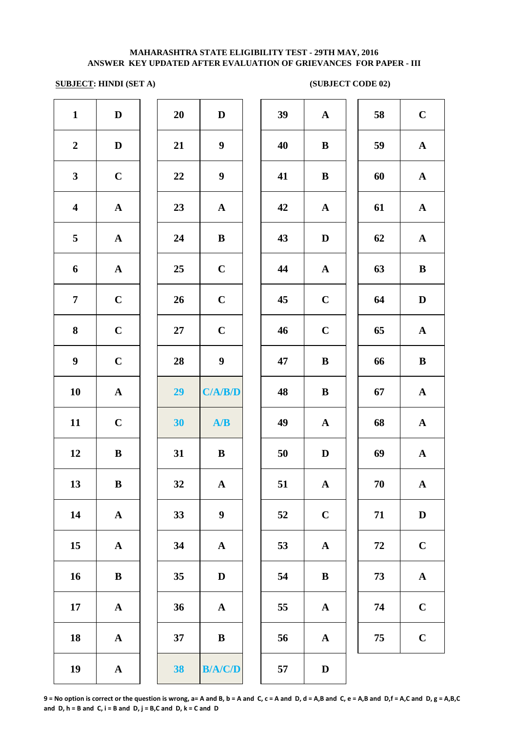## **SUBJECT: HINDI (SET A) (SUBJECT CODE 02)**

| $\mathbf{1}$            | $\mathbf D$           | 20     | $\mathbf D$      | 39 | $\mathbf A$  |
|-------------------------|-----------------------|--------|------------------|----|--------------|
| $\boldsymbol{2}$        | $\mathbf D$           | 21     | $\boldsymbol{9}$ | 40 | $\bf{B}$     |
| $\mathbf{3}$            | $\mathbf C$           | 22     | $\boldsymbol{9}$ | 41 | $\bf{B}$     |
| $\overline{\mathbf{4}}$ | ${\bf A}$             | 23     | ${\bf A}$        | 42 | $\mathbf A$  |
| 5                       | ${\bf A}$             | 24     | $\, {\bf B}$     | 43 | $\mathbf{D}$ |
| 6                       | $\boldsymbol{\rm{A}}$ | 25     | $\mathbf C$      | 44 | $\mathbf{A}$ |
| $\overline{7}$          | $\mathbf C$           | 26     | $\mathbf C$      | 45 | $\mathbf C$  |
| ${\bf 8}$               | $\mathbf C$           | $27\,$ | $\mathbf C$      | 46 | $\mathbf C$  |
| $\boldsymbol{9}$        | $\mathbf C$           | 28     | $\boldsymbol{9}$ | 47 | $\bf{B}$     |
| 10                      | $\boldsymbol{\rm{A}}$ | 29     | C/A/B/D          | 48 | $\bf{B}$     |
| 11                      | $\mathbf C$           | 30     | A/B              | 49 | $\mathbf A$  |
| 12                      | $\bf{B}$              | 31     | $\bf{B}$         | 50 | $\mathbf{D}$ |
| 13                      | B                     | 32     | $\mathbf{A}$     | 51 | $\mathbf A$  |
| 14                      | $\mathbf A$           | 33     | $\boldsymbol{9}$ | 52 | $\mathbf C$  |
| $15\,$                  | ${\bf A}$             | 34     | ${\bf A}$        | 53 | $\mathbf A$  |
| 16                      | $\bf{B}$              | 35     | $\mathbf D$      | 54 | $\bf{B}$     |
| 17                      | ${\bf A}$             | 36     | ${\bf A}$        | 55 | $\mathbf A$  |
| 18                      | ${\bf A}$             | 37     | $\, {\bf B}$     | 56 | $\mathbf A$  |
| 19                      | $\boldsymbol{\rm{A}}$ | 38     | B/A/C/D          | 57 | $\bf{D}$     |
|                         |                       |        |                  |    |              |

| 20 | D              |  |
|----|----------------|--|
| 21 | 9              |  |
| 22 | 9              |  |
| 23 | $\mathbf A$    |  |
| 24 | B              |  |
| 25 | $\mathbf C$    |  |
| 26 | $\mathbf C$    |  |
| 27 | $\mathbf C$    |  |
| 28 | 9              |  |
| 29 | C/A/<br>3/D    |  |
| 30 | A/B            |  |
| 31 | B              |  |
| 32 | $\mathbf A$    |  |
| 33 | 9              |  |
| 34 | $\mathbf A$    |  |
| 35 | $\mathbf D$    |  |
| 36 | A              |  |
| 37 | B              |  |
| 38 | <b>B/A/C/D</b> |  |

| $\mathbf{1}$            | $\mathbf D$  | 20 | $\mathbf D$      | 39 | $\mathbf A$  | 58 | $\mathbf C$  |
|-------------------------|--------------|----|------------------|----|--------------|----|--------------|
| $\boldsymbol{2}$        | $\mathbf D$  | 21 | $\boldsymbol{9}$ | 40 | $\, {\bf B}$ | 59 | ${\bf A}$    |
| $\mathbf{3}$            | $\mathbf C$  | 22 | $\boldsymbol{9}$ | 41 | $\, {\bf B}$ | 60 | ${\bf A}$    |
| $\overline{\mathbf{4}}$ | ${\bf A}$    | 23 | $\mathbf A$      | 42 | $\mathbf A$  | 61 | ${\bf A}$    |
| $\overline{5}$          | $\mathbf{A}$ | 24 | $\bf{B}$         | 43 | $\mathbf D$  | 62 | ${\bf A}$    |
| 6                       | ${\bf A}$    | 25 | $\mathbf C$      | 44 | ${\bf A}$    | 63 | $\bf{B}$     |
| $\overline{7}$          | $\mathbf C$  | 26 | $\mathbf C$      | 45 | $\mathbf C$  | 64 | $\mathbf D$  |
| 8                       | $\mathbf C$  | 27 | $\mathbf C$      | 46 | $\mathbf C$  | 65 | $\mathbf{A}$ |
| $\boldsymbol{9}$        | $\mathbf C$  | 28 | $\boldsymbol{9}$ | 47 | $\bf{B}$     | 66 | $\bf{B}$     |
| 10                      | ${\bf A}$    | 29 | C/A/B/D          | 48 | $\bf{B}$     | 67 | ${\bf A}$    |
| 11                      | $\mathbf C$  | 30 | A/B              | 49 | ${\bf A}$    | 68 | ${\bf A}$    |
| 12                      | $\bf{B}$     | 31 | $\bf{B}$         | 50 | $\mathbf D$  | 69 | ${\bf A}$    |
| 13                      | ${\bf B}$    | 32 | ${\bf A}$        | 51 | ${\bf A}$    | 70 | $\mathbf{A}$ |
| 14                      | ${\bf A}$    | 33 | $\boldsymbol{9}$ | 52 | $\mathbf C$  | 71 | $\mathbf D$  |
| 15                      | $\mathbf A$  | 34 | ${\bf A}$        | 53 | $\mathbf A$  | 72 | $\mathbf C$  |
| 16                      | $\, {\bf B}$ | 35 | $\mathbf D$      | 54 | $\bf{B}$     | 73 | $\mathbf A$  |
| 17                      | ${\bf A}$    | 36 | ${\bf A}$        | 55 | ${\bf A}$    | 74 | $\mathbf C$  |
| 18                      | $\mathbf A$  | 37 | $\bf{B}$         | 56 | $\mathbf A$  | 75 | $\mathbf C$  |
| 19                      | $\mathbf A$  | 38 | B/A/C/D          | 57 | $\mathbf D$  |    |              |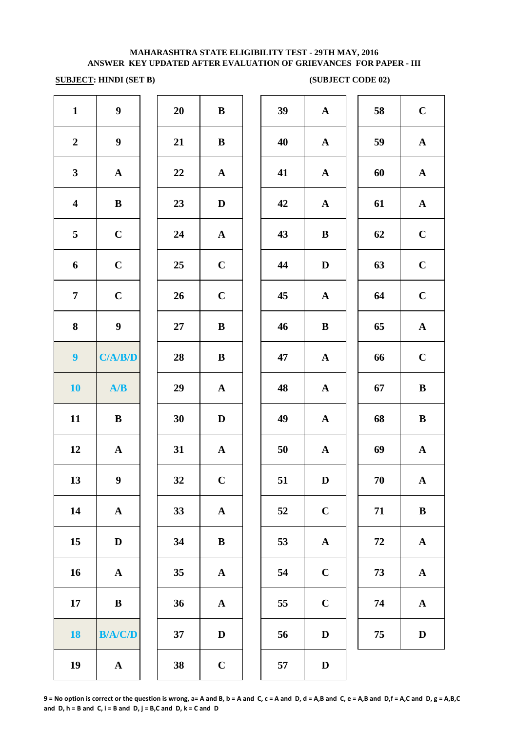## **SUBJECT:** HINDI (SET B) (SUBJECT CODE 02)

| $\mathbf{1}$            | $\boldsymbol{9}$ | 20 | $\bf{B}$     | 39 | ${\bf A}$    | 58         | $\mathbf C$               |
|-------------------------|------------------|----|--------------|----|--------------|------------|---------------------------|
| $\boldsymbol{2}$        | $\boldsymbol{9}$ | 21 | ${\bf B}$    | 40 | ${\bf A}$    | 59         | $\mathbf A$               |
| $\mathbf{3}$            | ${\bf A}$        | 22 | ${\bf A}$    | 41 | ${\bf A}$    | 60         | $\mathbf A$               |
| $\overline{\mathbf{4}}$ | ${\bf B}$        | 23 | $\mathbf D$  | 42 | $\mathbf{A}$ | 61         | $\mathbf A$               |
| 5                       | $\mathbf C$      | 24 | ${\bf A}$    | 43 | $\, {\bf B}$ | 62         | $\mathbf C$               |
| 6                       | $\mathbf C$      | 25 | $\mathbf C$  | 44 | $\mathbf D$  | 63         | $\mathbf C$               |
| $\overline{7}$          | $\mathbf C$      | 26 | $\mathbf C$  | 45 | ${\bf A}$    | 64         | $\mathbf C$               |
| $\bf{8}$                | $\boldsymbol{9}$ | 27 | $\, {\bf B}$ | 46 | $\, {\bf B}$ | 65         | $\boldsymbol{\mathsf{A}}$ |
| 9 <sup>°</sup>          | C/A/B/D          | 28 | $\bf{B}$     | 47 | ${\bf A}$    | 66         | $\mathbf C$               |
| 10                      | A/B              | 29 | $\mathbf{A}$ | 48 | ${\bf A}$    | 67         | $\bf{B}$                  |
| 11                      | $\bf{B}$         | 30 | $\mathbf D$  | 49 | ${\bf A}$    | 68         | $\bf{B}$                  |
| 12                      | ${\bf A}$        | 31 | ${\bf A}$    | 50 | $\mathbf{A}$ | 69         | $\boldsymbol{\mathsf{A}}$ |
| 13                      | $\boldsymbol{9}$ | 32 | $\mathbf C$  | 51 | $\mathbf D$  | 70         | $\boldsymbol{\mathsf{A}}$ |
| 14                      | ${\bf A}$        | 33 | ${\bf A}$    | 52 | $\mathbf C$  | 71         | $\bf{B}$                  |
| 15                      | $\mathbf D$      | 34 | $\, {\bf B}$ | 53 | $\mathbf A$  | ${\bf 72}$ | $\boldsymbol{\mathsf{A}}$ |
| 16                      | ${\bf A}$        | 35 | ${\bf A}$    | 54 | $\mathbf C$  | 73         | $\boldsymbol{\mathsf{A}}$ |
| 17                      | ${\bf B}$        | 36 | ${\bf A}$    | 55 | $\mathbf C$  | 74         | $\boldsymbol{\mathsf{A}}$ |
| 18                      | B/A/C/D          | 37 | $\mathbf D$  | 56 | $\mathbf D$  | 75         | $\mathbf D$               |
| 19                      | ${\bf A}$        | 38 | $\mathbf C$  | 57 | $\mathbf D$  |            |                           |
|                         |                  |    |              |    |              |            |                           |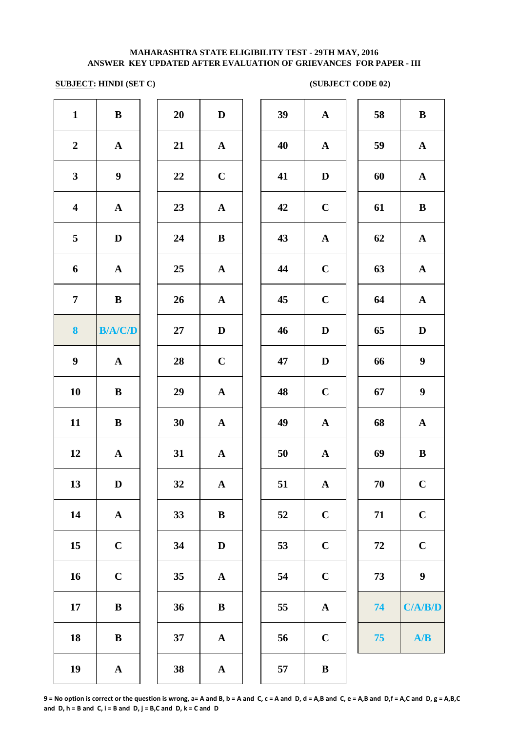## **SUBJECT: HINDI (SET C) (SUBJECT CODE 02)**

| $\mathbf{1}$            | $\, {\bf B}$     | 20 | $\mathbf D$  | 39 | $\mathbf A$  | 58         | $\bf{B}$         |
|-------------------------|------------------|----|--------------|----|--------------|------------|------------------|
| $\mathbf 2$             | ${\bf A}$        | 21 | $\mathbf A$  | 40 | $\mathbf A$  | 59         | $\mathbf A$      |
| $\mathbf{3}$            | $\boldsymbol{9}$ | 22 | $\mathbf C$  | 41 | $\mathbf D$  | 60         | ${\bf A}$        |
| $\overline{\mathbf{4}}$ | ${\bf A}$        | 23 | ${\bf A}$    | 42 | $\mathbf C$  | 61         | $\bf{B}$         |
| $\overline{\mathbf{5}}$ | $\mathbf D$      | 24 | $\bf{B}$     | 43 | ${\bf A}$    | 62         | ${\bf A}$        |
| 6                       | $\mathbf A$      | 25 | ${\bf A}$    | 44 | $\mathbf C$  | 63         | ${\bf A}$        |
| $\overline{7}$          | $\, {\bf B}$     | 26 | $\mathbf A$  | 45 | $\mathbf C$  | 64         | $\mathbf A$      |
| 8                       | <b>B/A/C/D</b>   | 27 | $\mathbf D$  | 46 | $\mathbf D$  | 65         | $\mathbf D$      |
| $\boldsymbol{9}$        | ${\bf A}$        | 28 | $\mathbf C$  | 47 | D            | 66         | $\boldsymbol{9}$ |
| 10                      | $\, {\bf B}$     | 29 | ${\bf A}$    | 48 | $\mathbf C$  | 67         | $\boldsymbol{9}$ |
| 11                      | $\, {\bf B}$     | 30 | $\mathbf A$  | 49 | $\mathbf A$  | 68         | $\mathbf A$      |
| 12                      | $\mathbf A$      | 31 | ${\bf A}$    | 50 | $\mathbf A$  | 69         | $\, {\bf B}$     |
| 13                      | $\mathbf D$      | 32 | ${\bf A}$    | 51 | $\mathbf A$  | 70         | $\mathbf C$      |
| 14                      | ${\bf A}$        | 33 | $\, {\bf B}$ | 52 | $\mathbf C$  | 71         | $\mathbf C$      |
| 15                      | $\mathbf C$      | 34 | $\mathbf D$  | 53 | $\mathbf C$  | ${\bf 72}$ | $\mathbf C$      |
| 16                      | $\mathbf C$      | 35 | ${\bf A}$    | 54 | $\mathbf C$  | 73         | $\boldsymbol{9}$ |
| 17                      | $\, {\bf B}$     | 36 | $\, {\bf B}$ | 55 | $\mathbf A$  | 74         | C/A/B/D          |
| 18                      | $\, {\bf B}$     | 37 | ${\bf A}$    | 56 | $\mathbf C$  | 75         | A/B              |
| 19                      | $\mathbf A$      | 38 | ${\bf A}$    | 57 | $\, {\bf B}$ |            |                  |
|                         |                  |    |              |    |              |            |                  |

| 39 | $\mathbf A$  | 58 | $\bf{B}$         |
|----|--------------|----|------------------|
| 40 | $\mathbf A$  | 59 | $\mathbf A$      |
| 41 | $\mathbf D$  | 60 | $\mathbf A$      |
| 42 | $\mathbf C$  | 61 | $\bf{B}$         |
| 43 | ${\bf A}$    | 62 | $\mathbf A$      |
| 44 | $\mathbf C$  | 63 | ${\bf A}$        |
| 45 | $\mathbf C$  | 64 | $\mathbf A$      |
| 46 | D            | 65 | $\mathbf D$      |
| 47 | D            | 66 | $\boldsymbol{9}$ |
| 48 | $\mathbf C$  | 67 | $\boldsymbol{9}$ |
| 49 | $\mathbf A$  | 68 | $\mathbf A$      |
| 50 | ${\bf A}$    | 69 | ${\bf B}$        |
| 51 | $\mathbf{A}$ | 70 | $\mathbf C$      |
| 52 | $\mathbf C$  | 71 | $\mathbf C$      |
| 53 | $\mathbf C$  | 72 | $\mathbf C$      |
| 54 | $\mathbf C$  | 73 | 9                |
| 55 | $\mathbf A$  | 74 | C/A/B/D          |
| 56 | $\mathbf C$  | 75 | A/B              |
| E7 | D            |    |                  |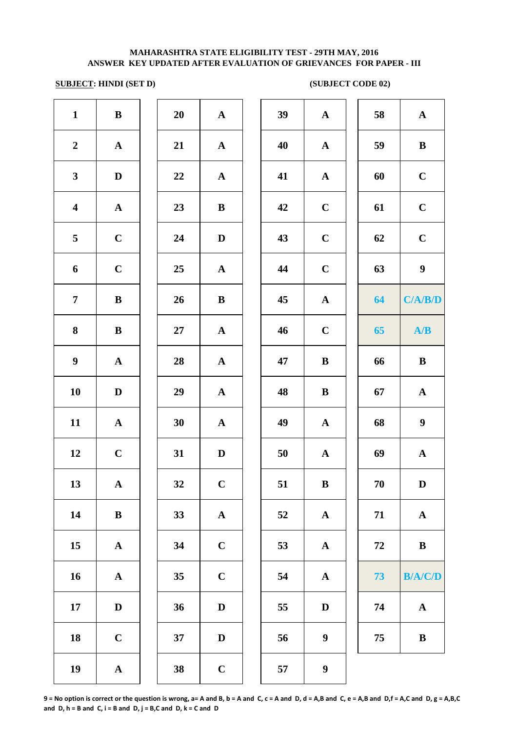## **SUBJECT: HINDI (SET D) (SUBJECT CODE 02)**

| $\mathbf{1}$            | $\bf{B}$     | 20 | ${\bf A}$   | 39 | ${\bf A}$        | 58         | ${\bf A}$        |
|-------------------------|--------------|----|-------------|----|------------------|------------|------------------|
| $\boldsymbol{2}$        | $\mathbf{A}$ | 21 | ${\bf A}$   | 40 | $\mathbf{A}$     | 59         | $\, {\bf B}$     |
| $\overline{\mathbf{3}}$ | $\mathbf D$  | 22 | ${\bf A}$   | 41 | $\mathbf A$      | 60         | $\mathbf C$      |
| $\overline{\mathbf{4}}$ | $\mathbf A$  | 23 | $\bf{B}$    | 42 | $\mathbf C$      | 61         | $\mathbf C$      |
| 5                       | $\mathbf C$  | 24 | $\mathbf D$ | 43 | $\mathbf C$      | 62         | $\mathbf C$      |
| 6                       | $\mathbf C$  | 25 | ${\bf A}$   | 44 | $\bf C$          | 63         | $\boldsymbol{9}$ |
| $\overline{7}$          | $\bf{B}$     | 26 | $\bf{B}$    | 45 | $\mathbf{A}$     | 64         | C/A/B/D          |
| 8                       | $\bf{B}$     | 27 | $\mathbf A$ | 46 | $\mathbf C$      | 65         | A/B              |
| $\boldsymbol{9}$        | $\mathbf{A}$ | 28 | ${\bf A}$   | 47 | $\bf{B}$         | 66         | $\, {\bf B}$     |
| 10                      | $\mathbf D$  | 29 | ${\bf A}$   | 48 | $\, {\bf B}$     | 67         | $\mathbf A$      |
| 11                      | ${\bf A}$    | 30 | ${\bf A}$   | 49 | ${\bf A}$        | 68         | $\boldsymbol{9}$ |
| 12                      | $\mathbf C$  | 31 | $\mathbf D$ | 50 | $\mathbf A$      | 69         | $\mathbf A$      |
| 13                      | ${\bf A}$    | 32 | $\mathbf C$ | 51 | $\bf{B}$         | 70         | $\mathbf D$      |
| 14                      | $\bf{B}$     | 33 | $\mathbf A$ | 52 | ${\bf A}$        | 71         | ${\bf A}$        |
| 15                      | ${\bf A}$    | 34 | $\mathbf C$ | 53 | ${\bf A}$        | ${\bf 72}$ | $\, {\bf B}$     |
| 16                      | ${\bf A}$    | 35 | $\mathbf C$ | 54 | ${\bf A}$        | 73         | <b>B/A/C/D</b>   |
| 17                      | $\mathbf D$  | 36 | $\mathbf D$ | 55 | $\mathbf D$      | 74         | ${\bf A}$        |
| 18                      | $\mathbf C$  | 37 | $\mathbf D$ | 56 | $\boldsymbol{9}$ | 75         | $\, {\bf B}$     |
| 19                      | $\mathbf A$  | 38 | $\mathbf C$ | 57 | $\boldsymbol{9}$ |            |                  |
|                         |              |    |             |    |                  |            |                  |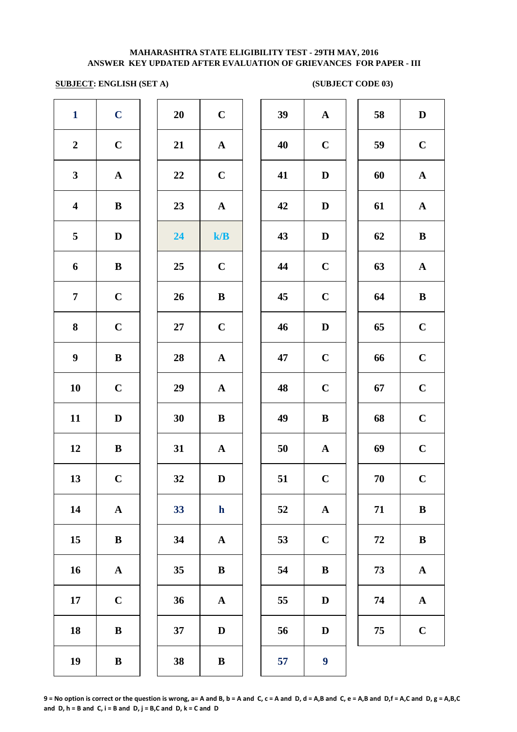# **SUBJECT: ENGLISH (SET A)** (SUBJECT CODE 03)

| $\mathbf{1}$            | $\mathbf C$  | 20 | $\mathbf C$       | 39 | $\mathbf{A}$     | 58     | $\mathbf D$  |
|-------------------------|--------------|----|-------------------|----|------------------|--------|--------------|
| $\boldsymbol{2}$        | $\mathbf C$  | 21 | $\mathbf{A}$      | 40 | $\mathbf C$      | 59     | $\mathbf C$  |
| $\mathbf{3}$            | ${\bf A}$    | 22 | $\mathbf C$       | 41 | D                | 60     | $\mathbf{A}$ |
| $\overline{\mathbf{4}}$ | $\, {\bf B}$ | 23 | ${\bf A}$         | 42 | $\mathbf D$      | 61     | $\mathbf{A}$ |
| 5                       | $\mathbf D$  | 24 | ${\bf k}/{\bf B}$ | 43 | $\mathbf D$      | 62     | $\, {\bf B}$ |
| 6                       | $\, {\bf B}$ | 25 | $\mathbf C$       | 44 | $\mathbf C$      | 63     | $\mathbf{A}$ |
| $\overline{7}$          | $\mathbf C$  | 26 | $\bf{B}$          | 45 | $\mathbf C$      | 64     | $\, {\bf B}$ |
| $\bf 8$                 | $\mathbf C$  | 27 | $\mathbf C$       | 46 | D                | 65     | $\mathbf C$  |
| $\boldsymbol{9}$        | $\, {\bf B}$ | 28 | $\mathbf{A}$      | 47 | $\mathbf C$      | 66     | $\mathbf C$  |
| 10                      | $\mathbf C$  | 29 | $\mathbf A$       | 48 | $\mathbf C$      | 67     | $\mathbf C$  |
| 11                      | $\mathbf D$  | 30 | $\bf{B}$          | 49 | $\bf{B}$         | 68     | $\mathbf C$  |
| 12                      | $\, {\bf B}$ | 31 | $\mathbf{A}$      | 50 | $\mathbf{A}$     | 69     | $\mathbf C$  |
| 13                      | $\mathbf C$  | 32 | $\mathbf D$       | 51 | $\mathbf C$      | $70\,$ | $\mathbf C$  |
| 14                      | $\mathbf A$  | 33 | $\mathbf{h}$      | 52 | $\mathbf A$      | 71     | $\, {\bf B}$ |
| 15                      | $\, {\bf B}$ | 34 | $\mathbf{A}$      | 53 | $\mathbf C$      | 72     | $\, {\bf B}$ |
| 16                      | ${\bf A}$    | 35 | ${\bf B}$         | 54 | $\, {\bf B}$     | 73     | $\mathbf A$  |
| 17                      | $\bf C$      | 36 | $\mathbf{A}$      | 55 | D                | 74     | ${\bf A}$    |
| 18                      | $\, {\bf B}$ | 37 | $\mathbf D$       | 56 | D                | 75     | $\mathbf C$  |
| 19                      | $\, {\bf B}$ | 38 | $\bf{B}$          | 57 | $\boldsymbol{9}$ |        |              |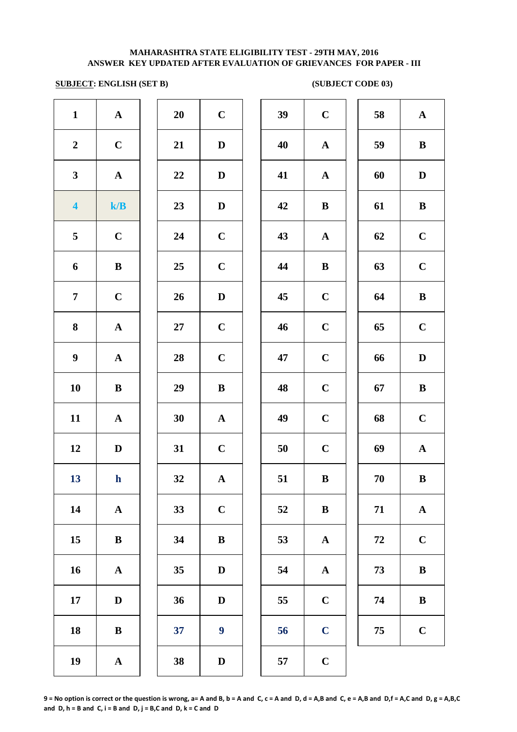## **SUBJECT: ENGLISH (SET B)** (SUBJECT CODE 03)

| $\mathbf{1}$            | ${\bf A}$    | 20     | $\mathbf C$      | 39 | $\mathbf C$  | 58 | ${\bf A}$    |
|-------------------------|--------------|--------|------------------|----|--------------|----|--------------|
| $\boldsymbol{2}$        | $\mathbf C$  | 21     | $\mathbf D$      | 40 | ${\bf A}$    | 59 | $\, {\bf B}$ |
| $\mathbf{3}$            | ${\bf A}$    | $22\,$ | $\mathbf D$      | 41 | ${\bf A}$    | 60 | $\mathbf D$  |
| $\overline{\mathbf{4}}$ | k/B          | 23     | $\mathbf D$      | 42 | $\, {\bf B}$ | 61 | $\, {\bf B}$ |
| $\overline{\mathbf{5}}$ | $\mathbf C$  | 24     | $\mathbf C$      | 43 | ${\bf A}$    | 62 | $\mathbf C$  |
| 6                       | $\, {\bf B}$ | 25     | $\mathbf C$      | 44 | $\, {\bf B}$ | 63 | $\mathbf C$  |
| $\overline{7}$          | $\mathbf C$  | 26     | $\mathbf{D}$     | 45 | $\mathbf C$  | 64 | $\, {\bf B}$ |
| $\bf{8}$                | ${\bf A}$    | 27     | $\bf C$          | 46 | $\mathbf C$  | 65 | $\mathbf C$  |
| $\boldsymbol{9}$        | ${\bf A}$    | 28     | $\mathbf C$      | 47 | $\mathbf C$  | 66 | $\mathbf D$  |
| 10                      | $\, {\bf B}$ | 29     | $\bf{B}$         | 48 | $\bf C$      | 67 | $\, {\bf B}$ |
| 11                      | ${\bf A}$    | 30     | ${\bf A}$        | 49 | $\mathbf C$  | 68 | $\mathbf C$  |
| 12                      | D            | 31     | $\mathbf C$      | 50 | $\mathbf C$  | 69 | ${\bf A}$    |
| 13                      | $\mathbf h$  | 32     | ${\bf A}$        | 51 | $\bf{B}$     | 70 | $\, {\bf B}$ |
| 14                      | $\mathbf A$  | 33     | $\bf C$          | 52 | $\, {\bf B}$ | 71 | ${\bf A}$    |
| 15                      | $\, {\bf B}$ | 34     | $\bf{B}$         | 53 | $\mathbf A$  | 72 | $\mathbf C$  |
| 16                      | ${\bf A}$    | 35     | $\mathbf D$      | 54 | $\mathbf{A}$ | 73 | $\, {\bf B}$ |
| 17                      | $\mathbf D$  | 36     | D                | 55 | $\mathbf C$  | 74 | $\bf{B}$     |
| 18                      | ${\bf B}$    | 37     | $\boldsymbol{9}$ | 56 | $\mathbf C$  | 75 | $\mathbf C$  |
| 19                      | ${\bf A}$    | 38     | $\mathbf D$      | 57 | $\mathbf C$  |    |              |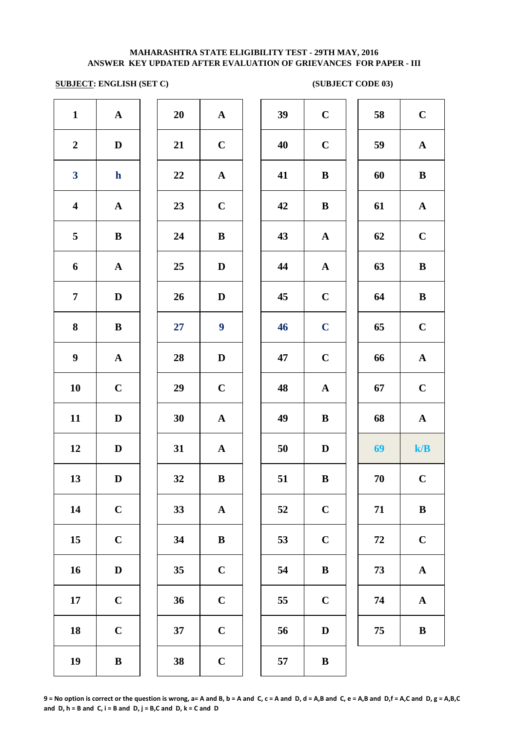# **SUBJECT: ENGLISH (SET C)** (SUBJECT CODE 03)

| $\mathbf{1}$            | ${\bf A}$    | 20 | ${\bf A}$        | 39 | $\mathbf C$  | 58     | $\mathbf C$  |
|-------------------------|--------------|----|------------------|----|--------------|--------|--------------|
| $\boldsymbol{2}$        | D            | 21 | $\mathbf C$      | 40 | $\mathbf C$  | 59     | $\mathbf A$  |
| $\overline{\mathbf{3}}$ | $\mathbf{h}$ | 22 | ${\bf A}$        | 41 | $\bf{B}$     | 60     | $\, {\bf B}$ |
| $\overline{\mathbf{4}}$ | ${\bf A}$    | 23 | $\mathbf C$      | 42 | $\, {\bf B}$ | 61     | $\mathbf A$  |
| $\overline{\mathbf{5}}$ | $\, {\bf B}$ | 24 | $\, {\bf B}$     | 43 | ${\bf A}$    | 62     | $\mathbf C$  |
| 6                       | ${\bf A}$    | 25 | $\mathbf D$      | 44 | ${\bf A}$    | 63     | $\, {\bf B}$ |
| $\overline{7}$          | $\mathbf D$  | 26 | $\mathbf D$      | 45 | $\mathbf C$  | 64     | $\bf{B}$     |
| 8                       | $\bf{B}$     | 27 | $\boldsymbol{9}$ | 46 | $\mathbf C$  | 65     | $\bf C$      |
| $\boldsymbol{9}$        | ${\bf A}$    | 28 | $\mathbf D$      | 47 | $\mathbf C$  | 66     | $\mathbf A$  |
| 10                      | $\mathbf C$  | 29 | $\bf C$          | 48 | $\mathbf{A}$ | 67     | $\mathbf C$  |
| 11                      | $\mathbf D$  | 30 | ${\bf A}$        | 49 | $\, {\bf B}$ | 68     | $\mathbf A$  |
| 12                      | $\mathbf D$  | 31 | ${\bf A}$        | 50 | D            | 69     | k/B          |
| 13                      | $\mathbf D$  | 32 | $\, {\bf B}$     | 51 | $\, {\bf B}$ | 70     | $\mathbf C$  |
| 14                      | $\mathbf C$  | 33 | ${\bf A}$        | 52 | $\mathbf C$  | 71     | $\, {\bf B}$ |
| 15                      | $\mathbf C$  | 34 | $\, {\bf B}$     | 53 | $\mathbf C$  | $72\,$ | $\mathbf C$  |
| 16                      | ${\bf D}$    | 35 | $\mathbf C$      | 54 | $\, {\bf B}$ | 73     | $\mathbf A$  |
| 17                      | $\mathbf C$  | 36 | $\mathbf C$      | 55 | $\mathbf C$  | 74     | $\mathbf A$  |
| 18                      | $\mathbf C$  | 37 | $\mathbf C$      | 56 | $\mathbf D$  | 75     | $\, {\bf B}$ |
| 19                      | $\, {\bf B}$ | 38 | $\mathbf C$      | 57 | $\, {\bf B}$ |        |              |
|                         |              |    |                  |    |              |        |              |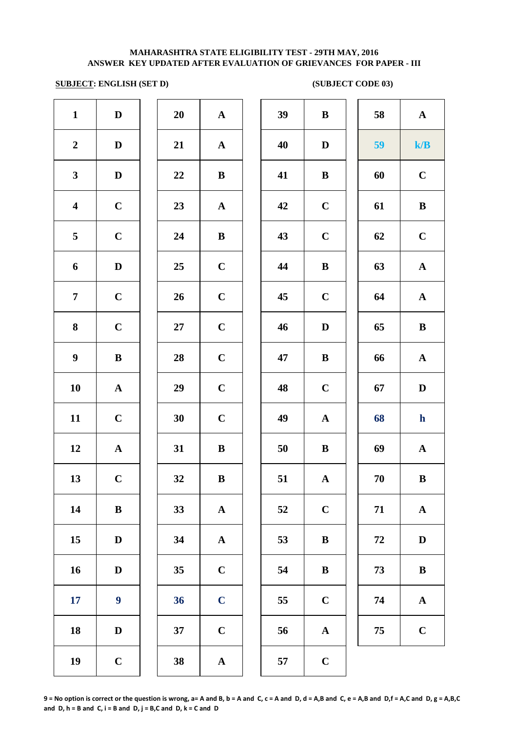# **SUBJECT: ENGLISH (SET D)** (SUBJECT CODE 03)

| $\mathbf{1}$            | $\mathbf D$      | 20 | ${\bf A}$   | 39 | $\bf{B}$     | 58     | $\mathbf A$           |
|-------------------------|------------------|----|-------------|----|--------------|--------|-----------------------|
| $\boldsymbol{2}$        | $\mathbf D$      | 21 | ${\bf A}$   | 40 | D            | 59     | k/B                   |
| $\mathbf{3}$            | $\mathbf D$      | 22 | $\bf{B}$    | 41 | $\bf{B}$     | 60     | $\mathbf C$           |
| $\overline{\mathbf{4}}$ | $\mathbf C$      | 23 | ${\bf A}$   | 42 | $\mathbf C$  | 61     | $\, {\bf B}$          |
| $5\phantom{.0}$         | $\mathbf C$      | 24 | $\bf{B}$    | 43 | $\mathbf C$  | 62     | $\mathbf C$           |
| 6                       | $\mathbf D$      | 25 | $\bf C$     | 44 | $\bf{B}$     | 63     | $\boldsymbol{\rm{A}}$ |
| $\overline{7}$          | $\mathbf C$      | 26 | $\mathbf C$ | 45 | $\mathbf C$  | 64     | $\mathbf A$           |
| 8                       | $\mathbf C$      | 27 | $\mathbf C$ | 46 | $\mathbf D$  | 65     | $\, {\bf B}$          |
| $\boldsymbol{9}$        | $\, {\bf B}$     | 28 | $\bf C$     | 47 | $\bf{B}$     | 66     | $\mathbf A$           |
| 10                      | ${\bf A}$        | 29 | $\mathbf C$ | 48 | $\bf C$      | 67     | $\mathbf D$           |
| 11                      | $\mathbf C$      | 30 | $\mathbf C$ | 49 | $\mathbf{A}$ | 68     | $\mathbf h$           |
| 12                      | ${\bf A}$        | 31 | $\bf{B}$    | 50 | $\bf{B}$     | 69     | $\mathbf A$           |
| 13                      | $\mathbf C$      | 32 | $\bf{B}$    | 51 | ${\bf A}$    | 70     | $\, {\bf B}$          |
| 14                      | $\, {\bf B}$     | 33 | $\mathbf A$ | 52 | $\mathbf C$  | 71     | $\mathbf A$           |
| 15                      | $\mathbf D$      | 34 | ${\bf A}$   | 53 | $\bf{B}$     | $72\,$ | $\mathbf D$           |
| 16                      | $\mathbf D$      | 35 | $\mathbf C$ | 54 | $\bf{B}$     | 73     | $\, {\bf B}$          |
| <b>17</b>               | $\boldsymbol{9}$ | 36 | $\mathbf C$ | 55 | $\mathbf C$  | 74     | ${\bf A}$             |
| 18                      | D                | 37 | $\mathbf C$ | 56 | $\mathbf{A}$ | 75     | $\mathbf C$           |
| 19                      | $\mathbf C$      | 38 | ${\bf A}$   | 57 | $\mathbf C$  |        |                       |
|                         |                  |    |             |    |              |        |                       |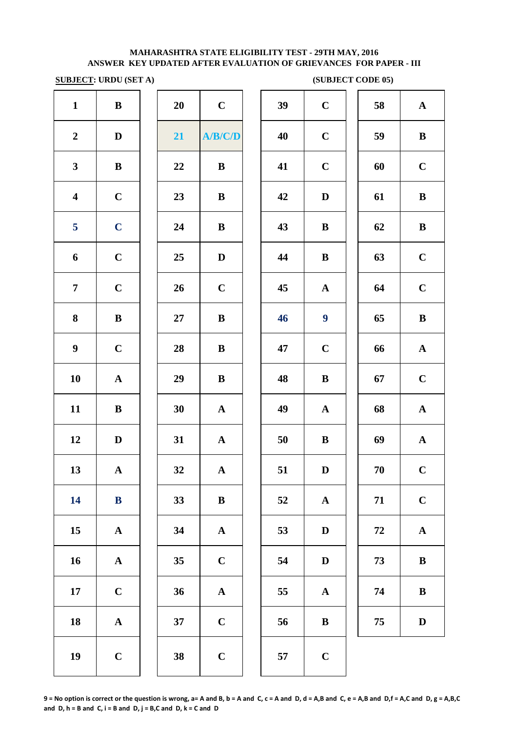**SUBJECT: URDU (SET A)** (SUBJECT CODE 05)

|                         | <b>SUBJECT: URDU (SET A)</b> |        |              |    |                  | (SUBJECT CODE 05) |              |
|-------------------------|------------------------------|--------|--------------|----|------------------|-------------------|--------------|
| $\mathbf{1}$            | ${\bf B}$                    | 20     | $\mathbf C$  | 39 | $\mathbf C$      | 58                | $\mathbf A$  |
| $\boldsymbol{2}$        | $\mathbf D$                  | 21     | A/B/C/D      | 40 | $\mathbf C$      | 59                | $\bf{B}$     |
| $\mathbf{3}$            | ${\bf B}$                    | 22     | $\, {\bf B}$ | 41 | $\mathbf C$      | 60                | $\mathbf C$  |
| $\overline{\mathbf{4}}$ | $\mathbf C$                  | 23     | $\, {\bf B}$ | 42 | $\mathbf D$      | 61                | $\bf{B}$     |
| 5                       | $\mathbf C$                  | 24     | $\bf{B}$     | 43 | $\bf{B}$         | 62                | $\bf{B}$     |
| 6                       | $\mathbf C$                  | 25     | $\mathbf D$  | 44 | $\bf{B}$         | 63                | $\mathbf C$  |
| $\overline{7}$          | $\mathbf C$                  | 26     | $\mathbf C$  | 45 | $\mathbf A$      | 64                | $\mathbf C$  |
| 8                       | ${\bf B}$                    | $27\,$ | $\, {\bf B}$ | 46 | $\boldsymbol{9}$ | 65                | $\bf{B}$     |
| $\boldsymbol{9}$        | $\mathbf C$                  | 28     | $\bf{B}$     | 47 | $\mathbf C$      | 66                | $\mathbf A$  |
| 10                      | $\mathbf{A}$                 | 29     | ${\bf B}$    | 48 | $\, {\bf B}$     | 67                | $\mathbf C$  |
| 11                      | $\bf{B}$                     | 30     | ${\bf A}$    | 49 | ${\bf A}$        | 68                | $\mathbf A$  |
| 12                      | $\mathbf D$                  | 31     | ${\bf A}$    | 50 | $\bf{B}$         | 69                | $\mathbf A$  |
| 13                      | ${\bf A}$                    | 32     | ${\bf A}$    | 51 | $\mathbf D$      | 70                | $\mathbf C$  |
| 14                      | ${\bf B}$                    | 33     | ${\bf B}$    | 52 | ${\bf A}$        | 71                | $\mathbf C$  |
| 15                      | ${\bf A}$                    | 34     | ${\bf A}$    | 53 | $\mathbf D$      | 72                | $\mathbf A$  |
| 16                      | ${\bf A}$                    | 35     | $\mathbf C$  | 54 | $\mathbf D$      | 73                | $\bf{B}$     |
| 17                      | $\mathbf C$                  | 36     | ${\bf A}$    | 55 | $\mathbf{A}$     | 74                | $\bf{B}$     |
| 18                      | ${\bf A}$                    | 37     | $\mathbf C$  | 56 | $\, {\bf B}$     | 75                | $\mathbf{D}$ |
| 19                      | $\mathbf C$                  | 38     | $\mathbf C$  | 57 | $\mathbf C$      |                   |              |
|                         |                              |        |              |    |                  |                   |              |

|    |                       | (SUBJECT CODE 05) |             |
|----|-----------------------|-------------------|-------------|
| 39 | $\mathbf C$           | 58                | $\mathbf A$ |
| 40 | $\mathbf C$           | 59                | $\bf{B}$    |
| 41 | $\mathbf C$           | 60                | $\mathbf C$ |
| 42 | $\mathbf D$           | 61                | $\bf{B}$    |
| 43 | $\bf{B}$              | 62                | $\bf{B}$    |
| 44 | $\bf{B}$              | 63                | $\mathbf C$ |
| 45 | $\mathbf A$           | 64                | $\mathbf C$ |
| 46 | $\boldsymbol{9}$      | 65                | $\bf{B}$    |
| 47 | $\mathbf C$           | 66                | $\mathbf A$ |
| 48 | $\bf{B}$              | 67                | $\mathbf C$ |
| 49 | ${\bf A}$             | 68                | ${\bf A}$   |
| 50 | $\bf{B}$              | 69                | $\mathbf A$ |
| 51 | $\mathbf D$           | 70                | $\mathbf C$ |
| 52 | $\boldsymbol{\rm{A}}$ | 71                | $\mathbf C$ |
| 53 | $\mathbf D$           | 72                | $\mathbf A$ |
| 54 | $\mathbf D$           | 73                | $\bf{B}$    |
| 55 | $\mathbf A$           | 74                | $\bf{B}$    |
| 56 | $\bf{B}$              | 75                | $\mathbf D$ |
|    |                       |                   |             |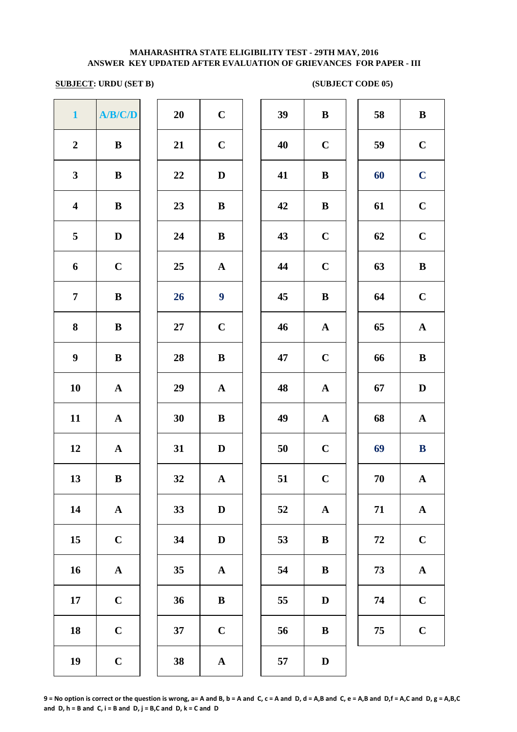# **SUBJECT: URDU (SET B)** (SUBJECT CODE 05)

| $\mathbf{1}$            | A/B/C/D      | 20 | $\mathbf C$      | 39 | $\bf{B}$     | 58         | $\bf{B}$     |
|-------------------------|--------------|----|------------------|----|--------------|------------|--------------|
| $\boldsymbol{2}$        | $\, {\bf B}$ | 21 | $\mathbf C$      | 40 | $\mathbf C$  | 59         | $\mathbf C$  |
| $\mathbf{3}$            | $\bf{B}$     | 22 | D                | 41 | $\bf{B}$     | 60         | $\mathbf C$  |
| $\overline{\mathbf{4}}$ | $\bf{B}$     | 23 | $\bf{B}$         | 42 | $\bf{B}$     | 61         | $\mathbf C$  |
| 5                       | $\mathbf D$  | 24 | $\bf{B}$         | 43 | $\bf C$      | 62         | $\mathbf C$  |
| 6                       | $\mathbf C$  | 25 | ${\bf A}$        | 44 | $\mathbf C$  | 63         | $\, {\bf B}$ |
| $\overline{7}$          | $\, {\bf B}$ | 26 | $\boldsymbol{9}$ | 45 | $\, {\bf B}$ | 64         | $\mathbf C$  |
| 8                       | $\bf{B}$     | 27 | $\mathbf C$      | 46 | $\mathbf{A}$ | 65         | ${\bf A}$    |
| $\boldsymbol{9}$        | $\, {\bf B}$ | 28 | ${\bf B}$        | 47 | $\mathbf C$  | 66         | $\, {\bf B}$ |
| 10                      | $\mathbf A$  | 29 | ${\bf A}$        | 48 | $\mathbf{A}$ | 67         | $\mathbf D$  |
| 11                      | ${\bf A}$    | 30 | $\bf{B}$         | 49 | ${\bf A}$    | 68         | $\mathbf{A}$ |
| 12                      | ${\bf A}$    | 31 | $\mathbf D$      | 50 | $\mathbf C$  | 69         | $\bf{B}$     |
| 13                      | $\, {\bf B}$ | 32 | ${\bf A}$        | 51 | $\mathbf C$  | 70         | $\mathbf A$  |
| 14                      | $\mathbf A$  | 33 | $\mathbf D$      | 52 | $\mathbf{A}$ | 71         | $\mathbf A$  |
| 15                      | $\mathbf C$  | 34 | $\mathbf D$      | 53 | $\, {\bf B}$ | ${\bf 72}$ | $\mathbf C$  |
| 16                      | $\mathbf A$  | 35 | ${\bf A}$        | 54 | $\, {\bf B}$ | 73         | $\mathbf A$  |
| 17                      | $\mathbf C$  | 36 | $\bf{B}$         | 55 | $\mathbf D$  | 74         | $\mathbf C$  |
| 18                      | $\mathbf C$  | 37 | $\mathbf C$      | 56 | $\bf{B}$     | 75         | $\mathbf C$  |
| 19                      | $\mathbf C$  | 38 | ${\bf A}$        | 57 | D            |            |              |
|                         |              |    |                  |    |              |            |              |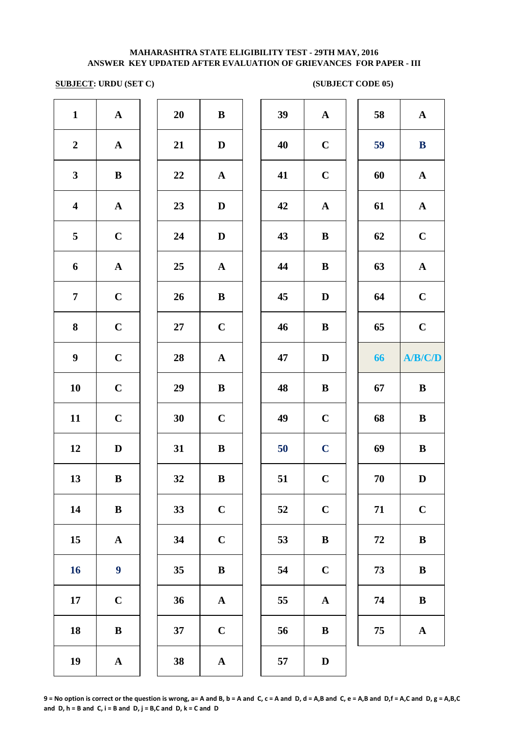# **SUBJECT: URDU (SET C)** (SUBJECT CODE 05)

| $\mathbf{1}$            | $\mathbf A$      | 20     | $\, {\bf B}$ | 39 | $\mathbf{A}$ | 58     | $\mathbf A$           |
|-------------------------|------------------|--------|--------------|----|--------------|--------|-----------------------|
| $\boldsymbol{2}$        | ${\bf A}$        | 21     | $\mathbf D$  | 40 | $\mathbf C$  | 59     | ${\bf B}$             |
| $\mathbf{3}$            | $\, {\bf B}$     | 22     | ${\bf A}$    | 41 | $\mathbf C$  | 60     | $\mathbf{A}$          |
| $\overline{\mathbf{4}}$ | ${\bf A}$        | 23     | $\mathbf D$  | 42 | $\mathbf A$  | 61     | $\mathbf A$           |
| $\overline{\mathbf{5}}$ | $\mathbf C$      | 24     | $\mathbf D$  | 43 | $\, {\bf B}$ | 62     | $\mathbf C$           |
| 6                       | ${\bf A}$        | 25     | ${\bf A}$    | 44 | $\, {\bf B}$ | 63     | $\boldsymbol{\rm{A}}$ |
| $\overline{7}$          | $\mathbf C$      | 26     | $\bf{B}$     | 45 | ${\bf D}$    | 64     | $\mathbf C$           |
| $\bf{8}$                | $\mathbf C$      | $27\,$ | $\mathbf C$  | 46 | $\, {\bf B}$ | 65     | $\mathbf C$           |
| $\boldsymbol{9}$        | $\mathbf C$      | 28     | ${\bf A}$    | 47 | ${\bf D}$    | 66     | A/B/C/D               |
| 10                      | $\mathbf C$      | 29     | $\, {\bf B}$ | 48 | $\, {\bf B}$ | 67     | $\, {\bf B}$          |
| 11                      | $\mathbf C$      | 30     | $\mathbf C$  | 49 | $\mathbf C$  | 68     | $\, {\bf B}$          |
| 12                      | $\mathbf D$      | 31     | $\bf{B}$     | 50 | $\mathbf C$  | 69     | $\, {\bf B}$          |
| 13                      | $\, {\bf B}$     | 32     | $\bf{B}$     | 51 | $\mathbf C$  | $70\,$ | $\mathbf D$           |
| 14                      | $\, {\bf B}$     | 33     | $\mathbf C$  | 52 | $\mathbf C$  | 71     | $\mathbf C$           |
| 15                      | ${\bf A}$        | 34     | $\mathbf C$  | 53 | $\, {\bf B}$ | 72     | $\, {\bf B}$          |
| 16                      | $\boldsymbol{9}$ | 35     | $\, {\bf B}$ | 54 | $\mathbf C$  | 73     | $\, {\bf B}$          |
| 17                      | $\mathbf C$      | 36     | ${\bf A}$    | 55 | ${\bf A}$    | 74     | $\, {\bf B}$          |
| 18                      | $\, {\bf B}$     | 37     | $\mathbf C$  | 56 | $\, {\bf B}$ | 75     | $\mathbf{A}$          |
| 19                      | ${\bf A}$        | 38     | $\mathbf{A}$ | 57 | $\mathbf D$  |        |                       |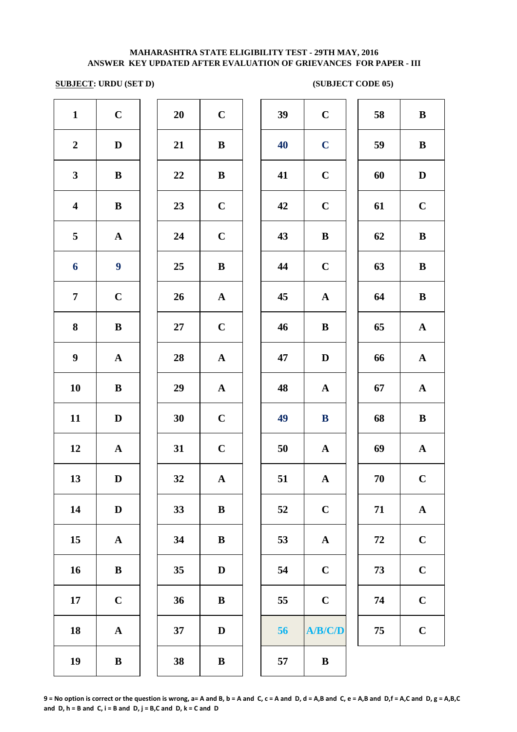# **SUBJECT: URDU (SET D)** (SUBJECT CODE 05)

| $\mathbf{1}$<br>$\mathbf C$<br>39<br>20<br>$\mathbf C$<br>$\mathbf C$<br>58<br>$\, {\bf B}$<br>$\mathbf C$<br>$\boldsymbol{2}$<br>21<br>40<br>59<br>$\bf{B}$<br>$\mathbf{D}$<br>${\bf B}$<br>$\mathbf{3}$<br>$\mathbf C$<br>22<br>41<br>60<br>$\mathbf D$<br>$\bf{B}$<br>${\bf B}$<br>$\mathbf C$<br>$\mathbf C$<br>$\mathbf C$<br>$\overline{\mathbf{4}}$<br>23<br>42<br>61<br>${\bf B}$<br>24<br>$\mathbf C$<br>43<br>$\, {\bf B}$<br>5<br>$\, {\bf B}$<br>62<br>$\mathbf{A}$<br>$\boldsymbol{9}$<br>$\boldsymbol{6}$<br>44<br>25<br>$\, {\bf B}$<br>$\mathbf C$<br>63<br>$\, {\bf B}$<br>$\mathbf C$<br>$\overline{7}$<br>26<br>45<br>$\boldsymbol{\rm{A}}$<br>$\, {\bf B}$<br>${\bf A}$<br>64<br>$\bf{8}$<br>$\mathbf C$<br>27<br>46<br>$\bf{B}$<br>$\bf{B}$<br>65<br>$\mathbf A$<br>$\boldsymbol{9}$<br>$\mathbf{A}$<br>28<br>${\bf A}$<br>47<br>$\mathbf D$<br>66<br>$\mathbf A$<br>10<br>29<br>48<br>67<br>$\mathbf A$<br>$\bf{B}$<br>${\bf A}$<br>$\mathbf{A}$<br>11<br>$\bf C$<br>30<br>49<br>68<br>$\, {\bf B}$<br>$\mathbf D$<br>$\bf{B}$<br>$\mathbf C$<br>12<br>31<br>69<br>50<br>${\bf A}$<br>${\bf A}$<br>$\mathbf{A}$<br>13<br>$\mathbf C$<br>32<br>51<br>70<br>$\mathbf D$<br>$\mathbf{A}$<br>${\bf A}$<br>14<br>$\mathbf C$<br>33<br>71<br>$\mathbf A$<br>$\mathbf D$<br>$\, {\bf B}$<br>52<br>$\mathbf C$<br>15<br>34<br>$\, {\bf B}$<br>53<br>$72\,$<br>${\bf A}$<br>$\mathbf A$<br>$\mathbf C$<br>16<br>$\mathbf C$<br>73<br>${\bf B}$<br>35<br>$\mathbf D$<br>54<br>$\mathbf C$<br>$\mathbf C$<br>36<br>$\mathbf C$<br>17<br>55<br>74<br>${\bf B}$<br>$\mathbf C$<br>18<br>37<br>56<br>A/B/C/D<br>75<br>${\bf A}$<br>D<br>19<br>38<br>$\bf{B}$<br>$\bf{B}$<br>57<br>$\bf{B}$ |  |  |  |  |  |  |
|----------------------------------------------------------------------------------------------------------------------------------------------------------------------------------------------------------------------------------------------------------------------------------------------------------------------------------------------------------------------------------------------------------------------------------------------------------------------------------------------------------------------------------------------------------------------------------------------------------------------------------------------------------------------------------------------------------------------------------------------------------------------------------------------------------------------------------------------------------------------------------------------------------------------------------------------------------------------------------------------------------------------------------------------------------------------------------------------------------------------------------------------------------------------------------------------------------------------------------------------------------------------------------------------------------------------------------------------------------------------------------------------------------------------------------------------------------------------------------------------------------------------------------------------------------------------------------------------------------------------------------------------------------------------------------------------------|--|--|--|--|--|--|
|                                                                                                                                                                                                                                                                                                                                                                                                                                                                                                                                                                                                                                                                                                                                                                                                                                                                                                                                                                                                                                                                                                                                                                                                                                                                                                                                                                                                                                                                                                                                                                                                                                                                                                    |  |  |  |  |  |  |
|                                                                                                                                                                                                                                                                                                                                                                                                                                                                                                                                                                                                                                                                                                                                                                                                                                                                                                                                                                                                                                                                                                                                                                                                                                                                                                                                                                                                                                                                                                                                                                                                                                                                                                    |  |  |  |  |  |  |
|                                                                                                                                                                                                                                                                                                                                                                                                                                                                                                                                                                                                                                                                                                                                                                                                                                                                                                                                                                                                                                                                                                                                                                                                                                                                                                                                                                                                                                                                                                                                                                                                                                                                                                    |  |  |  |  |  |  |
|                                                                                                                                                                                                                                                                                                                                                                                                                                                                                                                                                                                                                                                                                                                                                                                                                                                                                                                                                                                                                                                                                                                                                                                                                                                                                                                                                                                                                                                                                                                                                                                                                                                                                                    |  |  |  |  |  |  |
|                                                                                                                                                                                                                                                                                                                                                                                                                                                                                                                                                                                                                                                                                                                                                                                                                                                                                                                                                                                                                                                                                                                                                                                                                                                                                                                                                                                                                                                                                                                                                                                                                                                                                                    |  |  |  |  |  |  |
|                                                                                                                                                                                                                                                                                                                                                                                                                                                                                                                                                                                                                                                                                                                                                                                                                                                                                                                                                                                                                                                                                                                                                                                                                                                                                                                                                                                                                                                                                                                                                                                                                                                                                                    |  |  |  |  |  |  |
|                                                                                                                                                                                                                                                                                                                                                                                                                                                                                                                                                                                                                                                                                                                                                                                                                                                                                                                                                                                                                                                                                                                                                                                                                                                                                                                                                                                                                                                                                                                                                                                                                                                                                                    |  |  |  |  |  |  |
|                                                                                                                                                                                                                                                                                                                                                                                                                                                                                                                                                                                                                                                                                                                                                                                                                                                                                                                                                                                                                                                                                                                                                                                                                                                                                                                                                                                                                                                                                                                                                                                                                                                                                                    |  |  |  |  |  |  |
|                                                                                                                                                                                                                                                                                                                                                                                                                                                                                                                                                                                                                                                                                                                                                                                                                                                                                                                                                                                                                                                                                                                                                                                                                                                                                                                                                                                                                                                                                                                                                                                                                                                                                                    |  |  |  |  |  |  |
|                                                                                                                                                                                                                                                                                                                                                                                                                                                                                                                                                                                                                                                                                                                                                                                                                                                                                                                                                                                                                                                                                                                                                                                                                                                                                                                                                                                                                                                                                                                                                                                                                                                                                                    |  |  |  |  |  |  |
|                                                                                                                                                                                                                                                                                                                                                                                                                                                                                                                                                                                                                                                                                                                                                                                                                                                                                                                                                                                                                                                                                                                                                                                                                                                                                                                                                                                                                                                                                                                                                                                                                                                                                                    |  |  |  |  |  |  |
|                                                                                                                                                                                                                                                                                                                                                                                                                                                                                                                                                                                                                                                                                                                                                                                                                                                                                                                                                                                                                                                                                                                                                                                                                                                                                                                                                                                                                                                                                                                                                                                                                                                                                                    |  |  |  |  |  |  |
|                                                                                                                                                                                                                                                                                                                                                                                                                                                                                                                                                                                                                                                                                                                                                                                                                                                                                                                                                                                                                                                                                                                                                                                                                                                                                                                                                                                                                                                                                                                                                                                                                                                                                                    |  |  |  |  |  |  |
|                                                                                                                                                                                                                                                                                                                                                                                                                                                                                                                                                                                                                                                                                                                                                                                                                                                                                                                                                                                                                                                                                                                                                                                                                                                                                                                                                                                                                                                                                                                                                                                                                                                                                                    |  |  |  |  |  |  |
|                                                                                                                                                                                                                                                                                                                                                                                                                                                                                                                                                                                                                                                                                                                                                                                                                                                                                                                                                                                                                                                                                                                                                                                                                                                                                                                                                                                                                                                                                                                                                                                                                                                                                                    |  |  |  |  |  |  |
|                                                                                                                                                                                                                                                                                                                                                                                                                                                                                                                                                                                                                                                                                                                                                                                                                                                                                                                                                                                                                                                                                                                                                                                                                                                                                                                                                                                                                                                                                                                                                                                                                                                                                                    |  |  |  |  |  |  |
|                                                                                                                                                                                                                                                                                                                                                                                                                                                                                                                                                                                                                                                                                                                                                                                                                                                                                                                                                                                                                                                                                                                                                                                                                                                                                                                                                                                                                                                                                                                                                                                                                                                                                                    |  |  |  |  |  |  |
|                                                                                                                                                                                                                                                                                                                                                                                                                                                                                                                                                                                                                                                                                                                                                                                                                                                                                                                                                                                                                                                                                                                                                                                                                                                                                                                                                                                                                                                                                                                                                                                                                                                                                                    |  |  |  |  |  |  |
|                                                                                                                                                                                                                                                                                                                                                                                                                                                                                                                                                                                                                                                                                                                                                                                                                                                                                                                                                                                                                                                                                                                                                                                                                                                                                                                                                                                                                                                                                                                                                                                                                                                                                                    |  |  |  |  |  |  |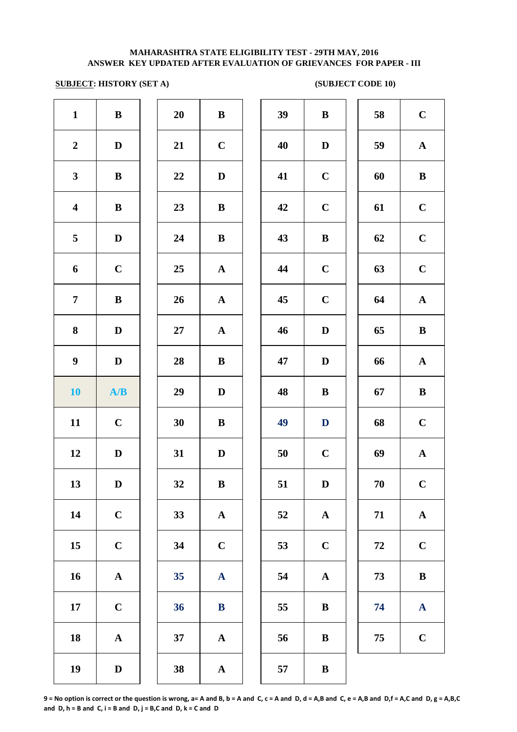# **SUBJECT: HISTORY (SET A)** (SUBJECT CODE 10)

| $\mathbf{1}$            | ${\bf B}$             | 20 | $\, {\bf B}$              | 39 | $\bf{B}$     |
|-------------------------|-----------------------|----|---------------------------|----|--------------|
| $\boldsymbol{2}$        | $\mathbf D$           | 21 | $\mathbf C$               | 40 | $\mathbf{D}$ |
| $\mathbf{3}$            | $\bf{B}$              | 22 | $\mathbf D$               | 41 | $\mathbf C$  |
| $\overline{\mathbf{4}}$ | $\, {\bf B}$          | 23 | $\, {\bf B}$              | 42 | $\mathbf C$  |
| 5                       | $\mathbf D$           | 24 | $\, {\bf B}$              | 43 | $\bf{B}$     |
| 6                       | $\mathbf C$           | 25 | ${\bf A}$                 | 44 | $\mathbf C$  |
| $\overline{7}$          | $\bf{B}$              | 26 | ${\bf A}$                 | 45 | $\mathbf C$  |
| 8                       | $\mathbf D$           | 27 | ${\bf A}$                 | 46 | $\bf{D}$     |
| $\boldsymbol{9}$        | $\mathbf D$           | 28 | $\bf{B}$                  | 47 | D            |
| <b>10</b>               | A/B                   | 29 | $\mathbf D$               | 48 | $\bf{B}$     |
| 11                      | $\mathbf C$           | 30 | $\, {\bf B}$              | 49 | D            |
| 12                      | $\mathbf D$           | 31 | $\mathbf D$               | 50 | $\mathbf C$  |
| 13                      | $\mathbf D$           | 32 | $\bf{B}$                  | 51 | D            |
| 14                      | $\mathbf C$           | 33 | $\boldsymbol{\rm{A}}$     | 52 | $\mathbf A$  |
| 15                      | $\mathbf C$           | 34 | $\mathbf C$               | 53 | $\mathbf C$  |
| 16                      | $\boldsymbol{\rm{A}}$ | 35 | $\boldsymbol{\mathbf{A}}$ | 54 | $\mathbf A$  |
| 17                      | $\mathbf C$           | 36 | ${\bf B}$                 | 55 | $\bf{B}$     |
| 18                      | $\boldsymbol{\rm{A}}$ | 37 | $\boldsymbol{\rm{A}}$     | 56 | $\bf{B}$     |
| 19                      | $\mathbf D$           | 38 | ${\bf A}$                 | 57 | $\bf{B}$     |

| 20 | B            |
|----|--------------|
| 21 | $\mathbf C$  |
| 22 | D            |
| 23 | B            |
| 24 | B            |
| 25 | $\mathbf A$  |
| 26 | $\mathbf A$  |
| 27 | $\mathbf{A}$ |
| 28 | B            |
| 29 | D            |
| 30 | B            |
| 31 | D            |
| 32 | B            |
| 33 | A            |
| 34 | $\mathbf C$  |
| 35 | $\mathbf A$  |
| 36 | $\bf{B}$     |
| 37 | A            |
|    |              |

| $\mathbf{1}$            | $\bf{B}$     | 20     | $\bf{B}$     | 39 | $\bf{B}$     | 58 | $\mathbf C$  |
|-------------------------|--------------|--------|--------------|----|--------------|----|--------------|
| $\overline{2}$          | $\mathbf D$  | 21     | $\mathbf C$  | 40 | D            | 59 | ${\bf A}$    |
| $\mathbf{3}$            | $\bf{B}$     | 22     | $\mathbf{D}$ | 41 | $\mathbf C$  | 60 | $\bf{B}$     |
| $\overline{\mathbf{4}}$ | $\, {\bf B}$ | 23     | $\bf{B}$     | 42 | $\mathbf C$  | 61 | $\mathbf C$  |
| $\overline{5}$          | $\mathbf D$  | 24     | ${\bf B}$    | 43 | $\bf{B}$     | 62 | $\mathbf C$  |
| 6                       | $\mathbf C$  | 25     | ${\bf A}$    | 44 | $\mathbf C$  | 63 | $\mathbf C$  |
| $\overline{7}$          | $\, {\bf B}$ | 26     | ${\bf A}$    | 45 | $\mathbf C$  | 64 | ${\bf A}$    |
| $\boldsymbol{8}$        | $\mathbf D$  | $27\,$ | ${\bf A}$    | 46 | $\mathbf D$  | 65 | $\bf{B}$     |
| $\boldsymbol{9}$        | $\mathbf{D}$ | 28     | $\, {\bf B}$ | 47 | $\mathbf D$  | 66 | ${\bf A}$    |
| 10                      | A/B          | 29     | $\mathbf D$  | 48 | $\, {\bf B}$ | 67 | $\, {\bf B}$ |
| 11                      | $\mathbf C$  | 30     | $\bf{B}$     | 49 | D            | 68 | $\mathbf C$  |
| 12                      | D            | 31     | D            | 50 | $\mathbf C$  | 69 | ${\bf A}$    |
| 13                      | D            | 32     | B            | 51 | D            | 70 | $\mathbf C$  |
| 14                      | $\mathbf C$  | 33     | $\mathbf{A}$ | 52 | ${\bf A}$    | 71 | ${\bf A}$    |
| 15                      | $\mathbf C$  | 34     | $\mathbf C$  | 53 | $\mathbf C$  | 72 | $\bf C$      |
| 16                      | ${\bf A}$    | 35     | ${\bf A}$    | 54 | ${\bf A}$    | 73 | $\bf{B}$     |
| 17                      | $\mathbf C$  | 36     | $\bf{B}$     | 55 | $\bf{B}$     | 74 | $\mathbf{A}$ |
| 18                      | ${\bf A}$    | 37     | ${\bf A}$    | 56 | $\bf{B}$     | 75 | $\mathbf C$  |
| 10                      | $\mathbf{D}$ | 38     |              | 57 | $\mathbf{R}$ |    |              |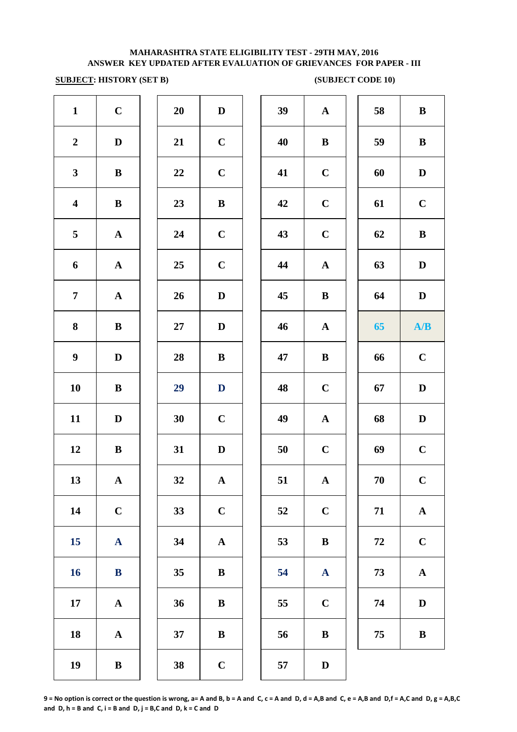## **SUBJECT: HISTORY (SET B)** (SUBJECT CODE 10)

| $\mathbf{1}$            | $\mathbf C$           | 20     | $\mathbf D$  | 39 | $\mathbf{A}$ |
|-------------------------|-----------------------|--------|--------------|----|--------------|
| $\boldsymbol{2}$        | ${\bf D}$             | 21     | $\mathbf C$  | 40 | $\bf{B}$     |
| $\mathbf{3}$            | $\, {\bf B}$          | $22\,$ | $\mathbf C$  | 41 | $\mathbf C$  |
| $\overline{\mathbf{4}}$ | $\, {\bf B}$          | 23     | $\, {\bf B}$ | 42 | $\mathbf C$  |
| 5                       | ${\bf A}$             | 24     | $\mathbf C$  | 43 | $\mathbf C$  |
| $\boldsymbol{6}$        | $\boldsymbol{\rm{A}}$ | 25     | $\mathbf C$  | 44 | $\mathbf{A}$ |
| $\overline{7}$          | ${\bf A}$             | 26     | $\mathbf D$  | 45 | $\bf{B}$     |
| 8                       | $\, {\bf B}$          | 27     | $\mathbf D$  | 46 | $\mathbf A$  |
| $\boldsymbol{9}$        | $\mathbf D$           | 28     | $\bf{B}$     | 47 | $\bf{B}$     |
| ${\bf 10}$              | $\, {\bf B}$          | 29     | $\mathbf D$  | 48 | $\mathbf C$  |
| 11                      | $\mathbf D$           | 30     | $\mathbf C$  | 49 | $\mathbf{A}$ |
| 12                      | $\, {\bf B}$          | 31     | $\mathbf D$  | 50 | $\mathbf C$  |
| 13                      | ${\bf A}$             | 32     | $\mathbf A$  | 51 | $\mathbf A$  |
| 14                      | $\mathbf C$           | 33     | $\mathbf C$  | 52 | $\mathbf C$  |
| 15                      | $\mathbf A$           | 34     | $\mathbf A$  | 53 | $\bf{B}$     |
| 16                      | $\bf{B}$              | 35     | $\, {\bf B}$ | 54 | $\mathbf{A}$ |
| ${\bf 17}$              | $\boldsymbol{\rm{A}}$ | 36     | $\, {\bf B}$ | 55 | $\mathbf C$  |
| 18                      | $\boldsymbol{\rm{A}}$ | 37     | $\, {\bf B}$ | 56 | $\bf{B}$     |
| 19                      | $\, {\bf B}$          | 38     | $\mathbf C$  | 57 | $\mathbf{D}$ |
|                         |                       |        |              |    |              |

| $\mathbf{1}$            | $\mathbf C$  | 20 | $\mathbf D$  | 39 | $\mathbf{A}$ | 58 | $\, {\bf B}$ |
|-------------------------|--------------|----|--------------|----|--------------|----|--------------|
| $\boldsymbol{2}$        | $\mathbf D$  | 21 | $\mathbf C$  | 40 | $\bf{B}$     | 59 | $\bf{B}$     |
| $\mathbf{3}$            | $\bf{B}$     | 22 | $\mathbf C$  | 41 | $\mathbf C$  | 60 | $\mathbf D$  |
| $\overline{\mathbf{4}}$ | $\bf{B}$     | 23 | $\, {\bf B}$ | 42 | $\mathbf C$  | 61 | $\mathbf C$  |
| $\overline{5}$          | $\mathbf{A}$ | 24 | $\mathbf C$  | 43 | $\mathbf C$  | 62 | $\bf{B}$     |
| 6                       | $\mathbf{A}$ | 25 | $\mathbf C$  | 44 | $\mathbf{A}$ | 63 | $\mathbf D$  |
| $\overline{7}$          | $\mathbf{A}$ | 26 | $\mathbf D$  | 45 | $\bf{B}$     | 64 | D            |
| 8                       | $\bf{B}$     | 27 | $\mathbf{D}$ | 46 | $\mathbf A$  | 65 | A/B          |
| $\boldsymbol{9}$        | $\mathbf D$  | 28 | $\bf{B}$     | 47 | $\bf{B}$     | 66 | $\mathbf C$  |
| 10                      | $\bf{B}$     | 29 | D            | 48 | $\bf C$      | 67 | $\mathbf D$  |
| 11                      | $\mathbf D$  | 30 | $\mathbf C$  | 49 | ${\bf A}$    | 68 | $\mathbf D$  |
| 12                      | $\bf{B}$     | 31 | $\mathbf D$  | 50 | $\mathbf C$  | 69 | $\mathbf C$  |
| 13                      | ${\bf A}$    | 32 | $\mathbf{A}$ | 51 | $\mathbf{A}$ | 70 | $\mathbf C$  |
| 14                      | $\mathbf C$  | 33 | $\mathbf C$  | 52 | $\mathbf C$  | 71 | ${\bf A}$    |
| 15                      | $\mathbf{A}$ | 34 | $\mathbf A$  | 53 | $\bf{B}$     | 72 | $\bf C$      |
| 16                      | $\bf{B}$     | 35 | ${\bf B}$    | 54 | $\mathbf{A}$ | 73 | ${\bf A}$    |
| 17                      | $\mathbf A$  | 36 | $\bf{B}$     | 55 | $\mathbf C$  | 74 | $\mathbf D$  |
| 18                      | $\mathbf A$  | 37 | ${\bf B}$    | 56 | $\bf{B}$     | 75 | $\bf{B}$     |
| 19                      | ${\bf B}$    | 38 | $\mathbf C$  | 57 | $\mathbf D$  |    |              |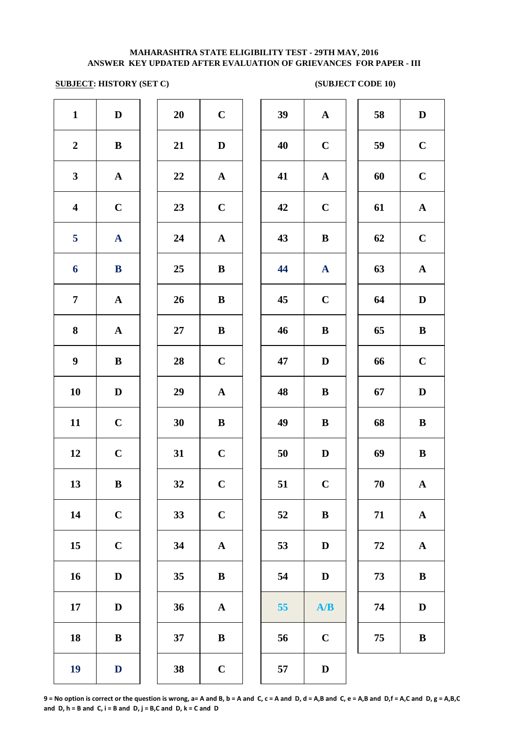## **SUBJECT: HISTORY (SET C)** (SUBJECT CODE 10)

| $\mathbf{1}$            | $\mathbf D$  | 20     | $\mathbf C$  | 39 | ${\bf A}$    | 58         | $\mathbf D$  |
|-------------------------|--------------|--------|--------------|----|--------------|------------|--------------|
| $\boldsymbol{2}$        | $\, {\bf B}$ | 21     | $\mathbf D$  | 40 | $\bf C$      | 59         | $\mathbf C$  |
| $\mathbf{3}$            | ${\bf A}$    | 22     | ${\bf A}$    | 41 | $\mathbf{A}$ | 60         | $\mathbf C$  |
| $\overline{\mathbf{4}}$ | $\bf C$      | 23     | $\bf C$      | 42 | $\mathbf C$  | 61         | $\mathbf A$  |
| 5                       | ${\bf A}$    | 24     | ${\bf A}$    | 43 | $\bf{B}$     | 62         | $\mathbf C$  |
| 6                       | ${\bf B}$    | 25     | $\bf{B}$     | 44 | $\mathbf{A}$ | 63         | $\mathbf A$  |
| $\overline{7}$          | ${\bf A}$    | 26     | $\bf{B}$     | 45 | $\bf C$      | 64         | $\mathbf{D}$ |
| 8                       | $\mathbf{A}$ | $27\,$ | $\bf{B}$     | 46 | $\bf{B}$     | 65         | $\bf{B}$     |
| $\boldsymbol{9}$        | ${\bf B}$    | 28     | $\mathbf C$  | 47 | D            | 66         | $\mathbf C$  |
| 10                      | $\mathbf D$  | 29     | ${\bf A}$    | 48 | $\bf{B}$     | 67         | $\mathbf{D}$ |
| 11                      | $\mathbf C$  | 30     | ${\bf B}$    | 49 | $\bf{B}$     | 68         | $\bf{B}$     |
| 12                      | $\mathbf C$  | 31     | $\mathbf C$  | 50 | $\mathbf D$  | 69         | $\bf{B}$     |
| 13                      | $\bf{B}$     | 32     | $\mathbf C$  | 51 | $\mathbf C$  | 70         | $\mathbf A$  |
| 14                      | $\mathbf C$  | 33     | $\mathbf C$  | 52 | $\, {\bf B}$ | 71         | $\mathbf A$  |
| 15                      | $\mathbf C$  | 34     | ${\bf A}$    | 53 | $\mathbf D$  | ${\bf 72}$ | $\mathbf A$  |
| 16                      | $\mathbf D$  | 35     | ${\bf B}$    | 54 | $\mathbf D$  | 73         | $\bf{B}$     |
| 17                      | $\mathbf D$  | 36     | ${\bf A}$    | 55 | A/B          | 74         | $\mathbf{D}$ |
| 18                      | $\, {\bf B}$ | 37     | $\, {\bf B}$ | 56 | $\bf C$      | 75         | $\bf{B}$     |
| 19                      | $\mathbf D$  | 38     | $\mathbf C$  | 57 | $\mathbf D$  |            |              |
|                         |              |        |              |    |              |            |              |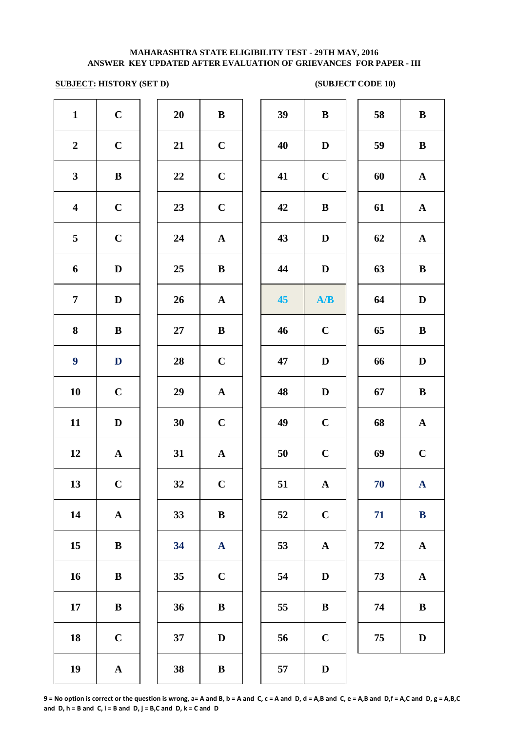## **SUBJECT: HISTORY (SET D)** (SUBJECT CODE 10)

| $\mathbf{1}$            | $\mathbf C$           | <b>20</b> | $\, {\bf B}$          | 39 | $\bf{B}$     |
|-------------------------|-----------------------|-----------|-----------------------|----|--------------|
| $\boldsymbol{2}$        | $\mathbf C$           | 21        | $\mathbf C$           | 40 | $\mathbf{D}$ |
| $\mathbf{3}$            | $\bf{B}$              | 22        | $\mathbf C$           | 41 | $\mathbf C$  |
| $\overline{\mathbf{4}}$ | $\mathbf C$           | 23        | $\mathbf C$           | 42 | $\bf{B}$     |
| 5                       | $\mathbf C$           | 24        | ${\bf A}$             | 43 | $\mathbf{D}$ |
| 6                       | $\mathbf D$           | 25        | $\, {\bf B}$          | 44 | $\mathbf{D}$ |
| $\overline{7}$          | $\mathbf D$           | 26        | ${\bf A}$             | 45 | A            |
| ${\bf 8}$               | ${\bf B}$             | $27\,$    | $\, {\bf B}$          | 46 | $\mathbf C$  |
| $\boldsymbol{9}$        | ${\bf D}$             | 28        | $\mathbf C$           | 47 | $\mathbf{D}$ |
| 10                      | $\mathbf C$           | 29        | $\boldsymbol{\rm{A}}$ | 48 | $\mathbf{D}$ |
| 11                      | ${\bf D}$             | 30        | $\mathbf C$           | 49 | $\mathbf C$  |
| 12                      | $\boldsymbol{\rm{A}}$ | 31        | $\boldsymbol{\rm{A}}$ | 50 | $\mathbf C$  |
| 13                      | $\mathbf C$           | 32        | $\mathbf C$           | 51 | $\mathbf A$  |
| 14                      | ${\bf A}$             | 33        | $\bf{B}$              | 52 | $\mathbf C$  |
| 15                      | ${\bf B}$             | 34        | $\mathbf{A}$          | 53 | $\mathbf A$  |
| 16                      | $\, {\bf B}$          | 35        | $\mathbf C$           | 54 | $\mathbf{D}$ |
| 17                      | $\, {\bf B}$          | 36        | $\, {\bf B}$          | 55 | $\bf{B}$     |
| 18                      | $\mathbf C$           | 37        | $\mathbf D$           | 56 | $\mathbf C$  |
| 19                      | ${\bf A}$             | 38        | $\bf{B}$              | 57 | $\mathbf{D}$ |
|                         |                       |           |                       |    |              |

| <b>20</b> | B           |  |
|-----------|-------------|--|
| 21        | $\mathbf C$ |  |
| 22        | $\mathbf C$ |  |
| 23        | $\mathbf C$ |  |
| 24        | $\mathbf A$ |  |
| 25        | B           |  |
| 26        | $\mathbf A$ |  |
| 27        | B           |  |
| 28        | $\mathbf C$ |  |
| 29        | $\mathbf A$ |  |
| 30        | $\mathbf C$ |  |
| 31        | A           |  |
| 32        | $\mathbf C$ |  |
| 33        | B           |  |
| 34        | $\mathbf A$ |  |
| 35        | $\mathbf C$ |  |
| 36        | B           |  |
| 37        | D           |  |
|           |             |  |

| $\mathbf{1}$            | $\mathbf C$  | 20     | $\bf{B}$     | 39 | $\bf{B}$     | 58 | $\, {\bf B}$ |
|-------------------------|--------------|--------|--------------|----|--------------|----|--------------|
| $\overline{2}$          | $\mathbf C$  | 21     | $\mathbf C$  | 40 | D            | 59 | $\bf{B}$     |
| $\mathbf{3}$            | $\bf{B}$     | 22     | $\mathbf C$  | 41 | $\mathbf C$  | 60 | ${\bf A}$    |
| $\overline{\mathbf{4}}$ | $\mathbf C$  | 23     | $\mathbf C$  | 42 | $\bf{B}$     | 61 | ${\bf A}$    |
| $5\overline{)}$         | $\mathbf C$  | 24     | $\mathbf{A}$ | 43 | D            | 62 | $\mathbf{A}$ |
| 6                       | $\mathbf D$  | 25     | $\bf{B}$     | 44 | D            | 63 | $\bf{B}$     |
| $\overline{7}$          | $\mathbf D$  | 26     | $\mathbf{A}$ | 45 | A/B          | 64 | $\mathbf D$  |
| 8                       | $\bf{B}$     | $27\,$ | $\bf{B}$     | 46 | $\mathbf C$  | 65 | $\bf{B}$     |
| $\boldsymbol{9}$        | D            | 28     | $\mathbf C$  | 47 | $\mathbf D$  | 66 | $\mathbf D$  |
| 10                      | $\mathbf C$  | 29     | ${\bf A}$    | 48 | D            | 67 | $\bf{B}$     |
| 11                      | $\mathbf D$  | 30     | $\bf C$      | 49 | $\mathbf C$  | 68 | ${\bf A}$    |
| 12                      | $\mathbf{A}$ | 31     | ${\bf A}$    | 50 | $\mathbf C$  | 69 | $\mathbf C$  |
| 13                      | $\mathbf C$  | 32     | $\mathbf C$  | 51 | ${\bf A}$    | 70 | $\mathbf{A}$ |
| 14                      | ${\bf A}$    | 33     | $\bf{B}$     | 52 | $\mathbf C$  | 71 | $\bf{B}$     |
| 15                      | $\, {\bf B}$ | 34     | ${\bf A}$    | 53 | ${\bf A}$    | 72 | $\mathbf{A}$ |
| 16                      | $\, {\bf B}$ | 35     | $\mathbf C$  | 54 | $\mathbf D$  | 73 | $\mathbf{A}$ |
| 17                      | $\, {\bf B}$ | 36     | $\, {\bf B}$ | 55 | $\, {\bf B}$ | 74 | $\, {\bf B}$ |
| 18                      | $\mathbf C$  | 37     | $\mathbf D$  | 56 | $\mathbf C$  | 75 | $\mathbf D$  |
| 19                      | ${\bf A}$    | 38     | $\, {\bf B}$ | 57 | $\mathbf D$  |    |              |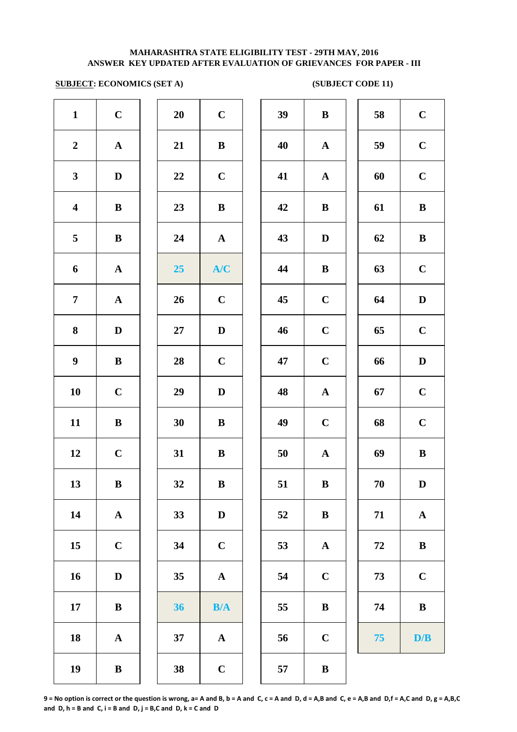## **SUBJECT: ECONOMICS (SET A)** (SUBJECT CODE 11)

| $\mathbf{1}$            | $\mathbf C$           | 20               | $\mathbf C$           | 39 | $\bf{B}$     |
|-------------------------|-----------------------|------------------|-----------------------|----|--------------|
| $\boldsymbol{2}$        | ${\bf A}$             | 21               | $\, {\bf B}$          | 40 | $\mathbf A$  |
| $\mathbf{3}$            | $\mathbf D$           | 22               | $\mathbf C$           | 41 | $\mathbf A$  |
| $\overline{\mathbf{4}}$ | $\bf{B}$              | 23               | $\, {\bf B}$          | 42 | $\bf{B}$     |
| $\overline{\mathbf{5}}$ | $\, {\bf B}$          | 24               | ${\bf A}$             | 43 | $\mathbf D$  |
| 6                       | ${\bf A}$             | $25\phantom{.0}$ | A/C                   | 44 | $\bf{B}$     |
| $\boldsymbol{7}$        | ${\bf A}$             | 26               | $\mathbf C$           | 45 | $\mathbf C$  |
| ${\bf 8}$               | $\mathbf D$           | $27\,$           | $\mathbf D$           | 46 | $\mathbf C$  |
| $\boldsymbol{9}$        | $\bf{B}$              | 28               | $\mathbf C$           | 47 | $\mathbf C$  |
| 10                      | $\mathbf C$           | 29               | $\mathbf D$           | 48 | $\mathbf{A}$ |
| 11                      | $\bf{B}$              | 30               | $\, {\bf B}$          | 49 | $\mathbf C$  |
| 12                      | $\mathbf C$           | 31               | $\, {\bf B}$          | 50 | $\mathbf{A}$ |
| 13                      | $\bf{B}$              | 32               | $\bf{B}$              | 51 | $\bf{B}$     |
| 14                      | $\boldsymbol{\rm{A}}$ | 33               | $\mathbf D$           | 52 | $\bf{B}$     |
| 15                      | $\mathbf C$           | 34               | $\mathbf C$           | 53 | $\mathbf A$  |
| 16                      | ${\bf D}$             | 35               | $\boldsymbol{\rm{A}}$ | 54 | $\mathbf C$  |
| 17                      | $\, {\bf B}$          | 36               | B/A                   | 55 | $\bf{B}$     |
| 18                      | ${\bf A}$             | 37               | $\boldsymbol{\rm{A}}$ | 56 | $\mathbf C$  |
| 19                      | $\, {\bf B}$          | 38               | $\mathbf C$           | 57 | $\bf{B}$     |
|                         |                       |                  |                       |    |              |

| 20 | $\overline{\mathbf{C}}$ |  |
|----|-------------------------|--|
| 21 | B                       |  |
| 22 | $\mathbf C$             |  |
| 23 | B                       |  |
| 24 | $\mathbf A$             |  |
| 25 | A/C                     |  |
| 26 | $\mathbf C$             |  |
| 27 | D                       |  |
| 28 | $\mathbf C$             |  |
| 29 | D                       |  |
| 30 | B                       |  |
| 31 | B                       |  |
| 32 | B                       |  |
| 33 | $\mathbf{D}$            |  |
| 34 | $\mathbf C$             |  |
| 35 | $\mathbf A$             |  |
| 36 | B/A                     |  |
| 37 | A                       |  |
|    |                         |  |

| $\mathbf{1}$            | $\mathbf C$  | 20 | $\mathbf C$  | 39 | $\bf{B}$     | 58 | $\mathbf C$  |
|-------------------------|--------------|----|--------------|----|--------------|----|--------------|
| $\overline{2}$          | ${\bf A}$    | 21 | $\, {\bf B}$ | 40 | $\mathbf{A}$ | 59 | $\mathbf C$  |
| $\mathbf{3}$            | $\mathbf D$  | 22 | $\mathbf C$  | 41 | ${\bf A}$    | 60 | $\mathbf C$  |
| $\overline{\mathbf{4}}$ | $\bf{B}$     | 23 | $\, {\bf B}$ | 42 | $\bf{B}$     | 61 | $\, {\bf B}$ |
| 5                       | $\, {\bf B}$ | 24 | ${\bf A}$    | 43 | $\mathbf D$  | 62 | $\, {\bf B}$ |
| 6                       | ${\bf A}$    | 25 | A/C          | 44 | $\bf{B}$     | 63 | $\mathbf C$  |
| $\overline{7}$          | $\mathbf A$  | 26 | $\mathbf C$  | 45 | $\mathbf C$  | 64 | $\mathbf D$  |
| 8                       | $\mathbf D$  | 27 | $\mathbf D$  | 46 | $\mathbf C$  | 65 | $\mathbf C$  |
| $\boldsymbol{9}$        | $\bf{B}$     | 28 | $\mathbf C$  | 47 | $\mathbf C$  | 66 | $\mathbf D$  |
| 10                      | $\mathbf C$  | 29 | $\mathbf D$  | 48 | ${\bf A}$    | 67 | $\mathbf C$  |
| 11                      | $\bf{B}$     | 30 | $\bf{B}$     | 49 | $\mathbf C$  | 68 | $\mathbf C$  |
| 12                      | $\mathbf C$  | 31 | $\bf{B}$     | 50 | $\mathbf A$  | 69 | $\, {\bf B}$ |
| 13                      | $\bf{B}$     | 32 | $\bf{B}$     | 51 | $\, {\bf B}$ | 70 | $\mathbf D$  |
| 14                      | ${\bf A}$    | 33 | $\mathbf D$  | 52 | $\bf{B}$     | 71 | ${\bf A}$    |
| 15                      | $\mathbf C$  | 34 | $\mathbf C$  | 53 | $\mathbf{A}$ | 72 | $\, {\bf B}$ |
| 16                      | D            | 35 | ${\bf A}$    | 54 | $\mathbf C$  | 73 | $\mathbf C$  |
| 17                      | $\bf{B}$     | 36 | B/A          | 55 | $\bf{B}$     | 74 | $\, {\bf B}$ |
| 18                      | $\mathbf A$  | 37 | $\mathbf A$  | 56 | $\mathbf C$  | 75 | D/B          |
| 19                      | $\bf{B}$     | 38 | $\mathbf{C}$ | 57 | $\bf{B}$     |    |              |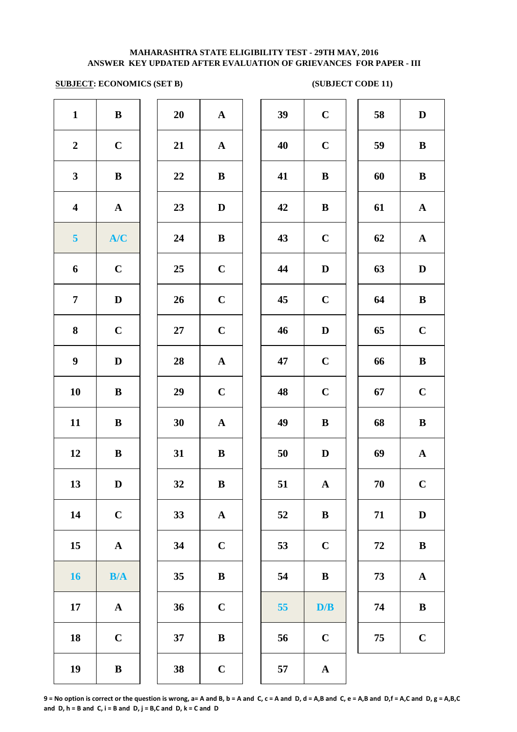## **SUBJECT: ECONOMICS (SET B)** (SUBJECT CODE 11)

| $\mathbf{1}$            | $\, {\bf B}$ | 20     | $\mathbf A$           | 39 | $\mathbf C$  |
|-------------------------|--------------|--------|-----------------------|----|--------------|
| $\boldsymbol{2}$        | $\mathbf C$  | 21     | ${\bf A}$             | 40 | $\mathbf C$  |
| $\mathbf{3}$            | $\, {\bf B}$ | 22     | $\, {\bf B}$          | 41 | $\bf{B}$     |
| $\overline{\mathbf{4}}$ | $\mathbf A$  | 23     | $\mathbf D$           | 42 | $\bf{B}$     |
| $\overline{\mathbf{5}}$ | A/C          | 24     | $\bf{B}$              | 43 | $\mathbf C$  |
| 6                       | $\mathbf C$  | 25     | $\mathbf C$           | 44 | $\mathbf{D}$ |
| $\overline{7}$          | $\mathbf D$  | 26     | $\mathbf C$           | 45 | $\mathbf C$  |
| 8                       | $\mathbf C$  | $27\,$ | $\mathbf C$           | 46 | $\mathbf{D}$ |
| $\boldsymbol{9}$        | ${\bf D}$    | 28     | ${\bf A}$             | 47 | $\mathbf C$  |
| 10                      | $\, {\bf B}$ | 29     | $\mathbf C$           | 48 | $\mathbf C$  |
| 11                      | $\, {\bf B}$ | 30     | $\mathbf A$           | 49 | $\bf{B}$     |
| 12                      | $\, {\bf B}$ | 31     | $\, {\bf B}$          | 50 | $\mathbf{D}$ |
| 13                      | $\mathbf D$  | 32     | $\, {\bf B}$          | 51 | $\mathbf A$  |
| 14                      | $\mathbf C$  | 33     | $\boldsymbol{\rm{A}}$ | 52 | $\bf{B}$     |
| 15                      | $\mathbf A$  | 34     | $\mathbf C$           | 53 | $\mathbf C$  |
| <b>16</b>               | B/A          | 35     | $\, {\bf B}$          | 54 | $\bf{B}$     |
| 17                      | ${\bf A}$    | 36     | $\mathbf C$           | 55 | D/           |
| 18                      | $\mathbf C$  | 37     | $\, {\bf B}$          | 56 | $\mathbf C$  |
| 19                      | $\, {\bf B}$ | 38     | $\mathbf C$           | 57 | $\mathbf A$  |
|                         |              |        |                       |    |              |

| 20 | $\mathbf A$  |  |
|----|--------------|--|
| 21 | $\mathbf{A}$ |  |
| 22 | B            |  |
| 23 | D            |  |
| 24 | B            |  |
| 25 | $\mathbf C$  |  |
| 26 | $\mathbf C$  |  |
| 27 | $\mathbf C$  |  |
| 28 | $\mathbf{A}$ |  |
| 29 | $\mathbf C$  |  |
| 30 | $\mathbf A$  |  |
| 31 | B            |  |
| 32 | B            |  |
| 33 | A            |  |
| 34 | $\mathbf C$  |  |
| 35 | B            |  |
| 36 | $\mathbf C$  |  |
| 37 | B            |  |
|    |              |  |

| $\mathbf{1}$            | $\, {\bf B}$ | 20 | ${\bf A}$    | 39 | $\mathbf C$  | 58 | $\mathbf D$  |
|-------------------------|--------------|----|--------------|----|--------------|----|--------------|
| $\overline{2}$          | $\mathbf C$  | 21 | ${\bf A}$    | 40 | $\mathbf C$  | 59 | $\bf{B}$     |
| $\mathbf{3}$            | $\, {\bf B}$ | 22 | $\, {\bf B}$ | 41 | $\, {\bf B}$ | 60 | $\bf{B}$     |
| $\overline{\mathbf{4}}$ | $\mathbf{A}$ | 23 | D            | 42 | $\bf{B}$     | 61 | ${\bf A}$    |
| $\overline{\mathbf{5}}$ | A/C          | 24 | $\bf{B}$     | 43 | $\mathbf C$  | 62 | $\mathbf{A}$ |
| 6                       | $\mathbf C$  | 25 | $\mathbf C$  | 44 | $\mathbf D$  | 63 | D            |
| $\overline{7}$          | $\mathbf D$  | 26 | $\mathbf C$  | 45 | $\mathbf C$  | 64 | $\bf{B}$     |
| 8                       | $\mathbf C$  | 27 | $\mathbf C$  | 46 | $\mathbf D$  | 65 | $\mathbf C$  |
| $\boldsymbol{9}$        | $\mathbf{D}$ | 28 | ${\bf A}$    | 47 | $\mathbf C$  | 66 | $\bf{B}$     |
| 10                      | $\, {\bf B}$ | 29 | $\mathbf C$  | 48 | $\mathbf C$  | 67 | $\mathbf C$  |
| 11                      | $\bf{B}$     | 30 | ${\bf A}$    | 49 | $\bf{B}$     | 68 | $\bf{B}$     |
| 12                      | $\bf{B}$     | 31 | ${\bf B}$    | 50 | $\mathbf D$  | 69 | ${\bf A}$    |
| 13                      | $\mathbf D$  | 32 | $\, {\bf B}$ | 51 | $\mathbf A$  | 70 | $\bf C$      |
| 14                      | $\mathbf C$  | 33 | $\mathbf{A}$ | 52 | $\bf{B}$     | 71 | $\mathbf D$  |
| 15                      | $\mathbf A$  | 34 | $\mathbf C$  | 53 | $\mathbf C$  | 72 | $\bf{B}$     |
| 16                      | B/A          | 35 | $\bf{B}$     | 54 | $\bf{B}$     | 73 | ${\bf A}$    |
| 17                      | $\mathbf A$  | 36 | $\mathbf C$  | 55 | D/B          | 74 | $\bf{B}$     |
| 18                      | $\mathbf C$  | 37 | $\bf{B}$     | 56 | $\mathbf C$  | 75 | $\mathbf C$  |
| 19                      | $\, {\bf B}$ | 38 | $\mathbf C$  | 57 | $\mathbf A$  |    |              |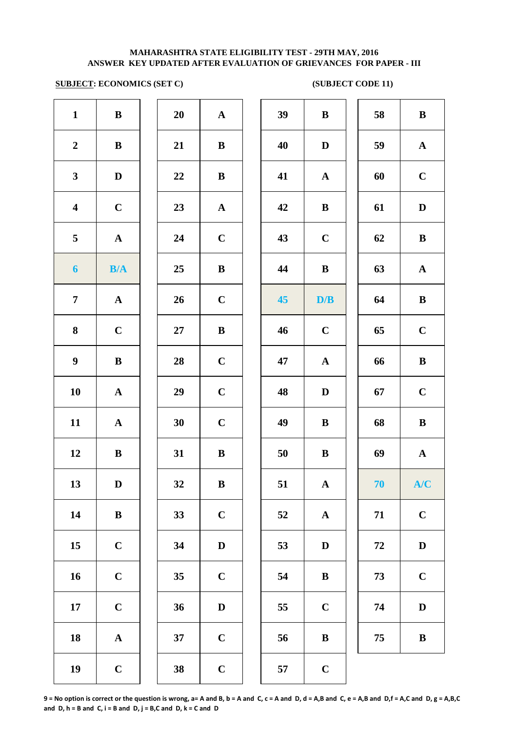# **SUBJECT: ECONOMICS (SET C)** (SUBJECT CODE 11)

| $\mathbf{1}$            | $\, {\bf B}$          | 20     | $\mathbf A$  | 39 | $\bf{B}$     |
|-------------------------|-----------------------|--------|--------------|----|--------------|
| $\boldsymbol{2}$        | ${\bf B}$             | 21     | $\bf{B}$     | 40 | $\mathbf{D}$ |
| $\mathbf{3}$            | $\mathbf D$           | 22     | $\, {\bf B}$ | 41 | $\mathbf A$  |
| $\overline{\mathbf{4}}$ | $\mathbf C$           | 23     | $\mathbf A$  | 42 | $\bf{B}$     |
| 5                       | ${\bf A}$             | 24     | $\mathbf C$  | 43 | $\mathbf C$  |
| $\boldsymbol{6}$        | B/A                   | 25     | $\bf{B}$     | 44 | $\bf{B}$     |
| $\overline{7}$          | $\boldsymbol{\rm{A}}$ | 26     | $\mathbf C$  | 45 | D/           |
| 8                       | $\mathbf C$           | $27\,$ | $\bf{B}$     | 46 | $\mathbf C$  |
| $\boldsymbol{9}$        | $\bf{B}$              | 28     | $\mathbf C$  | 47 | $\mathbf A$  |
| 10                      | ${\bf A}$             | 29     | $\mathbf C$  | 48 | $\mathbf{D}$ |
| 11                      | $\mathbf A$           | 30     | $\mathbf C$  | 49 | $\bf{B}$     |
| 12                      | $\, {\bf B}$          | 31     | $\, {\bf B}$ | 50 | $\bf{B}$     |
| 13                      | $\mathbf D$           | 32     | $\, {\bf B}$ | 51 | $\mathbf A$  |
| 14                      | $\, {\bf B}$          | 33     | $\mathbf C$  | 52 | $\mathbf A$  |
| 15                      | $\mathbf C$           | 34     | $\mathbf D$  | 53 | $\mathbf{D}$ |
| 16                      | $\mathbf C$           | 35     | $\mathbf C$  | 54 | $\bf{B}$     |
| 17                      | $\mathbf C$           | 36     | $\mathbf D$  | 55 | $\mathbf C$  |
| 18                      | ${\bf A}$             | 37     | $\mathbf C$  | 56 | $\bf{B}$     |
| 19                      | $\mathbf C$           | 38     | $\mathbf C$  | 57 | $\mathbf C$  |

| 20 | A                       |
|----|-------------------------|
| 21 | B                       |
| 22 | B                       |
| 23 | $\mathbf A$             |
| 24 | $\overline{\mathbf{C}}$ |
| 25 | B                       |
| 26 | $\mathbf C$             |
| 27 | B                       |
| 28 | $\mathbf C$             |
| 29 | $\mathbf C$             |
| 30 | $\mathbf C$             |
| 31 | B                       |
| 32 | B                       |
| 33 | $\mathbf C$             |
| 34 | D                       |
| 35 | $\mathbf C$             |
| 36 | D                       |
| 37 | $\mathbf C$             |
|    |                         |

| $\mathbf{1}$            | $\, {\bf B}$ | 20 | ${\bf A}$    | 39 | $\bf{B}$     | 58 | $\bf{B}$     |
|-------------------------|--------------|----|--------------|----|--------------|----|--------------|
| $\overline{2}$          | $\, {\bf B}$ | 21 | $\bf{B}$     | 40 | D            | 59 | ${\bf A}$    |
| $\mathbf{3}$            | $\mathbf D$  | 22 | $\bf{B}$     | 41 | $\mathbf{A}$ | 60 | $\mathbf C$  |
| $\overline{\mathbf{4}}$ | $\mathbf C$  | 23 | ${\bf A}$    | 42 | $\bf{B}$     | 61 | D            |
| $5\overline{)}$         | ${\bf A}$    | 24 | $\mathbf C$  | 43 | $\mathbf C$  | 62 | $\bf{B}$     |
| $\boldsymbol{6}$        | B/A          | 25 | $\bf{B}$     | 44 | $\bf{B}$     | 63 | $\mathbf{A}$ |
| $\overline{7}$          | ${\bf A}$    | 26 | $\mathbf C$  | 45 | D/B          | 64 | $\, {\bf B}$ |
| 8                       | $\mathbf C$  | 27 | $\, {\bf B}$ | 46 | $\mathbf C$  | 65 | $\mathbf C$  |
| $\boldsymbol{9}$        | $\, {\bf B}$ | 28 | $\mathbf C$  | 47 | $\mathbf{A}$ | 66 | $\, {\bf B}$ |
| 10                      | ${\bf A}$    | 29 | $\mathbf C$  | 48 | $\mathbf D$  | 67 | $\mathbf C$  |
| 11                      | ${\bf A}$    | 30 | $\mathbf C$  | 49 | $\bf{B}$     | 68 | $\, {\bf B}$ |
| 12                      | $\bf{B}$     | 31 | $\bf{B}$     | 50 | $\, {\bf B}$ | 69 | $\mathbf A$  |
| 13                      | $\mathbf D$  | 32 | $\bf{B}$     | 51 | ${\bf A}$    | 70 | A/C          |
| 14                      | $\, {\bf B}$ | 33 | $\mathbf C$  | 52 | $\mathbf{A}$ | 71 | $\mathbf C$  |
| 15                      | $\mathbf C$  | 34 | $\mathbf D$  | 53 | $\mathbf D$  | 72 | $\mathbf D$  |
| 16                      | $\mathbf C$  | 35 | $\mathbf C$  | 54 | $\bf{B}$     | 73 | $\mathbf C$  |
| 17                      | $\mathbf C$  | 36 | $\mathbf D$  | 55 | $\mathbf C$  | 74 | $\mathbf D$  |
| 18                      | ${\bf A}$    | 37 | $\mathbf C$  | 56 | $\, {\bf B}$ | 75 | $\, {\bf B}$ |
| 19                      | $\mathbf C$  | 38 | $\mathbf C$  | 57 | $\mathbf C$  |    |              |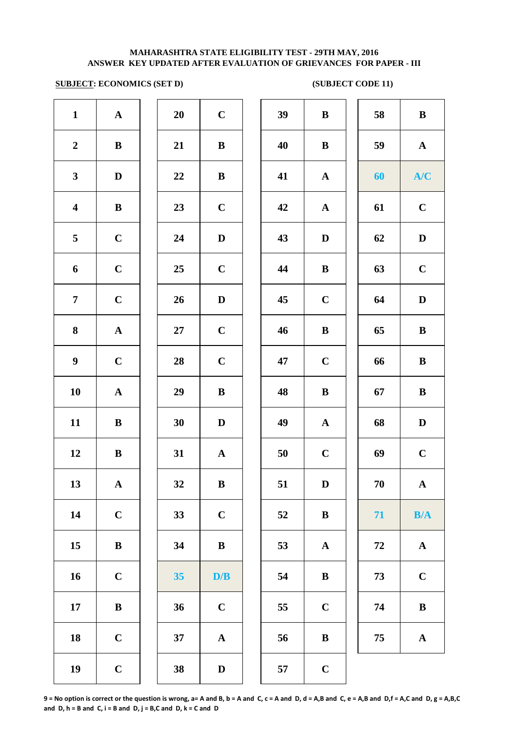## **SUBJECT: ECONOMICS (SET D) (SUBJECT CODE 11)**

| $\mathbf{1}$            | ${\bf A}$             | 20     | $\mathbf C$             | 39 | $\bf{B}$     |
|-------------------------|-----------------------|--------|-------------------------|----|--------------|
| $\boldsymbol{2}$        | $\, {\bf B}$          | 21     | $\, {\bf B}$            | 40 | $\bf{B}$     |
| $\mathbf{3}$            | $\mathbf D$           | 22     | $\, {\bf B}$            | 41 | $\mathbf A$  |
| $\overline{\mathbf{4}}$ | $\, {\bf B}$          | 23     | $\mathbf C$             | 42 | $\mathbf A$  |
| 5                       | $\mathbf C$           | 24     | $\mathbf D$             | 43 | $\mathbf{D}$ |
| 6                       | $\mathbf C$           | 25     | $\mathbf C$             | 44 | $\bf{B}$     |
| $\overline{7}$          | $\mathbf C$           | 26     | $\mathbf D$             | 45 | $\mathbf C$  |
| 8                       | $\boldsymbol{\rm{A}}$ | $27\,$ | $\mathbf C$             | 46 | $\bf{B}$     |
| $\boldsymbol{9}$        | $\mathbf C$           | 28     | $\mathbf C$             | 47 | $\mathbf C$  |
| 10                      | ${\bf A}$             | 29     | $\bf{B}$                | 48 | $\bf{B}$     |
| 11                      | $\bf{B}$              | 30     | $\mathbf D$             | 49 | $\mathbf A$  |
| 12                      | $\, {\bf B}$          | 31     | $\mathbf A$             | 50 | $\mathbf C$  |
| 13                      | $\mathbf A$           | 32     | $\, {\bf B}$            | 51 | $\mathbf{D}$ |
| 14                      | $\mathbf C$           | 33     | $\mathbf C$             | 52 | $\bf{B}$     |
| 15                      | $\bf{B}$              | 34     | $\, {\bf B}$            | 53 | $\mathbf A$  |
| 16                      | $\mathbf C$           | 35     | $\mathbf{D}/\mathbf{B}$ | 54 | $\bf{B}$     |
| 17                      | $\bf{B}$              | 36     | $\mathbf C$             | 55 | $\mathbf C$  |
| 18                      | $\mathbf C$           | 37     | ${\bf A}$               | 56 | $\bf{B}$     |
| 19                      | $\mathbf C$           | 38     | $\mathbf D$             | 57 | $\mathbf C$  |
|                         |                       |        |                         |    |              |

| 20 | $\mathbf C$             |  |
|----|-------------------------|--|
| 21 | B                       |  |
| 22 | B                       |  |
| 23 | $\mathbf C$             |  |
| 24 | D                       |  |
| 25 | $\mathbf C$             |  |
| 26 | D                       |  |
| 27 | $\overline{\mathbf{C}}$ |  |
| 28 | $\mathbf C$             |  |
| 29 | B                       |  |
| 30 | D                       |  |
| 31 | $\overline{\mathbf{A}}$ |  |
| 32 | B                       |  |
| 33 | $\mathbf C$             |  |
| 34 | $\bf{B}$                |  |
| 35 | D/B                     |  |
| 36 | $\mathbf C$             |  |
| 37 | A                       |  |
| 38 | D                       |  |

| $\mathbf{1}$            | ${\bf A}$    | 20     | $\mathbf C$  | 39 | $\, {\bf B}$ | 58 | $\bf{B}$     |
|-------------------------|--------------|--------|--------------|----|--------------|----|--------------|
| $\overline{2}$          | $\bf{B}$     | 21     | $\bf{B}$     | 40 | $\bf{B}$     | 59 | ${\bf A}$    |
| $\mathbf{3}$            | $\mathbf D$  | 22     | $\bf{B}$     | 41 | $\mathbf{A}$ | 60 | A/C          |
| $\overline{\mathbf{4}}$ | $\bf{B}$     | 23     | $\mathbf C$  | 42 | ${\bf A}$    | 61 | $\mathbf C$  |
| $\overline{5}$          | $\mathbf C$  | 24     | $\mathbf D$  | 43 | $\mathbf D$  | 62 | $\mathbf D$  |
| 6                       | $\mathbf C$  | 25     | $\mathbf C$  | 44 | $\bf{B}$     | 63 | $\mathbf C$  |
| $\overline{7}$          | $\mathbf C$  | 26     | $\mathbf D$  | 45 | $\mathbf C$  | 64 | $\mathbf D$  |
| $\boldsymbol{8}$        | ${\bf A}$    | $27\,$ | $\mathbf C$  | 46 | $\bf{B}$     | 65 | $\, {\bf B}$ |
| $\boldsymbol{9}$        | $\mathbf C$  | 28     | $\mathbf C$  | 47 | $\mathbf C$  | 66 | $\bf{B}$     |
| 10                      | ${\bf A}$    | 29     | $\bf{B}$     | 48 | $\, {\bf B}$ | 67 | $\bf{B}$     |
| 11                      | ${\bf B}$    | 30     | $\mathbf D$  | 49 | ${\bf A}$    | 68 | $\mathbf D$  |
| 12                      | ${\bf B}$    | 31     | $\mathbf{A}$ | 50 | $\mathbf C$  | 69 | $\mathbf C$  |
| 13                      | ${\bf A}$    | 32     | $\, {\bf B}$ | 51 | $\mathbf D$  | 70 | ${\bf A}$    |
| 14                      | $\mathbf C$  | 33     | $\mathbf C$  | 52 | $\bf{B}$     | 71 | B/A          |
| 15                      | $\, {\bf B}$ | 34     | ${\bf B}$    | 53 | $\mathbf A$  | 72 | ${\bf A}$    |
| 16                      | $\mathbf C$  | 35     | D/B          | 54 | $\bf{B}$     | 73 | $\mathbf C$  |
| 17                      | ${\bf B}$    | 36     | $\mathbf C$  | 55 | $\mathbf C$  | 74 | $\, {\bf B}$ |
| 18                      | $\mathbf C$  | 37     | ${\bf A}$    | 56 | $\bf{B}$     | 75 | ${\bf A}$    |
| 19                      | $\mathbf C$  | 38     | $\mathbf D$  | 57 | $\mathbf C$  |    |              |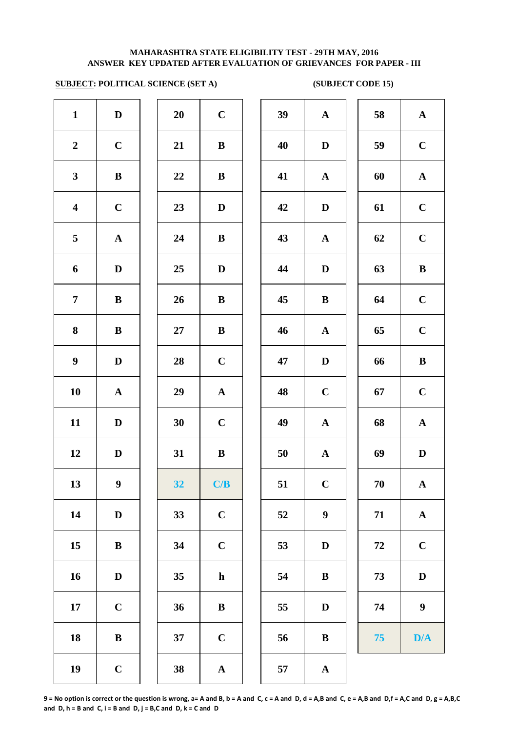# **SUBJECT: POLITICAL SCIENCE (SET A) (SUBJECT CODE 15)**

| $\mathbf{1}$            | $\mathbf D$      | 20     | $\mathbf C$           | 39 | $\mathbf A$      |
|-------------------------|------------------|--------|-----------------------|----|------------------|
| $\boldsymbol{2}$        | $\mathbf C$      | 21     | $\, {\bf B}$          | 40 | $\mathbf{D}$     |
| $\mathbf{3}$            | $\, {\bf B}$     | 22     | $\, {\bf B}$          | 41 | $\mathbf A$      |
| $\overline{\mathbf{4}}$ | $\mathbf C$      | 23     | $\mathbf D$           | 42 | $\mathbf{D}$     |
| 5                       | ${\bf A}$        | 24     | $\, {\bf B}$          | 43 | $\mathbf A$      |
| 6                       | $\mathbf D$      | 25     | $\mathbf D$           | 44 | $\mathbf{D}$     |
| $\overline{7}$          | $\, {\bf B}$     | 26     | $\, {\bf B}$          | 45 | $\bf{B}$         |
| 8                       | $\, {\bf B}$     | $27\,$ | $\, {\bf B}$          | 46 | $\mathbf A$      |
| $\boldsymbol{9}$        | $\mathbf D$      | 28     | $\mathbf C$           | 47 | $\mathbf{D}$     |
| 10                      | ${\bf A}$        | 29     | $\boldsymbol{\rm{A}}$ | 48 | $\mathbf C$      |
| 11                      | $\mathbf D$      | 30     | $\mathbf C$           | 49 | $\mathbf A$      |
| 12                      | $\mathbf D$      | 31     | $\, {\bf B}$          | 50 | $\mathbf A$      |
| 13                      | $\boldsymbol{9}$ | 32     | C/B                   | 51 | $\mathbf C$      |
| 14                      | $\mathbf D$      | 33     | $\mathbf C$           | 52 | $\boldsymbol{9}$ |
| 15                      | $\, {\bf B}$     | 34     | $\mathbf C$           | 53 | $\bf{D}$         |
| 16                      | $\mathbf D$      | 35     | $\mathbf h$           | 54 | $\bf{B}$         |
| 17                      | $\mathbf C$      | 36     | $\, {\bf B}$          | 55 | $\bf{D}$         |
| 18                      | $\, {\bf B}$     | 37     | $\mathbf C$           | 56 | $\bf{B}$         |
| 19                      | $\mathbf C$      | 38     | $\boldsymbol{\rm{A}}$ | 57 | $\mathbf A$      |
|                         |                  |        |                       |    |                  |

| 20 | $\mathbf C$             |  |
|----|-------------------------|--|
| 21 | B                       |  |
| 22 | B                       |  |
| 23 | D                       |  |
| 24 | B                       |  |
| 25 | D                       |  |
| 26 | B                       |  |
| 27 | B                       |  |
| 28 | $\mathbf C$             |  |
| 29 | $\mathbf A$             |  |
| 30 | $\mathbf C$             |  |
| 31 | B                       |  |
| 32 | $\mathbf{C}/\mathbf{B}$ |  |
| 33 | $\mathbf C$             |  |
| 34 | $\mathbf C$             |  |
| 35 | h                       |  |
| 36 | B                       |  |
| 37 | $\mathbf C$             |  |
| 38 | Δ                       |  |

| $\mathbf{1}$            | $\mathbf D$      | 20 | $\mathbf C$  | 39 | ${\bf A}$        | 58 | $\mathbf A$      |
|-------------------------|------------------|----|--------------|----|------------------|----|------------------|
| $\overline{2}$          | $\mathbf C$      | 21 | $\bf{B}$     | 40 | $\mathbf D$      | 59 | $\mathbf C$      |
| $\mathbf{3}$            | ${\bf B}$        | 22 | $\bf{B}$     | 41 | ${\bf A}$        | 60 | ${\bf A}$        |
| $\overline{\mathbf{4}}$ | $\mathbf C$      | 23 | D            | 42 | $\mathbf D$      | 61 | $\mathbf C$      |
| $5\overline{)}$         | $\mathbf{A}$     | 24 | $\bf{B}$     | 43 | $\mathbf{A}$     | 62 | $\mathbf C$      |
| 6                       | $\mathbf D$      | 25 | $\mathbf D$  | 44 | $\mathbf D$      | 63 | $\, {\bf B}$     |
| $\overline{7}$          | ${\bf B}$        | 26 | $\bf{B}$     | 45 | $\bf{B}$         | 64 | $\mathbf C$      |
| 8                       | $\bf{B}$         | 27 | $\bf{B}$     | 46 | $\mathbf{A}$     | 65 | $\mathbf C$      |
| $\boldsymbol{9}$        | $\mathbf D$      | 28 | $\mathbf C$  | 47 | $\mathbf D$      | 66 | $\, {\bf B}$     |
| 10                      | ${\bf A}$        | 29 | ${\bf A}$    | 48 | $\mathbf C$      | 67 | $\mathbf C$      |
| 11                      | D                | 30 | $\mathbf C$  | 49 | $\mathbf{A}$     | 68 | $\mathbf A$      |
| 12                      | D                | 31 | $\bf{B}$     | 50 | $\mathbf{A}$     | 69 | $\mathbf D$      |
| 13                      | $\boldsymbol{9}$ | 32 | C/B          | 51 | $\mathbf C$      | 70 | $\mathbf A$      |
| 14                      | $\mathbf D$      | 33 | $\mathbf C$  | 52 | $\boldsymbol{9}$ | 71 | $\mathbf A$      |
| 15                      | $\bf{B}$         | 34 | $\mathbf C$  | 53 | $\mathbf D$      | 72 | $\mathbf C$      |
| 16                      | $\mathbf D$      | 35 | $\mathbf{h}$ | 54 | $\bf{B}$         | 73 | $\mathbf D$      |
| 17                      | $\mathbf C$      | 36 | $\bf{B}$     | 55 | $\mathbf D$      | 74 | $\boldsymbol{9}$ |
| 18                      | $\, {\bf B}$     | 37 | $\mathbf C$  | 56 | $\bf{B}$         | 75 | D/A              |
| 19                      | $\mathbf C$      | 38 | ${\bf A}$    | 57 | $\mathbf{A}$     |    |                  |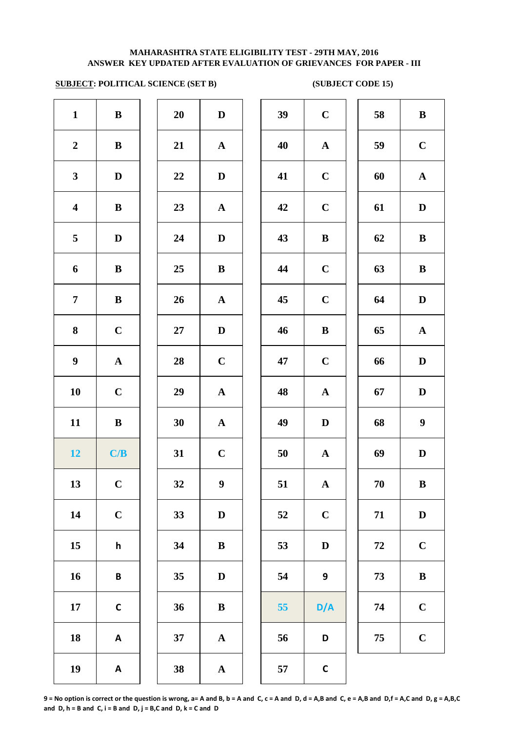# **SUBJECT: POLITICAL SCIENCE (SET B) (SUBJECT CODE 15)**

| $\mathbf{1}$            | ${\bf B}$             | 20     | $\mathbf D$           | 39 | $\mathbf C$      |
|-------------------------|-----------------------|--------|-----------------------|----|------------------|
| $\boldsymbol{2}$        | $\, {\bf B}$          | 21     | ${\bf A}$             | 40 | $\mathbf{A}$     |
| $\mathbf{3}$            | $\mathbf D$           | 22     | $\mathbf D$           | 41 | $\mathbf C$      |
| $\overline{\mathbf{4}}$ | $\, {\bf B}$          | 23     | ${\bf A}$             | 42 | $\mathbf C$      |
| 5                       | $\mathbf D$           | 24     | $\mathbf D$           | 43 | $\bf{B}$         |
| 6                       | $\, {\bf B}$          | 25     | $\, {\bf B}$          | 44 | $\mathbf C$      |
| $\boldsymbol{7}$        | $\, {\bf B}$          | 26     | $\boldsymbol{\rm{A}}$ | 45 | $\mathbf C$      |
| ${\bf 8}$               | $\mathbf C$           | $27\,$ | $\mathbf D$           | 46 | $\bf{B}$         |
| $\boldsymbol{9}$        | $\boldsymbol{\rm{A}}$ | 28     | $\mathbf C$           | 47 | $\mathbf C$      |
| 10                      | $\mathbf C$           | 29     | $\mathbf{A}$          | 48 | $\mathbf{A}$     |
| 11                      | ${\bf B}$             | 30     | ${\bf A}$             | 49 | $\bf{D}$         |
| 12                      | C/B                   | 31     | $\mathbf C$           | 50 | $\boldsymbol{A}$ |
| 13                      | $\mathbf C$           | 32     | $\boldsymbol{9}$      | 51 | $\mathbf{A}$     |
| 14                      | $\mathbf C$           | 33     | $\mathbf{D}%$         | 52 | $\mathbf C$      |
| 15                      | h                     | 34     | $\, {\bf B}$          | 53 | $\mathbf D$      |
| 16                      | B                     | 35     | $\mathbf D$           | 54 | 9                |
| 17                      | $\mathsf{C}$          | 36     | $\, {\bf B}$          | 55 | D/               |
| 18                      | A                     | 37     | $\boldsymbol{\rm{A}}$ | 56 | D                |
| 19                      | A                     | 38     | $\mathbf A$           | 57 | $\mathsf{C}$     |
|                         |                       |        |                       |    |                  |

| $\mathbf{1}$            | $\, {\bf B}$ | 20 | $\mathbf D$             | 39 | $\mathbf C$      | 58 | $\bf{B}$         |
|-------------------------|--------------|----|-------------------------|----|------------------|----|------------------|
| $\overline{2}$          | $\bf{B}$     | 21 | $\mathbf A$             | 40 | $\mathbf{A}$     | 59 | $\mathbf C$      |
| $\mathbf{3}$            | D            | 22 | D                       | 41 | $\mathbf C$      | 60 | $\mathbf{A}$     |
| $\overline{\mathbf{4}}$ | $\bf{B}$     | 23 | $\mathbf{A}$            | 42 | $\mathbf C$      | 61 | D                |
| 5                       | D            | 24 | D                       | 43 | $\bf{B}$         | 62 | $\bf{B}$         |
| 6                       | $\bf{B}$     | 25 | $\bf{B}$                | 44 | $\mathbf C$      | 63 | $\bf{B}$         |
| $\overline{7}$          | $\bf{B}$     | 26 | $\mathbf{A}$            | 45 | $\mathbf C$      | 64 | D                |
| 8                       | $\mathbf C$  | 27 | $\mathbf D$             | 46 | $\bf{B}$         | 65 | $\mathbf A$      |
| $\boldsymbol{9}$        | ${\bf A}$    | 28 | $\mathbf C$             | 47 | $\mathbf C$      | 66 | $\mathbf D$      |
| 10                      | $\mathbf C$  | 29 | ${\bf A}$               | 48 | $\mathbf{A}$     | 67 | $\mathbf{D}$     |
| 11                      | $\bf{B}$     | 30 | $\mathbf{A}$            | 49 | D                | 68 | $\boldsymbol{9}$ |
| 12                      | C/B          | 31 | $\mathbf C$             | 50 | $\mathbf{A}$     | 69 | D                |
| 13                      | $\mathbf C$  | 32 | 9                       | 51 | $\mathbf{A}$     | 70 | $\bf{B}$         |
| 14                      | $\mathbf C$  | 33 | $\mathbf D$             | 52 | $\mathbf C$      | 71 | $\mathbf D$      |
| 15                      | h            | 34 | ${\bf B}$               | 53 | $\mathbf D$      | 72 | $\mathbf C$      |
| 16                      | $\pmb B$     | 35 | $\mathbf D$             | 54 | $\boldsymbol{9}$ | 73 | $\bf{B}$         |
| 17                      | $\mathsf C$  | 36 | ${\bf B}$               | 55 | D/A              | 74 | $\mathbf C$      |
| 18                      | A            | 37 | ${\bf A}$               | 56 | D                | 75 | $\mathbf C$      |
| 19                      | $\mathbf{A}$ | 38 | $\overline{\mathbf{A}}$ | 57 | $\mathsf{C}$     |    |                  |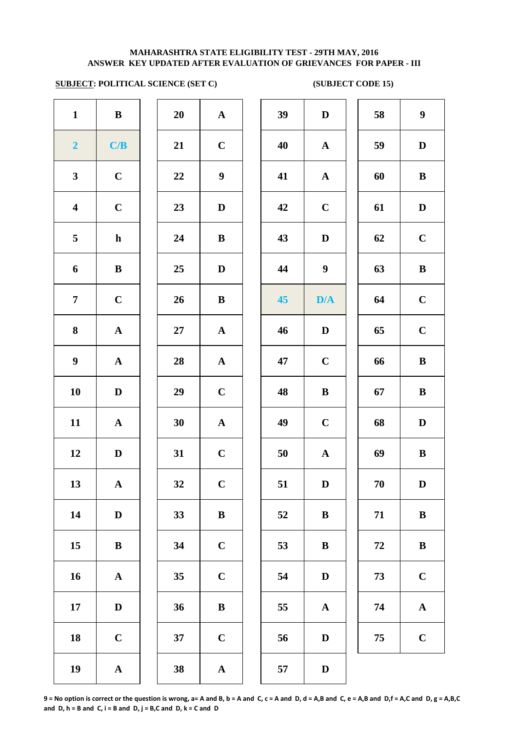# **SUBJECT: POLITICAL SCIENCE (SET C) (SUBJECT CODE 15)**

| $\mathbf{1}$            | $\, {\bf B}$          | 20     | ${\bf A}$             | 39 | $\mathbf{D}$     |
|-------------------------|-----------------------|--------|-----------------------|----|------------------|
| $\overline{\mathbf{2}}$ | C/B                   | 21     | $\mathbf C$           | 40 | $\mathbf A$      |
| $\mathbf{3}$            | $\mathbf C$           | 22     | $\boldsymbol{9}$      | 41 | $\mathbf A$      |
| $\overline{\mathbf{4}}$ | $\mathbf C$           | 23     | $\mathbf D$           | 42 | $\mathbf C$      |
| 5                       | $\mathbf h$           | 24     | $\, {\bf B}$          | 43 | $\mathbf{D}$     |
| 6                       | $\bf{B}$              | 25     | $\mathbf D$           | 44 | $\boldsymbol{9}$ |
| $\overline{7}$          | $\mathbf C$           | 26     | $\bf{B}$              | 45 | D/4              |
| 8                       | $\boldsymbol{\rm{A}}$ | $27\,$ | $\mathbf A$           | 46 | $\mathbf{D}$     |
| $\boldsymbol{9}$        | ${\bf A}$             | 28     | ${\bf A}$             | 47 | $\mathbf C$      |
| 10                      | $\mathbf D$           | 29     | $\mathbf C$           | 48 | $\bf{B}$         |
| 11                      | $\boldsymbol{\rm{A}}$ | 30     | $\boldsymbol{\rm{A}}$ | 49 | $\mathbf C$      |
| 12                      | $\mathbf D$           | 31     | $\mathbf C$           | 50 | $\mathbf{A}$     |
| 13                      | ${\bf A}$             | 32     | $\mathbf C$           | 51 | $\mathbf{D}$     |
| 14                      | $\mathbf D$           | 33     | $\, {\bf B}$          | 52 | $\bf{B}$         |
| 15                      | $\, {\bf B}$          | 34     | $\mathbf C$           | 53 | $\bf{B}$         |
| 16                      | $\mathbf A$           | 35     | $\mathbf C$           | 54 | $\bf{D}$         |
| 17                      | $\mathbf D$           | 36     | $\, {\bf B}$          | 55 | $\mathbf A$      |
| 18                      | $\mathbf C$           | 37     | $\mathbf C$           | 56 | $\bf{D}$         |
| 19                      | $\boldsymbol{\rm{A}}$ | 38     | $\boldsymbol{\rm{A}}$ | 57 | $\mathbf{D}$     |
|                         |                       |        |                       |    |                  |

| 20 | $\mathbf A$  |
|----|--------------|
| 21 | $\mathbf C$  |
| 22 | 9            |
| 23 | D            |
| 24 | B            |
| 25 | D            |
| 26 | B            |
| 27 | $\mathbf{A}$ |
| 28 | $\mathbf A$  |
| 29 | $\mathbf C$  |
| 30 | $\mathbf{A}$ |
| 31 | $\mathbf C$  |
| 32 | $\mathbf C$  |
| 33 | $\bf{B}$     |
| 34 | $\mathbf C$  |
| 35 | $\mathbf C$  |
| 36 | B            |
| 37 | $\mathbf C$  |
|    |              |

| $\mathbf{1}$            | $\bf{B}$     | 20     | ${\bf A}$        | 39 | $\mathbf D$      | 58         | $\boldsymbol{9}$      |
|-------------------------|--------------|--------|------------------|----|------------------|------------|-----------------------|
| $\overline{\mathbf{2}}$ | C/B          | 21     | $\mathbf C$      | 40 | $\mathbf{A}$     | 59         | D                     |
| $\mathbf{3}$            | $\mathbf C$  | 22     | $\boldsymbol{9}$ | 41 | ${\bf A}$        | 60         | $\bf{B}$              |
| $\overline{\mathbf{4}}$ | $\mathbf C$  | 23     | D                | 42 | $\mathbf C$      | 61         | ${\bf D}$             |
| $\overline{5}$          | $\mathbf{h}$ | 24     | $\bf{B}$         | 43 | $\mathbf D$      | 62         | $\mathbf C$           |
| 6                       | ${\bf B}$    | 25     | $\mathbf D$      | 44 | $\boldsymbol{9}$ | 63         | $\, {\bf B}$          |
| $\overline{7}$          | $\mathbf C$  | 26     | $\bf{B}$         | 45 | D/A              | 64         | $\mathbf C$           |
| 8                       | ${\bf A}$    | $27\,$ | ${\bf A}$        | 46 | $\mathbf D$      | 65         | $\mathbf C$           |
| 9                       | ${\bf A}$    | 28     | ${\bf A}$        | 47 | $\mathbf C$      | 66         | $\, {\bf B}$          |
| 10                      | $\mathbf D$  | 29     | $\mathbf C$      | 48 | $\, {\bf B}$     | 67         | $\, {\bf B}$          |
| 11                      | ${\bf A}$    | 30     | ${\bf A}$        | 49 | $\mathbf C$      | 68         | $\mathbf D$           |
| 12                      | D            | 31     | $\mathbf C$      | 50 | ${\bf A}$        | 69         | $\bf{B}$              |
| 13                      | $\mathbf{A}$ | 32     | $\mathbf C$      | 51 | $\mathbf D$      | 70         | D                     |
| 14                      | D            | 33     | $\bf{B}$         | 52 | $\bf{B}$         | 71         | $\bf{B}$              |
| 15                      | $\, {\bf B}$ | 34     | $\mathbf C$      | 53 | $\bf{B}$         | 72         | $\bf{B}$              |
| 16                      | ${\bf A}$    | 35     | $\mathbf C$      | 54 | $\mathbf D$      | 73         | $\mathbf C$           |
| 17                      | $\mathbf D$  | 36     | $\, {\bf B}$     | 55 | $\mathbf A$      | ${\bf 74}$ | $\boldsymbol{\rm{A}}$ |
| 18                      | $\mathbf C$  | 37     | $\bf C$          | 56 | $\mathbf D$      | 75         | $\mathbf C$           |
| 19                      | ${\bf A}$    | 38     | $\mathbf A$      | 57 | $\mathbf D$      |            |                       |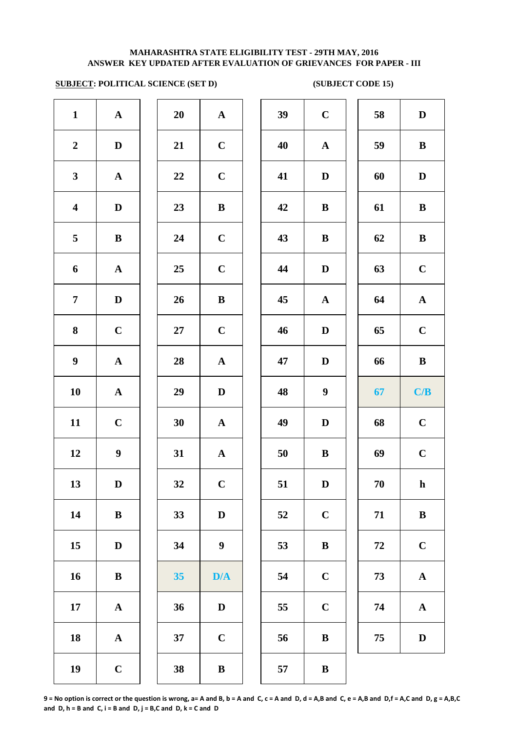# **SUBJECT: POLITICAL SCIENCE (SET D) (SUBJECT CODE 15)**

| $\mathbf{1}$            | $\boldsymbol{\rm{A}}$ | 20     | $\boldsymbol{\rm{A}}$ | 39 | $\mathbf C$  |
|-------------------------|-----------------------|--------|-----------------------|----|--------------|
| $\boldsymbol{2}$        | $\mathbf D$           | 21     | $\mathbf C$           | 40 | $\mathbf A$  |
| $\mathbf{3}$            | ${\bf A}$             | 22     | $\mathbf C$           | 41 | $\mathbf D$  |
| $\overline{\mathbf{4}}$ | $\mathbf D$           | 23     | $\, {\bf B}$          | 42 | $\bf{B}$     |
| 5                       | $\bf{B}$              | 24     | $\mathbf C$           | 43 | $\bf{B}$     |
| 6                       | ${\bf A}$             | 25     | $\mathbf C$           | 44 | $\mathbf{D}$ |
| $\overline{7}$          | $\mathbf D$           | 26     | $\, {\bf B}$          | 45 | $\mathbf A$  |
| 8                       | $\mathbf C$           | $27\,$ | $\mathbf C$           | 46 | $\mathbf{D}$ |
| $\boldsymbol{9}$        | $\boldsymbol{\rm{A}}$ | 28     | $\boldsymbol{\rm{A}}$ | 47 | $\bf{D}$     |
| 10                      | $\boldsymbol{\rm{A}}$ | 29     | $\mathbf D$           | 48 | 9            |
| 11                      | $\mathbf C$           | 30     | $\mathbf A$           | 49 | $\bf{D}$     |
| 12                      | $\boldsymbol{9}$      | 31     | ${\bf A}$             | 50 | $\bf{B}$     |
| 13                      | D                     | 32     | $\mathbf C$           | 51 | $\bf{D}$     |
| 14                      | $\bf{B}$              | 33     | $\mathbf D$           | 52 | $\mathbf C$  |
| 15                      | $\mathbf D$           | 34     | $\boldsymbol{9}$      | 53 | $\bf{B}$     |
| 16                      | $\bf{B}$              | 35     | D/A                   | 54 | $\mathbf C$  |
| 17                      | ${\bf A}$             | 36     | $\mathbf D$           | 55 | $\mathbf C$  |
| 18                      | $\boldsymbol{\rm{A}}$ | 37     | $\mathbf C$           | 56 | $\bf{B}$     |
| 19                      | $\mathbf C$           | 38     | $\bf{B}$              | 57 | $\bf{B}$     |
|                         |                       |        |                       |    |              |

| 20 | $\mathbf A$             |  |
|----|-------------------------|--|
| 21 | $\mathbf C$             |  |
| 22 | $\mathbf C$             |  |
| 23 | B                       |  |
| 24 | $\mathbf C$             |  |
| 25 | $\mathbf C$             |  |
| 26 | B                       |  |
| 27 | $\mathbf C$             |  |
| 28 | $\mathbf{A}$            |  |
| 29 | D                       |  |
| 30 | $\mathbf A$             |  |
| 31 | $\overline{\mathbf{A}}$ |  |
| 32 | $\mathbf C$             |  |
| 33 | D                       |  |
| 34 | 9                       |  |
| 35 | D/A                     |  |
| 36 | $\mathbf D$             |  |
| 37 | $\mathbf C$             |  |
| 20 | R                       |  |

| $\mathbf{1}$            | $\mathbf{A}$     | 20 | ${\bf A}$        | 39 | $\mathbf C$      | 58 | $\mathbf D$ |
|-------------------------|------------------|----|------------------|----|------------------|----|-------------|
|                         |                  |    |                  |    |                  |    |             |
| $\overline{2}$          | D                | 21 | $\mathbf C$      | 40 | $\mathbf A$      | 59 | $\bf{B}$    |
| $\mathbf{3}$            | $\mathbf{A}$     | 22 | $\mathbf C$      | 41 | D                | 60 | D           |
| $\overline{\mathbf{4}}$ | D                | 23 | $\, {\bf B}$     | 42 | $\bf{B}$         | 61 | $\bf{B}$    |
| $\overline{5}$          | $\bf{B}$         | 24 | $\mathbf C$      | 43 | $\bf{B}$         | 62 | $\bf{B}$    |
| 6                       | $\mathbf A$      | 25 | $\mathbf C$      | 44 | D                | 63 | $\mathbf C$ |
| $\overline{7}$          | $\mathbf D$      | 26 | $\bf{B}$         | 45 | $\mathbf A$      | 64 | ${\bf A}$   |
| 8                       | $\mathbf C$      | 27 | $\mathbf C$      | 46 | $\mathbf D$      | 65 | $\mathbf C$ |
| $\boldsymbol{9}$        | ${\bf A}$        | 28 | ${\bf A}$        | 47 | $\mathbf D$      | 66 | $\bf{B}$    |
| 10                      | ${\bf A}$        | 29 | $\mathbf D$      | 48 | $\boldsymbol{9}$ | 67 | C/B         |
| 11                      | $\mathbf C$      | 30 | ${\bf A}$        | 49 | $\mathbf D$      | 68 | $\mathbf C$ |
| 12                      | $\boldsymbol{9}$ | 31 | $\mathbf{A}$     | 50 | $\bf{B}$         | 69 | $\mathbf C$ |
| 13                      | $\mathbf D$      | 32 | $\mathbf C$      | 51 | $\mathbf D$      | 70 | $\mathbf h$ |
| 14                      | $\bf{B}$         | 33 | D                | 52 | $\mathbf C$      | 71 | $\bf{B}$    |
| 15                      | D                | 34 | $\boldsymbol{9}$ | 53 | $\bf{B}$         | 72 | $\mathbf C$ |
| 16                      | $\bf{B}$         | 35 | D/A              | 54 | $\mathbf C$      | 73 | ${\bf A}$   |
| 17                      | ${\bf A}$        | 36 | $\mathbf D$      | 55 | $\mathbf C$      | 74 | ${\bf A}$   |
| 18                      | ${\bf A}$        | 37 | $\mathbf C$      | 56 | $\bf{B}$         | 75 | $\mathbf D$ |
| 19                      | $\mathbf C$      | 38 | $\, {\bf B}$     | 57 | $\, {\bf B}$     |    |             |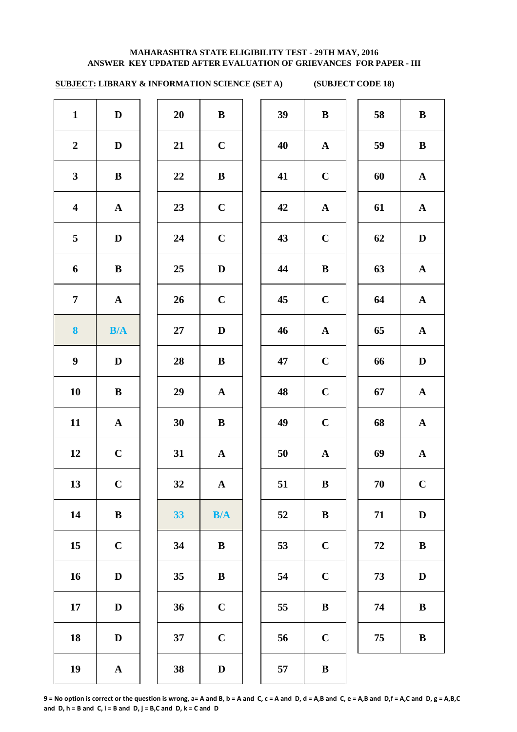# **SUBJECT: LIBRARY & INFORMATION SCIENCE (SET A) (SUBJECT CODE 18)**

| $\mathbf{1}$            | $\mathbf D$  | 20 | $\, {\bf B}$ | 39 | $\bf{B}$    |
|-------------------------|--------------|----|--------------|----|-------------|
| $\boldsymbol{2}$        | $\mathbf D$  | 21 | $\mathbf C$  | 40 | $\mathbf A$ |
| $\mathbf{3}$            | $\, {\bf B}$ | 22 | $\, {\bf B}$ | 41 | $\mathbf C$ |
| $\overline{\mathbf{4}}$ | ${\bf A}$    | 23 | $\mathbf C$  | 42 | $\mathbf A$ |
| 5                       | $\mathbf D$  | 24 | $\mathbf C$  | 43 | $\mathbf C$ |
| 6                       | $\bf{B}$     | 25 | $\mathbf D$  | 44 | $\bf{B}$    |
| $\overline{7}$          | ${\bf A}$    | 26 | $\mathbf C$  | 45 | $\mathbf C$ |
| $\boldsymbol{8}$        | B/A          | 27 | $\mathbf D$  | 46 | $\mathbf A$ |
| $\boldsymbol{9}$        | $\mathbf D$  | 28 | $\bf{B}$     | 47 | $\mathbf C$ |
| 10                      | $\, {\bf B}$ | 29 | ${\bf A}$    | 48 | $\mathbf C$ |
| 11                      | ${\bf A}$    | 30 | $\, {\bf B}$ | 49 | $\mathbf C$ |
| 12                      | $\mathbf C$  | 31 | ${\bf A}$    | 50 | $\mathbf A$ |
| 13                      | $\mathbf C$  | 32 | ${\bf A}$    | 51 | $\bf{B}$    |
| 14                      | $\, {\bf B}$ | 33 | B/A          | 52 | $\bf{B}$    |
| 15                      | $\mathbf C$  | 34 | $\, {\bf B}$ | 53 | $\mathbf C$ |
| 16                      | $\mathbf D$  | 35 | $\, {\bf B}$ | 54 | $\mathbf C$ |
| 17                      | D            | 36 | $\mathbf C$  | 55 | $\bf{B}$    |
| 18                      | $\mathbf D$  | 37 | $\mathbf C$  | 56 | $\mathbf C$ |
| 19                      | ${\bf A}$    | 38 | $\mathbf D$  | 57 | $\bf{B}$    |
|                         |              |    |              |    |             |

| 20 | B                       |  |
|----|-------------------------|--|
| 21 | $\mathbf C$             |  |
| 22 | B                       |  |
| 23 | $\mathbf C$             |  |
| 24 | $\mathbf C$             |  |
| 25 | D                       |  |
| 26 | $\mathbf C$             |  |
| 27 | D                       |  |
| 28 | B                       |  |
| 29 | $\mathbf A$             |  |
| 30 | B                       |  |
| 31 | $\overline{\mathbf{A}}$ |  |
| 32 | $\mathbf A$             |  |
| 33 | B/A                     |  |
| 34 | B                       |  |
| 35 | $\bf{B}$                |  |
| 36 | $\mathbf C$             |  |
| 37 | $\mathbf C$             |  |
|    |                         |  |

| $\mathbf{1}$            | D            | 20 | $\bf{B}$    | 39 | $\bf{B}$     | 58     | $\bf{B}$     |
|-------------------------|--------------|----|-------------|----|--------------|--------|--------------|
| $\overline{2}$          | $\mathbf D$  | 21 | $\mathbf C$ | 40 | ${\bf A}$    | 59     | $\, {\bf B}$ |
| $\mathbf{3}$            | $\bf{B}$     | 22 | $\bf{B}$    | 41 | $\mathbf C$  | 60     | ${\bf A}$    |
| $\overline{\mathbf{4}}$ | ${\bf A}$    | 23 | $\mathbf C$ | 42 | ${\bf A}$    | 61     | ${\bf A}$    |
| $5\phantom{.0}$         | $\mathbf D$  | 24 | $\mathbf C$ | 43 | $\mathbf C$  | 62     | $\mathbf D$  |
| 6                       | $\bf{B}$     | 25 | $\mathbf D$ | 44 | $\, {\bf B}$ | 63     | ${\bf A}$    |
| $\overline{7}$          | $\mathbf{A}$ | 26 | $\mathbf C$ | 45 | $\mathbf C$  | 64     | ${\bf A}$    |
| $\boldsymbol{8}$        | B/A          | 27 | $\mathbf D$ | 46 | ${\bf A}$    | 65     | ${\bf A}$    |
| $\boldsymbol{9}$        | $\mathbf D$  | 28 | $\bf{B}$    | 47 | $\mathbf C$  | 66     | $\mathbf D$  |
| 10                      | $\bf{B}$     | 29 | ${\bf A}$   | 48 | $\mathbf C$  | 67     | ${\bf A}$    |
| 11                      | ${\bf A}$    | 30 | $\bf{B}$    | 49 | $\mathbf C$  | 68     | $\mathbf{A}$ |
| 12                      | $\mathbf C$  | 31 | ${\bf A}$   | 50 | ${\bf A}$    | 69     | ${\bf A}$    |
| 13                      | $\mathbf C$  | 32 | ${\bf A}$   | 51 | $\, {\bf B}$ | $70\,$ | $\mathbf C$  |
| 14                      | ${\bf B}$    | 33 | B/A         | 52 | $\, {\bf B}$ | 71     | $\mathbf D$  |
| 15                      | $\mathbf C$  | 34 | $\bf{B}$    | 53 | $\mathbf C$  | 72     | $\, {\bf B}$ |
| 16                      | $\mathbf D$  | 35 | $\bf{B}$    | 54 | $\mathbf C$  | 73     | $\mathbf D$  |
| 17                      | $\mathbf D$  | 36 | $\mathbf C$ | 55 | $\bf{B}$     | 74     | $\, {\bf B}$ |
| 18                      | $\mathbf D$  | 37 | $\mathbf C$ | 56 | $\mathbf C$  | 75     | $\, {\bf B}$ |
| 19                      | $\mathbf{A}$ | 38 | D           | 57 | $\bf{B}$     |        |              |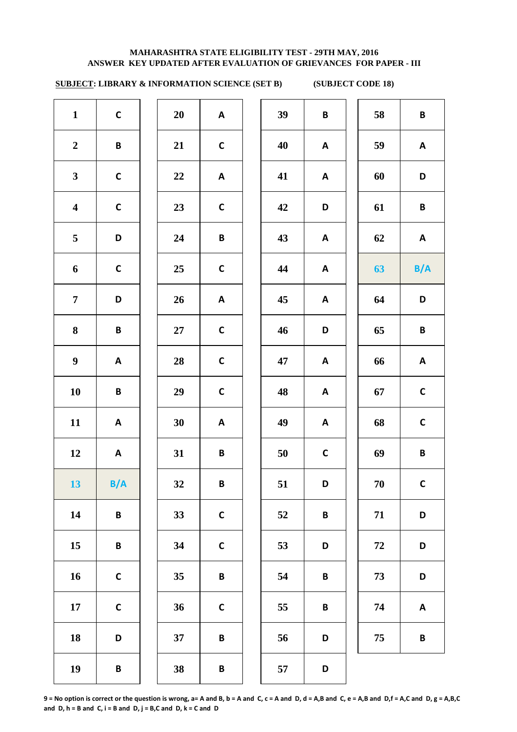# **SUBJECT: LIBRARY & INFORMATION SCIENCE (SET B) (SUBJECT CODE 18)**

| $\mathbf{1}$            | $\mathsf{C}$ | 20     | $\boldsymbol{\mathsf{A}}$ | 39 | B            | 58 | $\pmb B$        |
|-------------------------|--------------|--------|---------------------------|----|--------------|----|-----------------|
| $\boldsymbol{2}$        | B            | 21     | $\mathsf{C}$              | 40 | $\mathsf{A}$ | 59 | $\mathsf{A}$    |
| $\mathbf{3}$            | $\mathsf{C}$ | 22     | A                         | 41 | A            | 60 | D               |
| $\overline{\mathbf{4}}$ | $\mathsf{C}$ | 23     | $\mathsf{C}$              | 42 | D            | 61 | $\pmb B$        |
| 5                       | D            | 24     | B                         | 43 | A            | 62 | $\mathsf{A}$    |
| 6                       | $\mathsf{C}$ | 25     | $\mathsf{C}$              | 44 | $\mathsf{A}$ | 63 | B/A             |
| $\overline{7}$          | D            | 26     | A                         | 45 | A            | 64 | D               |
| 8                       | B            | $27\,$ | $\mathsf{C}$              | 46 | D            | 65 | $\, {\bf B} \,$ |
| $\boldsymbol{9}$        | A            | 28     | $\mathsf{C}$              | 47 | A            | 66 | $\mathsf{A}$    |
| ${\bf 10}$              | B            | 29     | $\mathsf{C}$              | 48 | $\mathsf{A}$ | 67 | $\mathsf{C}$    |
| 11                      | A            | 30     | A                         | 49 | $\mathbf{A}$ | 68 | $\mathsf{C}$    |
| 12                      | A            | 31     | B                         | 50 | $\mathsf{C}$ | 69 | B               |
| 13                      | B/A          | 32     | B                         | 51 | D            | 70 | $\mathsf{C}$    |
| 14                      | B            | 33     | $\mathsf C$               | 52 | B            | 71 | D               |
| 15                      | B            | 34     | $\mathsf{C}$              | 53 | D            | 72 | D               |
| 16                      | $\mathsf{C}$ | 35     | B                         | 54 | B            | 73 | D               |
| 17                      | $\mathsf{C}$ | 36     | $\mathsf{C}$              | 55 | B            | 74 | $\mathsf{A}$    |
| 18                      | D            | 37     | B                         | 56 | D            | 75 | B               |
| 19                      | B            | 38     | B                         | 57 | D            |    |                 |
|                         |              |        |                           |    |              |    |                 |

| 39 | B | 58 | B           |
|----|---|----|-------------|
| 40 | A | 59 | A           |
| 41 | A | 60 | D           |
| 42 | D | 61 | B           |
| 43 | A | 62 | A           |
| 44 | A | 63 | B/A         |
| 45 | A | 64 | D           |
| 46 | D | 65 | B           |
| 47 | A | 66 | A           |
| 48 | A | 67 | $\mathbf C$ |
| 49 | A | 68 | $\mathbf C$ |
| 50 | C | 69 | B           |
| 51 | D | 70 | C           |
| 52 | B | 71 | D           |
| 53 | D | 72 | D           |
| 54 | B | 73 | D           |
| 55 | B | 74 | A           |
| 56 | D | 75 | B           |
|    |   |    |             |

**9 = No option is correct or the question is wrong, a= A and B, b = A and C, c = A and D, d = A,B and C, e = A,B and D,f = A,C and D, g = A,B,C**  and  $D, h = B$  and  $C, i = B$  and  $D, j = B, C$  and  $D, k = C$  and  $D$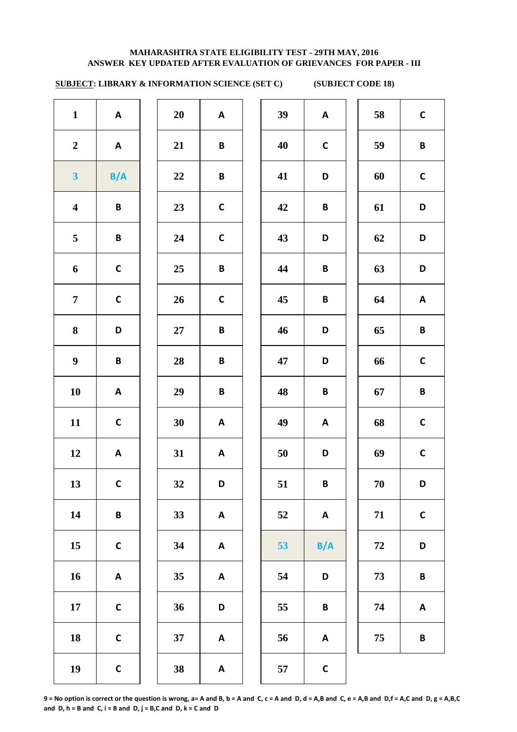# **SUBJECT: LIBRARY & INFORMATION SCIENCE (SET C) (SUBJECT CODE 18)**

| $\mathbf{1}$            | A            | 20     | $\mathsf{A}$              | 39 | $\mathsf{A}$              | 58 | $\mathbf c$             |
|-------------------------|--------------|--------|---------------------------|----|---------------------------|----|-------------------------|
| $\boldsymbol{2}$        | A            | 21     | B                         | 40 | $\mathsf C$               | 59 | $\mathbf B$             |
| $\overline{\mathbf{3}}$ | B/A          | 22     | B                         | 41 | D                         | 60 | $\mathbf C$             |
| $\overline{\mathbf{4}}$ | B            | 23     | $\mathsf{C}$              | 42 | B                         | 61 | D                       |
| 5                       | B            | 24     | $\mathsf{C}$              | 43 | D                         | 62 | D                       |
| 6                       | $\mathsf{C}$ | 25     | $\pmb B$                  | 44 | $\pmb B$                  | 63 | D                       |
| $\overline{7}$          | $\mathsf{C}$ | 26     | $\mathsf{C}$              | 45 | B                         | 64 | $\overline{\mathsf{A}}$ |
| 8                       | D            | $27\,$ | $\pmb B$                  | 46 | D                         | 65 | $\mathbf B$             |
| $\boldsymbol{9}$        | $\pmb B$     | 28     | B                         | 47 | D                         | 66 | $\mathbf c$             |
| 10                      | A            | 29     | $\pmb B$                  | 48 | $\pmb B$                  | 67 | $\mathbf B$             |
| 11                      | $\mathsf{C}$ | 30     | $\mathsf{A}$              | 49 | A                         | 68 | $\mathbf c$             |
| 12                      | A            | 31     | A                         | 50 | D                         | 69 | $\mathbf c$             |
| 13                      | $\mathsf{C}$ | 32     | D                         | 51 | B                         | 70 | D                       |
| 14                      | B            | 33     | A                         | 52 | $\mathbf{A}$              | 71 | $\mathbf c$             |
| 15                      | $\mathsf{C}$ | 34     | A                         | 53 | B/A                       | 72 | D                       |
| 16                      | A            | 35     | $\boldsymbol{\mathsf{A}}$ | 54 | $\mathsf D$               | 73 | B                       |
| $17\,$                  | $\mathsf{C}$ | 36     | D                         | 55 | $\pmb B$                  | 74 | A                       |
| 18                      | $\mathsf{C}$ | 37     | $\boldsymbol{\mathsf{A}}$ | 56 | $\boldsymbol{\mathsf{A}}$ | 75 | $\mathbf B$             |
| 19                      | $\mathsf{C}$ | 38     | $\boldsymbol{\mathsf{A}}$ | 57 | $\mathsf{C}$              |    |                         |
|                         |              |        |                           |    |                           |    |                         |

| 39 | $\boldsymbol{\mathsf{A}}$ | 58 | $\mathbf C$  |
|----|---------------------------|----|--------------|
| 40 | $\mathbf C$               | 59 | B            |
| 41 | D                         | 60 | $\mathbf C$  |
| 42 | B                         | 61 | D            |
| 43 | D                         | 62 | D            |
| 44 | B                         | 63 | D            |
| 45 | B                         | 64 | A            |
| 46 | D                         | 65 | B            |
| 47 | D                         | 66 | $\mathbf C$  |
| 48 | B                         | 67 | B            |
| 49 | A                         | 68 | $\mathsf{C}$ |
| 50 | D                         | 69 | $\mathbf C$  |
| 51 | B                         | 70 | D            |
| 52 | A                         | 71 | $\mathbf C$  |
| 53 | B/A                       | 72 | D            |
| 54 | D                         | 73 | B            |
| 55 | B                         | 74 | A            |
| 56 | A                         | 75 | B            |
| 57 | $\mathbf c$               |    |              |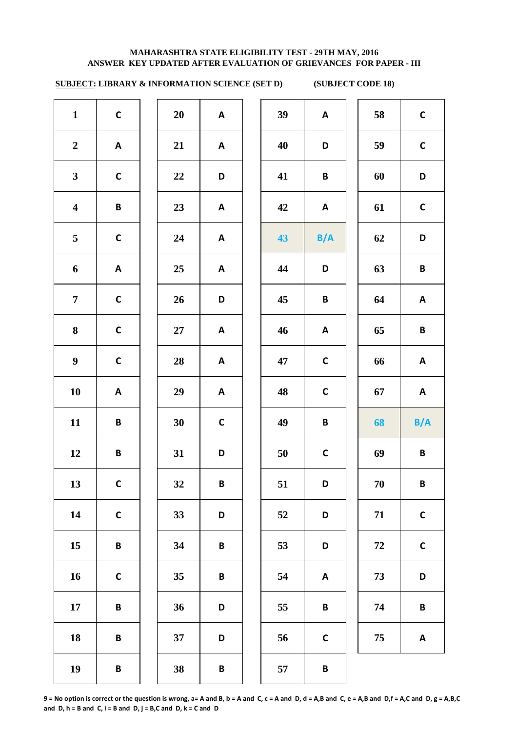# **SUBJECT: LIBRARY & INFORMATION SCIENCE (SET D) (SUBJECT CODE 18)**

| $\mathbf{1}$            | $\mathsf C$     | 20              | A            | 39 | A            | 58         | $\mathsf C$  |
|-------------------------|-----------------|-----------------|--------------|----|--------------|------------|--------------|
| $\boldsymbol{2}$        | A               | 21              | A            | 40 | D            | 59         | $\mathsf C$  |
| $\mathbf{3}$            | $\mathsf C$     | 22              | D            | 41 | B            | 60         | D            |
| $\overline{\mathbf{4}}$ | $\pmb B$        | 23              | $\mathbf{A}$ | 42 | $\mathsf{A}$ | 61         | $\mathsf C$  |
| 5                       | $\mathsf C$     | 24              | A            | 43 | B/A          | 62         | D            |
| 6                       | $\mathsf{A}$    | 25              | A            | 44 | D            | 63         | $\, {\bf B}$ |
| $\overline{7}$          | $\mathsf C$     | 26              | D            | 45 | $\pmb B$     | 64         | $\mathsf{A}$ |
| 8                       | $\mathsf C$     | $27\,$          | A            | 46 | $\mathsf{A}$ | 65         | B            |
| 9                       | $\mathsf C$     | 28              | A            | 47 | $\mathsf C$  | 66         | $\mathbf{A}$ |
| 10                      | A               | 29              | A            | 48 | $\mathsf C$  | 67         | $\mathsf{A}$ |
| 11                      | $\pmb B$        | 30              | $\mathsf{C}$ | 49 | $\pmb B$     | 68         | B/A          |
| 12                      | B               | 31              | D            | 50 | $\mathsf{C}$ | 69         | $\pmb B$     |
| 13                      | $\mathsf{C}$    | 32              | $\pmb B$     | 51 | D            | 70         | B            |
| 14                      | $\mathsf C$     | 33              | D            | 52 | D            | 71         | $\mathsf C$  |
| 15                      | $\pmb B$        | 34              | $\pmb B$     | 53 | D            | ${\bf 72}$ | $\mathsf{C}$ |
| 16                      | $\mathsf C$     | 35 <sub>1</sub> | $\pmb B$     | 54 | $\mathsf{A}$ | 73         | D            |
| 17                      | $\pmb B$        | 36              | D            | 55 | $\pmb B$     | 74         | $\pmb B$     |
| 18                      | B               | 37              | D            | 56 | $\mathsf C$  | 75         | A            |
| 19                      | $\, {\bf B} \,$ | 38              | B            | 57 | B            |            |              |
|                         |                 |                 |              |    |              |            |              |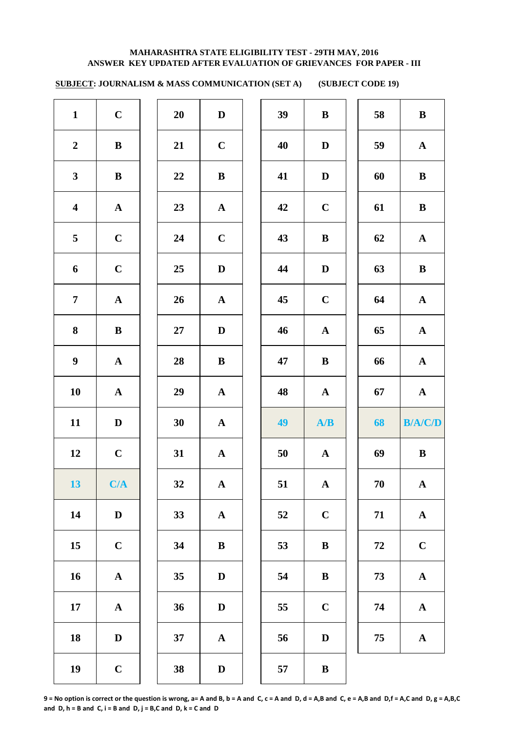**SUBJECT: JOURNALISM & MASS COMMUNICATION (SET A) (SUBJECT CODE 19)** 

| $\mathbf{1}$            | $\mathbf C$  | 20     | $\mathbf D$  | 39 | $\, {\bf B}$ | 58 | $\, {\bf B}$   |
|-------------------------|--------------|--------|--------------|----|--------------|----|----------------|
| $\boldsymbol{2}$        | $\bf{B}$     | 21     | $\mathbf C$  | 40 | $\mathbf D$  | 59 | $\mathbf{A}$   |
| $\mathbf{3}$            | $\, {\bf B}$ | 22     | ${\bf B}$    | 41 | $\mathbf D$  | 60 | $\bf{B}$       |
| $\overline{\mathbf{4}}$ | ${\bf A}$    | 23     | ${\bf A}$    | 42 | $\mathbf C$  | 61 | $\, {\bf B}$   |
| $5\overline{)}$         | $\mathbf C$  | 24     | $\mathbf C$  | 43 | $\, {\bf B}$ | 62 | ${\bf A}$      |
| $\boldsymbol{6}$        | $\mathbf C$  | 25     | $\mathbf D$  | 44 | $\mathbf D$  | 63 | $\, {\bf B}$   |
| $\overline{7}$          | ${\bf A}$    | 26     | ${\bf A}$    | 45 | $\mathbf C$  | 64 | ${\bf A}$      |
| $\bf{8}$                | ${\bf B}$    | $27\,$ | $\mathbf D$  | 46 | $\mathbf A$  | 65 | ${\bf A}$      |
| $\boldsymbol{9}$        | ${\bf A}$    | 28     | $\, {\bf B}$ | 47 | $\, {\bf B}$ | 66 | ${\bf A}$      |
| 10                      | ${\bf A}$    | 29     | ${\bf A}$    | 48 | ${\bf A}$    | 67 | ${\bf A}$      |
| 11                      | $\mathbf D$  | 30     | ${\bf A}$    | 49 | A/B          | 68 | <b>B/A/C/D</b> |
| 12                      | $\mathbf C$  | 31     | ${\bf A}$    | 50 | $\mathbf{A}$ | 69 | ${\bf B}$      |
| 13                      | C/A          |        |              |    |              |    |                |
|                         |              | 32     | $\mathbf{A}$ | 51 | $\mathbf{A}$ | 70 | $\mathbf{A}$   |
| 14                      | $\mathbf D$  | 33     | ${\bf A}$    | 52 | $\mathbf C$  | 71 | ${\bf A}$      |
| 15                      | $\mathbf C$  | 34     | $\, {\bf B}$ | 53 | $\, {\bf B}$ | 72 | $\mathbf C$    |
| 16                      | ${\bf A}$    | 35     | $\mathbf D$  | 54 | $\, {\bf B}$ | 73 | ${\bf A}$      |
| $17\phantom{.}$         | ${\bf A}$    | 36     | $\mathbf D$  | 55 | $\mathbf C$  | 74 | ${\bf A}$      |
| 18                      | $\mathbf D$  | 37     | ${\bf A}$    | 56 | $\mathbf D$  | 75 | $\mathbf A$    |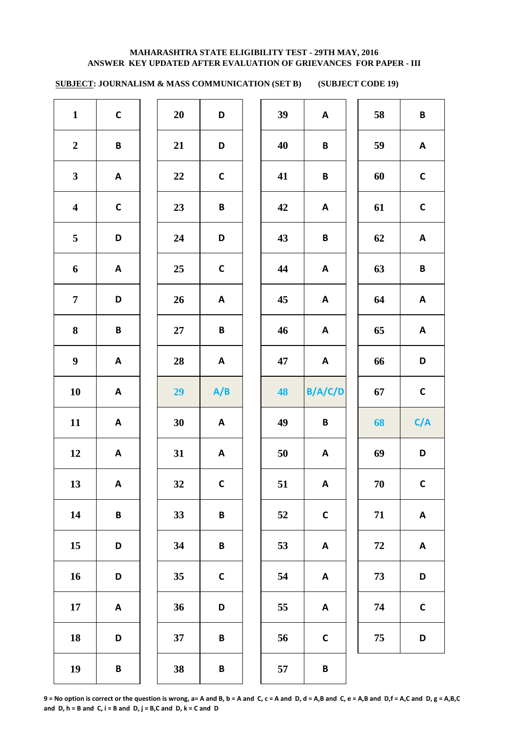**SUBJECT: JOURNALISM & MASS COMMUNICATION (SET B) (SUBJECT CODE 19)** 

| $\mathbf{1}$            | $\mathsf{C}$              | 20     | D                         | 39 | A                         | 58 | $\pmb B$                  |
|-------------------------|---------------------------|--------|---------------------------|----|---------------------------|----|---------------------------|
| $\boldsymbol{2}$        | $\, {\bf B} \,$           | 21     | D                         | 40 | B                         | 59 | $\mathsf{A}$              |
| $\mathbf{3}$            | $\boldsymbol{\mathsf{A}}$ | 22     | $\mathsf{C}$              | 41 | B                         | 60 | $\mathsf{C}$              |
| $\overline{\mathbf{4}}$ | $\mathsf C$               | 23     | $\pmb B$                  | 42 | $\mathsf{A}$              | 61 | $\mathsf{C}$              |
| $\overline{\mathbf{5}}$ | D                         | 24     | D                         | 43 | $\pmb B$                  | 62 | $\boldsymbol{\mathsf{A}}$ |
| $\boldsymbol{6}$        | A                         | 25     | $\mathsf C$               | 44 | $\mathsf{A}$              | 63 | $\pmb B$                  |
| $\overline{7}$          | D                         | 26     | $\boldsymbol{\mathsf{A}}$ | 45 | A                         | 64 | $\boldsymbol{\mathsf{A}}$ |
| $\bf{8}$                | $\pmb B$                  | $27\,$ | $\pmb B$                  | 46 | $\mathsf{A}$              | 65 | $\boldsymbol{\mathsf{A}}$ |
| $\boldsymbol{9}$        | $\boldsymbol{\mathsf{A}}$ | 28     | $\boldsymbol{\mathsf{A}}$ | 47 | $\boldsymbol{\mathsf{A}}$ | 66 | D                         |
| 10                      | $\mathbf{A}$              | 29     | A/B                       | 48 | B/A/C/D                   | 67 | $\mathsf{C}$              |
| 11                      | A                         | 30     | A                         | 49 | $\pmb B$                  | 68 | C/A                       |
| 12                      | A                         | 31     | A                         | 50 | A                         | 69 | D                         |
| 13                      | A                         | 32     | $\mathsf C$               | 51 | A                         | 70 | $\mathsf{C}$              |
| 14                      | $\pmb B$                  | 33     | B                         | 52 | $\mathsf C$               | 71 | $\boldsymbol{\mathsf{A}}$ |
| 15                      | D                         | 34     | $\, {\bf B} \,$           | 53 | A                         | 72 | $\boldsymbol{\mathsf{A}}$ |
| 16                      | D                         | 35     | $\mathsf C$               | 54 | A                         | 73 | D                         |
| $17\,$                  | $\boldsymbol{\mathsf{A}}$ | 36     | D                         | 55 | A                         | 74 | $\mathsf C$               |
| 18                      | D                         | 37     | $\pmb B$                  | 56 | $\mathsf C$               | 75 | D                         |
|                         |                           |        |                           |    |                           |    |                           |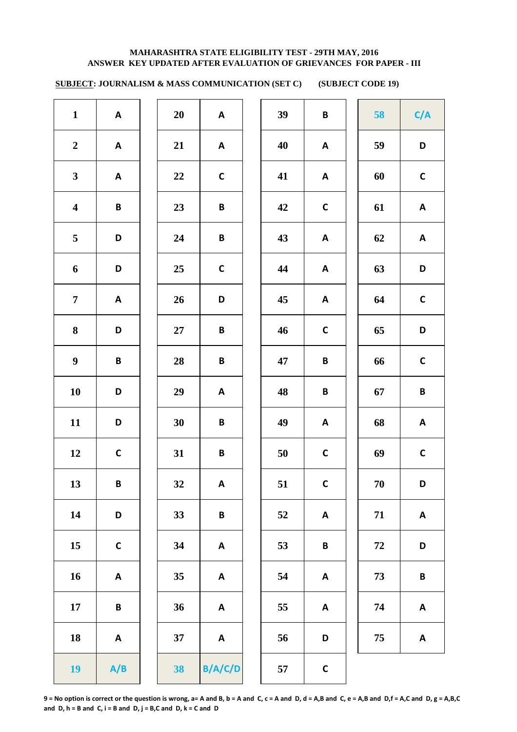**SUBJECT: JOURNALISM & MASS COMMUNICATION (SET C) (SUBJECT CODE 19)** 

| $\mathbf{1}$            | A                         | 20     | $\mathsf{A}$              | 39 | B                         | 58         | C/A                       |
|-------------------------|---------------------------|--------|---------------------------|----|---------------------------|------------|---------------------------|
| $\boldsymbol{2}$        | A                         | 21     | $\mathsf{A}$              | 40 | A                         | 59         | $\mathbf D$               |
| $\mathbf{3}$            | A                         | 22     | $\mathsf{C}$              | 41 | A                         | 60         | $\mathsf C$               |
| $\overline{\mathbf{4}}$ | $\pmb B$                  | 23     | $\, {\bf B} \,$           | 42 | $\mathsf{C}$              | 61         | $\boldsymbol{\mathsf{A}}$ |
| $5\phantom{.0}$         | D                         | 24     | $\pmb B$                  | 43 | A                         | 62         | $\boldsymbol{\mathsf{A}}$ |
| $\boldsymbol{6}$        | D                         | 25     | $\mathsf{C}$              | 44 | A                         | 63         | D                         |
| $\overline{7}$          | $\boldsymbol{\mathsf{A}}$ | 26     | D                         | 45 | $\boldsymbol{\mathsf{A}}$ | 64         | $\mathsf C$               |
| 8                       | D                         | $27\,$ | $\pmb B$                  | 46 | $\mathsf{C}$              | 65         | $\mathsf D$               |
| $\boldsymbol{9}$        | $\pmb B$                  | 28     | $\, {\bf B} \,$           | 47 | $\pmb B$                  | 66         | $\mathsf{C}$              |
| 10                      | D                         | 29     | $\mathsf{A}$              | 48 | $\pmb B$                  | 67         | $\pmb B$                  |
| 11                      | D                         | 30     | B                         | 49 | A                         | 68         | $\boldsymbol{\mathsf{A}}$ |
| 12                      | $\mathsf{C}$              | 31     | $\, {\bf B} \,$           | 50 | $\mathsf{C}$              | 69         | $\mathsf C$               |
| 13                      | B                         | 32     | A                         | 51 | $\mathsf C$               | $70\,$     | D                         |
| 14                      | D                         | 33     | $\pmb B$                  | 52 | A                         | 71         | A                         |
| 15                      | $\mathsf C$               | 34     | A                         | 53 | $\pmb B$                  | ${\bf 72}$ | D                         |
| 16                      | $\boldsymbol{\mathsf{A}}$ | 35     | A                         | 54 | A                         | 73         | $\, {\bf B}$              |
| $17\,$                  | $\pmb B$                  | 36     | A                         | 55 | A                         | 74         | $\boldsymbol{\mathsf{A}}$ |
| 18                      | $\boldsymbol{\mathsf{A}}$ | 37     | $\boldsymbol{\mathsf{A}}$ | 56 | D                         | 75         | $\boldsymbol{\mathsf{A}}$ |
| <b>19</b>               | A/B                       | 38     | B/A/C/D                   | 57 | $\mathbf C$               |            |                           |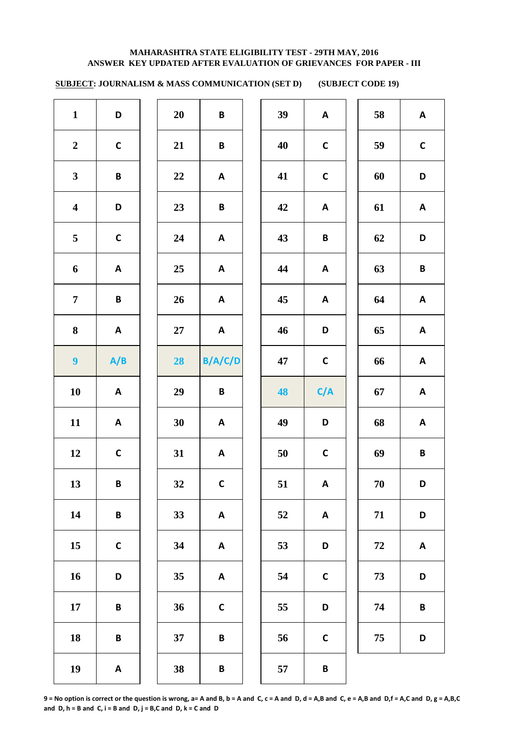**SUBJECT: JOURNALISM & MASS COMMUNICATION (SET D) (SUBJECT CODE 19)** 

| $\mathbf{1}$            | D                         | 20     | $\pmb B$                  | 39 | $\boldsymbol{\mathsf{A}}$ | 58         | $\boldsymbol{\mathsf{A}}$ |
|-------------------------|---------------------------|--------|---------------------------|----|---------------------------|------------|---------------------------|
| $\boldsymbol{2}$        | $\mathsf C$               | 21     | $\pmb B$                  | 40 | $\mathsf C$               | 59         | $\mathsf C$               |
| $\mathbf{3}$            | $\pmb B$                  | $22\,$ | $\boldsymbol{\mathsf{A}}$ | 41 | $\mathsf{C}$              | 60         | D                         |
| $\overline{\mathbf{4}}$ | D                         | 23     | $\pmb B$                  | 42 | $\boldsymbol{\mathsf{A}}$ | 61         | $\boldsymbol{\mathsf{A}}$ |
| 5                       | $\mathsf C$               | 24     | A                         | 43 | $\, {\bf B} \,$           | 62         | D                         |
| $\boldsymbol{6}$        | $\mathbf{A}$              | 25     | $\boldsymbol{\mathsf{A}}$ | 44 | $\boldsymbol{\mathsf{A}}$ | 63         | $\pmb B$                  |
| $\overline{7}$          | $\pmb B$                  | 26     | A                         | 45 | $\boldsymbol{\mathsf{A}}$ | 64         | $\boldsymbol{\mathsf{A}}$ |
| 8                       | $\mathsf{A}$              | $27\,$ | $\boldsymbol{\mathsf{A}}$ | 46 | D                         | 65         | $\boldsymbol{\mathsf{A}}$ |
| $\boldsymbol{9}$        | A/B                       | 28     | B/A/C/D                   | 47 | $\mathsf{C}$              | 66         | $\boldsymbol{\mathsf{A}}$ |
| 10                      | $\mathsf{A}$              | 29     | $\, {\bf B} \,$           | 48 | C/A                       | 67         | $\boldsymbol{\mathsf{A}}$ |
| 11                      | $\mathsf{A}$              | 30     | $\boldsymbol{\mathsf{A}}$ | 49 | D                         | 68         | $\boldsymbol{\mathsf{A}}$ |
| 12                      | $\mathsf C$               | 31     | $\boldsymbol{\mathsf{A}}$ | 50 | $\mathsf C$               | 69         | $\pmb B$                  |
| 13                      | $\pmb B$                  | 32     | $\mathsf C$               | 51 | $\mathsf A$               | $70\,$     | D                         |
| 14                      | $\pmb B$                  | 33     | A                         | 52 | $\boldsymbol{\mathsf{A}}$ | 71         | D                         |
| 15                      | $\mathsf{C}$              | 34     | A                         | 53 | D                         | ${\bf 72}$ | A                         |
| 16                      | D                         | 35     | A                         | 54 | $\mathbf C$               | 73         | D                         |
| $17\phantom{.}$         | $\pmb B$                  | 36     | $\mathbf C$               | 55 | D                         | 74         | $\, {\bf B}$              |
| 18                      | $\pmb B$                  | 37     | $\, {\bf B}$              | 56 | $\mathbf C$               | 75         | D                         |
| 19                      | $\boldsymbol{\mathsf{A}}$ | 38     | B                         | 57 | B                         |            |                           |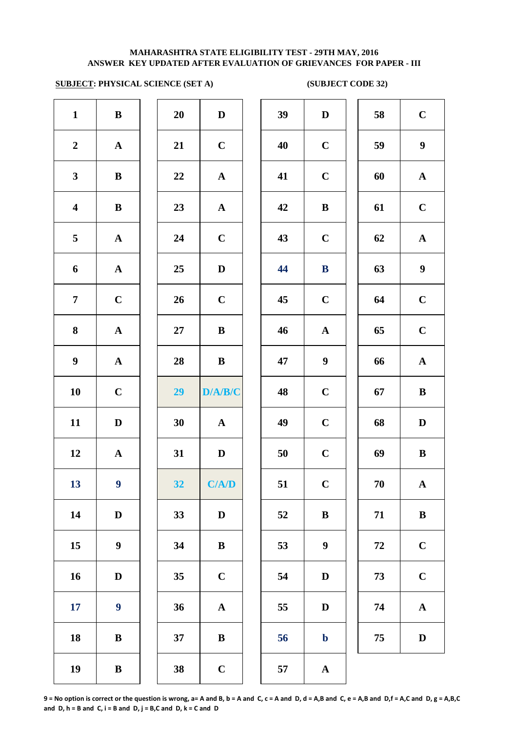## **SUBJECT: PHYSICAL SCIENCE (SET A) (SUBJECT CODE 32)**

| $\mathbf{1}$            | ${\bf B}$             | 20     | $\mathbf D$           | 39 | $\mathbf{D}$     |
|-------------------------|-----------------------|--------|-----------------------|----|------------------|
| $\boldsymbol{2}$        | $\mathbf A$           | 21     | $\mathbf C$           | 40 | $\mathbf C$      |
| $\mathbf{3}$            | $\, {\bf B}$          | 22     | $\mathbf A$           | 41 | $\mathbf C$      |
| $\overline{\mathbf{4}}$ | $\, {\bf B}$          | 23     | $\boldsymbol{\rm{A}}$ | 42 | $\bf{B}$         |
| $\overline{\mathbf{5}}$ | $\boldsymbol{\rm{A}}$ | 24     | $\mathbf C$           | 43 | $\mathbf C$      |
| $\boldsymbol{6}$        | $\mathbf A$           | 25     | $\mathbf D$           | 44 | $\bf{B}$         |
| $\overline{7}$          | $\mathbf C$           | 26     | $\mathbf C$           | 45 | $\mathbf C$      |
| ${\bf 8}$               | $\mathbf A$           | $27\,$ | $\, {\bf B}$          | 46 | $\mathbf{A}$     |
| $\boldsymbol{9}$        | $\mathbf A$           | 28     | $\bf{B}$              | 47 | $\boldsymbol{9}$ |
| 10                      | $\mathbf C$           | 29     | D/A/B/C               | 48 | $\mathbf C$      |
| 11                      | ${\bf D}$             | 30     | $\mathbf A$           | 49 | $\mathbf C$      |
| 12                      | $\mathbf A$           | 31     | $\mathbf D$           | 50 | $\mathbf C$      |
| 13                      | $\boldsymbol{9}$      | 32     | C/A/D                 | 51 | $\mathbf C$      |
| 14                      | ${\bf D}$             | 33     | $\mathbf D$           | 52 | $\bf{B}$         |
| 15                      | $\boldsymbol{9}$      | 34     | $\, {\bf B}$          | 53 | $\boldsymbol{9}$ |
| 16                      | $\mathbf D$           | 35     | $\mathbf C$           | 54 | $\mathbf{D}$     |
| 17                      | $\boldsymbol{9}$      | 36     | $\boldsymbol{\rm{A}}$ | 55 | $\mathbf{D}$     |
| 18                      | $\, {\bf B}$          | 37     | $\, {\bf B}$          | 56 | $\mathbf b$      |
| 19                      | $\, {\bf B}$          | 38     | $\mathbf C$           | 57 | $\mathbf A$      |
|                         |                       |        |                       |    |                  |

| $\mathbf{1}$            | ${\bf B}$        | 20 | $\mathbf D$ | 39 | $\mathbf D$      | 58 | $\mathbf C$      |
|-------------------------|------------------|----|-------------|----|------------------|----|------------------|
| $\overline{2}$          | ${\bf A}$        | 21 | $\mathbf C$ | 40 | $\mathbf C$      | 59 | $\boldsymbol{9}$ |
| $\mathbf{3}$            | $\bf{B}$         | 22 | ${\bf A}$   | 41 | $\mathbf C$      | 60 | ${\bf A}$        |
| $\overline{\mathbf{4}}$ | $\, {\bf B}$     | 23 | ${\bf A}$   | 42 | $\bf{B}$         | 61 | $\mathbf C$      |
| $\overline{5}$          | ${\bf A}$        | 24 | $\mathbf C$ | 43 | $\mathbf C$      | 62 | ${\bf A}$        |
| 6                       | ${\bf A}$        | 25 | $\mathbf D$ | 44 | ${\bf B}$        | 63 | $\boldsymbol{9}$ |
| $\overline{7}$          | $\mathbf C$      | 26 | $\mathbf C$ | 45 | $\mathbf C$      | 64 | $\mathbf C$      |
| 8                       | ${\bf A}$        | 27 | $\bf{B}$    | 46 | ${\bf A}$        | 65 | $\mathbf C$      |
| $\boldsymbol{9}$        | ${\bf A}$        | 28 | $\bf{B}$    | 47 | $\boldsymbol{9}$ | 66 | $\mathbf{A}$     |
| 10                      | $\mathbf C$      | 29 | D/A/B/C     | 48 | $\mathbf C$      | 67 | $\bf{B}$         |
| 11                      | $\mathbf D$      | 30 | ${\bf A}$   | 49 | $\mathbf C$      | 68 | $\mathbf D$      |
| 12                      | ${\bf A}$        | 31 | D           | 50 | $\mathbf C$      | 69 | ${\bf B}$        |
| 13                      | 9 <sub>1</sub>   | 32 | C/AD        | 51 | $\mathbf C$      | 70 | ${\bf A}$        |
| 14                      | $\mathbf D$      | 33 | D           | 52 | $\, {\bf B}$     | 71 | $\, {\bf B}$     |
| 15                      | $\boldsymbol{9}$ | 34 | $\bf{B}$    | 53 | $\boldsymbol{9}$ | 72 | $\mathbf C$      |
| 16                      | $\mathbf D$      | 35 | $\mathbf C$ | 54 | D                | 73 | $\mathbf C$      |
| 17                      | $\boldsymbol{9}$ | 36 | ${\bf A}$   | 55 | D                | 74 | ${\bf A}$        |
| 18                      | $\, {\bf B}$     | 37 | $\bf{B}$    | 56 | $\mathbf b$      | 75 | $\mathbf D$      |
| 19                      | $\bf{B}$         | 38 | $\mathbf C$ | 57 | $\mathbf A$      |    |                  |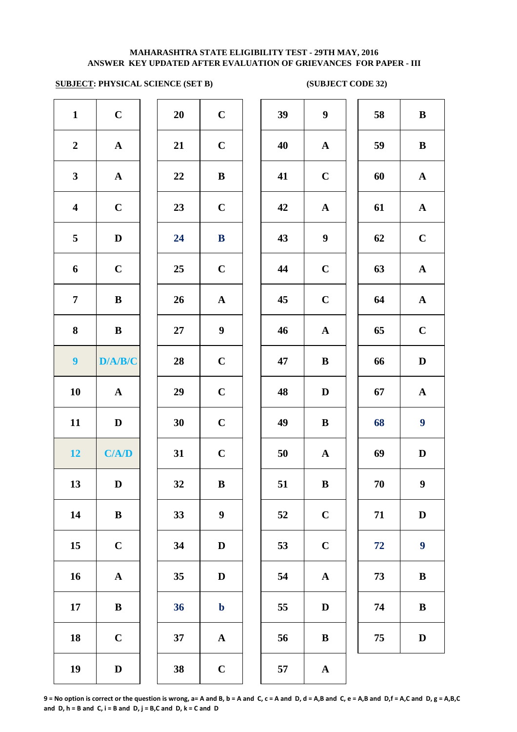# **SUBJECT: PHYSICAL SCIENCE (SET B) (SUBJECT CODE 32)**

| $\mathbf{1}$            | $\mathbf C$           | 20     | $\mathbf C$           | 39 | $\boldsymbol{9}$ |
|-------------------------|-----------------------|--------|-----------------------|----|------------------|
| $\boldsymbol{2}$        | ${\bf A}$             | 21     | $\mathbf C$           | 40 | $\mathbf A$      |
| $\mathbf{3}$            | ${\bf A}$             | 22     | $\bf{B}$              | 41 | $\mathbf C$      |
| $\overline{\mathbf{4}}$ | $\mathbf C$           | 23     | $\mathbf C$           | 42 | $\mathbf A$      |
| 5                       | $\mathbf D$           | 24     | $\, {\bf B}$          | 43 | $\boldsymbol{9}$ |
| 6                       | $\mathbf C$           | 25     | $\mathbf C$           | 44 | $\mathbf C$      |
| $\overline{7}$          | $\bf{B}$              | 26     | ${\bf A}$             | 45 | $\mathbf C$      |
| 8                       | $\, {\bf B}$          | $27\,$ | $\boldsymbol{9}$      | 46 | $\mathbf A$      |
| $\boldsymbol{9}$        | D/A/B/C               | 28     | $\mathbf C$           | 47 | $\bf{B}$         |
| 10                      | ${\bf A}$             | 29     | $\mathbf C$           | 48 | $\mathbf{D}$     |
| 11                      | $\mathbf D$           | 30     | $\mathbf C$           | 49 | $\bf{B}$         |
| 12                      | C/A/D                 | 31     | $\mathbf C$           | 50 | $\mathbf{A}$     |
| 13                      | $\mathbf D$           | 32     | $\bf{B}$              | 51 | $\bf{B}$         |
| 14                      | $\, {\bf B}$          | 33     | $\boldsymbol{9}$      | 52 | $\mathbf C$      |
| 15                      | $\mathbf C$           | 34     | $\mathbf D$           | 53 | $\mathbf C$      |
| 16                      | $\boldsymbol{\rm{A}}$ | 35     | $\mathbf D$           | 54 | $\mathbf A$      |
| $17\phantom{.}$         | $\bf{B}$              | 36     | $\mathbf b$           | 55 | $\bf{D}$         |
| 18                      | $\mathbf C$           | 37     | $\boldsymbol{\rm{A}}$ | 56 | $\bf{B}$         |
| 19                      | $\mathbf D$           | 38     | $\mathbf C$           | 57 | $\mathbf A$      |

| 20 | $\mathbf C$             |
|----|-------------------------|
| 21 | $\mathbf C$             |
| 22 | B                       |
| 23 | $\mathbf C$             |
| 24 | B                       |
| 25 | $\mathbf C$             |
| 26 | $\mathbf{A}$            |
| 27 | 9                       |
| 28 | $\mathbf C$             |
| 29 | $\mathbf C$             |
| 30 | $\mathbf C$             |
| 31 | $\mathbf C$             |
| 32 | B                       |
| 33 | 9                       |
| 34 | D                       |
| 35 | D                       |
| 36 | $\mathbf b$             |
| 37 | $\overline{\mathbf{A}}$ |
| 38 | $\overline{\mathbf{C}}$ |

| $\mathbf{1}$            | $\mathbf C$  | 20 | $\mathbf C$      | 39 | $\boldsymbol{9}$ | 58 | $\, {\bf B}$     |
|-------------------------|--------------|----|------------------|----|------------------|----|------------------|
| $\overline{2}$          | ${\bf A}$    | 21 | $\mathbf C$      | 40 | ${\bf A}$        | 59 | $\, {\bf B}$     |
| $\mathbf{3}$            | ${\bf A}$    | 22 | $\, {\bf B}$     | 41 | $\mathbf C$      | 60 | ${\bf A}$        |
| $\overline{\mathbf{4}}$ | $\mathbf C$  | 23 | $\mathbf C$      | 42 | $\mathbf A$      | 61 | ${\bf A}$        |
| $\overline{5}$          | $\mathbf D$  | 24 | $\bf{B}$         | 43 | $\boldsymbol{9}$ | 62 | $\mathbf C$      |
| 6                       | $\mathbf C$  | 25 | $\mathbf C$      | 44 | $\mathbf C$      | 63 | ${\bf A}$        |
| $\overline{7}$          | $\bf{B}$     | 26 | $\mathbf{A}$     | 45 | $\mathbf C$      | 64 | ${\bf A}$        |
| 8                       | $\bf{B}$     | 27 | $\boldsymbol{9}$ | 46 | $\mathbf A$      | 65 | $\mathbf C$      |
| $\boldsymbol{9}$        | D/A/B/C      | 28 | $\mathbf C$      | 47 | $\bf{B}$         | 66 | ${\bf D}$        |
| 10                      | $\mathbf A$  | 29 | $\mathbf C$      | 48 | D                | 67 | $\mathbf A$      |
| 11                      | $\mathbf{D}$ | 30 | $\mathbf C$      | 49 | $\bf{B}$         | 68 | $\boldsymbol{9}$ |
| 12 <sub>2</sub>         | C/A/D        | 31 | $\mathbf C$      | 50 | $\mathbf{A}$     | 69 | $\mathbf D$      |
| 13                      | $\mathbf D$  | 32 | $\, {\bf B}$     | 51 | $\, {\bf B}$     | 70 | $\boldsymbol{9}$ |
| 14                      | $\, {\bf B}$ | 33 | $\boldsymbol{9}$ | 52 | $\mathbf C$      | 71 | $\mathbf D$      |
| 15                      | $\mathbf C$  | 34 | $\mathbf D$      | 53 | $\mathbf C$      | 72 | $\boldsymbol{9}$ |
| 16                      | ${\bf A}$    | 35 | D                | 54 | $\mathbf A$      | 73 | $\, {\bf B}$     |
| 17                      | $\bf{B}$     | 36 | $\mathbf b$      | 55 | D                | 74 | $\bf{B}$         |
| 18                      | $\mathbf C$  | 37 | ${\bf A}$        | 56 | $\bf{B}$         | 75 | $\mathbf D$      |
| 19                      | $\mathbf D$  | 38 | $\mathbf C$      | 57 | $\mathbf A$      |    |                  |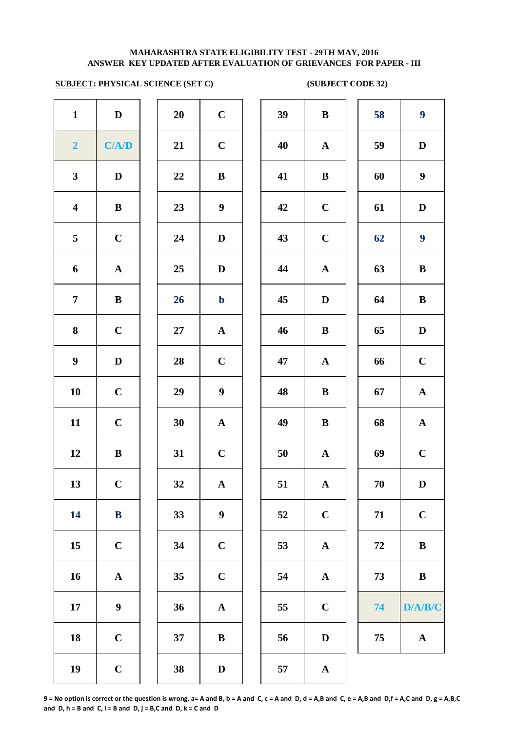## **SUBJECT: PHYSICAL SCIENCE (SET C) (SUBJECT CODE 32)**

| $\mathbf{1}$            | $\mathbf D$           | 20     | $\mathbf C$           | 39 | $\bf{B}$     |
|-------------------------|-----------------------|--------|-----------------------|----|--------------|
| $\overline{2}$          | C/A/D                 | 21     | $\mathbf C$           | 40 | $\mathbf A$  |
| $\mathbf{3}$            | $\mathbf D$           | 22     | $\, {\bf B}$          | 41 | $\bf{B}$     |
| $\overline{\mathbf{4}}$ | $\, {\bf B}$          | 23     | $\boldsymbol{9}$      | 42 | $\mathbf C$  |
| 5                       | $\mathbf C$           | 24     | $\mathbf D$           | 43 | $\mathbf C$  |
| 6                       | $\boldsymbol{\rm{A}}$ | 25     | $\mathbf D$           | 44 | $\mathbf A$  |
| $\overline{7}$          | $\bf{B}$              | 26     | $\mathbf b$           | 45 | $\mathbf{D}$ |
| 8                       | $\mathbf C$           | $27\,$ | $\mathbf A$           | 46 | $\bf{B}$     |
| $\boldsymbol{9}$        | $\mathbf D$           | 28     | $\mathbf C$           | 47 | $\mathbf A$  |
| 10                      | $\mathbf C$           | 29     | $\boldsymbol{9}$      | 48 | $\bf{B}$     |
| 11                      | $\mathbf C$           | 30     | $\boldsymbol{\rm{A}}$ | 49 | $\bf{B}$     |
| 12                      | $\, {\bf B}$          | 31     | $\mathbf C$           | 50 | $\mathbf A$  |
| 13                      | $\mathbf C$           | 32     | $\mathbf A$           | 51 | $\mathbf A$  |
| 14                      | ${\bf B}$             | 33     | $\boldsymbol{9}$      | 52 | $\mathbf C$  |
| 15                      | $\mathbf C$           | 34     | $\mathbf C$           | 53 | $\mathbf A$  |
| 16                      | $\boldsymbol{\rm{A}}$ | 35     | $\mathbf C$           | 54 | $\mathbf A$  |
| 17                      | $\boldsymbol{9}$      | 36     | $\mathbf A$           | 55 | $\mathbf C$  |
| 18                      | $\mathbf C$           | 37     | ${\bf B}$             | 56 | $\bf{D}$     |
| 19                      | $\mathbf C$           | 38     | $\mathbf D$           | 57 | $\mathbf A$  |

| 20 | $\mathbf C$  |  |
|----|--------------|--|
| 21 | $\mathbf C$  |  |
| 22 | B            |  |
| 23 | 9            |  |
| 24 | D            |  |
| 25 | D            |  |
| 26 | $\mathbf b$  |  |
| 27 | $\mathbf A$  |  |
| 28 | $\mathbf C$  |  |
| 29 | 9            |  |
| 30 | $\mathbf{A}$ |  |
| 31 | $\mathbf C$  |  |
| 32 | $\mathbf A$  |  |
| 33 | 9            |  |
| 34 | $\mathbf C$  |  |
| 35 | $\mathbf C$  |  |
| 36 | $\mathbf A$  |  |
| 37 | B            |  |
| 20 | D            |  |

| $\mathbf{1}$            | $\mathbf D$      | 20     | $\mathbf C$      | 39 | $\bf{B}$     | 58         | $\boldsymbol{9}$ |
|-------------------------|------------------|--------|------------------|----|--------------|------------|------------------|
| $\overline{2}$          | C/A/D            | 21     | $\mathbf C$      | 40 | $\mathbf{A}$ | 59         | $\mathbf D$      |
| $\mathbf{3}$            | $\mathbf D$      | $22\,$ | ${\bf B}$        | 41 | $\bf{B}$     | 60         | $\boldsymbol{9}$ |
| $\overline{\mathbf{4}}$ | $\bf{B}$         | 23     | $\boldsymbol{9}$ | 42 | $\mathbf C$  | 61         | $\mathbf D$      |
| $5\phantom{.0}$         | $\mathbf C$      | 24     | $\mathbf{D}$     | 43 | $\mathbf C$  | 62         | $\boldsymbol{9}$ |
| 6                       | ${\bf A}$        | 25     | D                | 44 | $\mathbf A$  | 63         | $\, {\bf B}$     |
| $\overline{7}$          | $\, {\bf B}$     | 26     | $\mathbf b$      | 45 | D            | 64         | $\bf{B}$         |
| 8                       | $\mathbf C$      | 27     | ${\bf A}$        | 46 | $\bf{B}$     | 65         | $\mathbf D$      |
| $\boldsymbol{9}$        | $\mathbf{D}$     | 28     | $\mathbf C$      | 47 | $\mathbf A$  | 66         | $\mathbf C$      |
| 10                      | $\mathbf C$      | 29     | $\boldsymbol{9}$ | 48 | $\bf{B}$     | 67         | $\mathbf{A}$     |
| 11                      | $\mathbf C$      | 30     | $\mathbf{A}$     | 49 | $\bf{B}$     | 68         | $\mathbf{A}$     |
| 12                      | ${\bf B}$        | 31     | $\mathbf C$      | 50 | $\mathbf{A}$ | 69         | $\mathbf C$      |
| 13                      | $\mathbf C$      | 32     | ${\bf A}$        | 51 | ${\bf A}$    | 70         | D                |
| 14                      | $\bf{B}$         | 33     | $\boldsymbol{9}$ | 52 | $\mathbf C$  | 71         | $\mathbf C$      |
| 15                      | $\mathbf C$      | 34     | $\mathbf C$      | 53 | $\mathbf{A}$ | ${\bf 72}$ | $\, {\bf B}$     |
| 16                      | ${\bf A}$        | 35     | $\mathbf C$      | 54 | $\mathbf{A}$ | 73         | $\, {\bf B}$     |
| 17                      | $\boldsymbol{9}$ | 36     | $\mathbf A$      | 55 | $\mathbf C$  | 74         | D/A/B/C          |
| 18                      | $\mathbf C$      | 37     | $\bf{B}$         | 56 | $\mathbf D$  | 75         | $\mathbf{A}$     |
| 19                      | $\mathbf C$      | 38     | $\mathbf D$      | 57 | $\mathbf A$  |            |                  |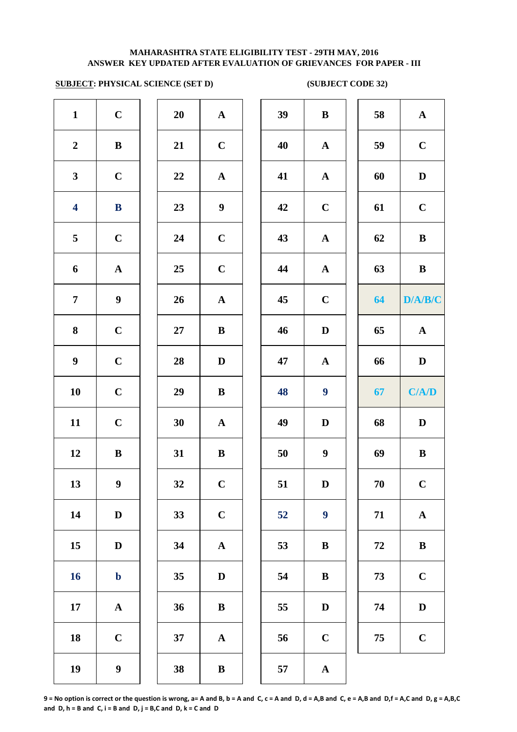## **SUBJECT: PHYSICAL SCIENCE (SET D) (SUBJECT CODE 32)**

| $\mathbf{1}$            | $\mathbf C$           | 20 | ${\bf A}$             | 39 | $\bf{B}$                |
|-------------------------|-----------------------|----|-----------------------|----|-------------------------|
| $\boldsymbol{2}$        | $\bf{B}$              | 21 | $\mathbf C$           | 40 | $\mathbf A$             |
| $\mathbf{3}$            | $\mathbf C$           | 22 | ${\bf A}$             | 41 | $\mathbf A$             |
| $\overline{\mathbf{4}}$ | $\bf{B}$              | 23 | $\boldsymbol{9}$      | 42 | $\mathbf C$             |
| 5                       | $\mathbf C$           | 24 | $\mathbf C$           | 43 | $\mathbf A$             |
| 6                       | $\boldsymbol{\rm{A}}$ | 25 | $\mathbf C$           | 44 | $\mathbf A$             |
| $\overline{7}$          | $\boldsymbol{9}$      | 26 | $\boldsymbol{\rm{A}}$ | 45 | $\mathbf C$             |
| 8                       | $\mathbf C$           | 27 | $\bf{B}$              | 46 | $\mathbf{D}$            |
| $\boldsymbol{9}$        | $\mathbf C$           | 28 | $\mathbf D$           | 47 | $\mathbf A$             |
| ${\bf 10}$              | $\mathbf C$           | 29 | $\, {\bf B}$          | 48 | $\overline{\mathbf{9}}$ |
| 11                      | $\mathbf C$           | 30 | $\mathbf A$           | 49 | $\mathbf{D}$            |
| 12                      | $\, {\bf B}$          | 31 | $\, {\bf B}$          | 50 | $\boldsymbol{9}$        |
| 13                      | $\boldsymbol{9}$      | 32 | $\mathbf C$           | 51 | $\mathbf{D}$            |
| 14                      | $\mathbf D$           | 33 | $\mathbf C$           | 52 | $\boldsymbol{9}$        |
| 15                      | $\mathbf D$           | 34 | $\mathbf A$           | 53 | $\bf{B}$                |
| <b>16</b>               | $\mathbf b$           | 35 | $\mathbf D$           | 54 | $\bf{B}$                |
| $17\phantom{.}$         | ${\bf A}$             | 36 | $\, {\bf B}$          | 55 | $\bf{D}$                |
| 18                      | $\mathbf C$           | 37 | ${\bf A}$             | 56 | $\mathbf C$             |
| 19                      | $\boldsymbol{9}$      | 38 | $\, {\bf B}$          | 57 | $\mathbf A$             |

| 20 | $\mathbf A$  |
|----|--------------|
| 21 | $\mathbf C$  |
| 22 | A            |
| 23 | 9            |
| 24 | $\mathbf C$  |
| 25 | $\mathbf C$  |
| 26 | $\mathbf A$  |
| 27 | B            |
| 28 | D            |
| 29 | B            |
| 30 | $\mathbf{A}$ |
| 31 | B            |
| 32 | $\mathbf C$  |
| 33 | $\mathbf C$  |
| 34 | A            |
| 35 | D            |
| 36 | B            |
| 37 | A            |
|    |              |

| $\mathbf{1}$            | $\mathbf C$      | 20     | ${\bf A}$        | 39 | $\bf{B}$         | 58     | $\mathbf{A}$ |
|-------------------------|------------------|--------|------------------|----|------------------|--------|--------------|
| $\overline{2}$          | $\, {\bf B}$     | 21     | $\mathbf C$      | 40 | ${\bf A}$        | 59     | $\mathbf C$  |
| $\mathbf{3}$            | $\mathbf C$      | 22     | ${\bf A}$        | 41 | ${\bf A}$        | 60     | $\mathbf D$  |
| $\overline{\mathbf{4}}$ | $\bf{B}$         | 23     | $\boldsymbol{9}$ | 42 | $\mathbf C$      | 61     | $\mathbf C$  |
| $\overline{5}$          | $\mathbf C$      | 24     | $\mathbf C$      | 43 | ${\bf A}$        | 62     | $\, {\bf B}$ |
| 6                       | ${\bf A}$        | 25     | $\mathbf C$      | 44 | ${\bf A}$        | 63     | $\, {\bf B}$ |
| $\overline{7}$          | $\boldsymbol{9}$ | 26     | ${\bf A}$        | 45 | $\mathbf C$      | 64     | D/A/B/C      |
| $\boldsymbol{8}$        | $\mathbf C$      | $27\,$ | $\bf{B}$         | 46 | $\mathbf D$      | 65     | ${\bf A}$    |
| $\boldsymbol{9}$        | $\mathbf C$      | 28     | D                | 47 | $\mathbf{A}$     | 66     | $\mathbf D$  |
| 10                      | $\mathbf C$      | 29     | ${\bf B}$        | 48 | $\boldsymbol{9}$ | 67     | C/AD         |
| 11                      | $\mathbf C$      | 30     | ${\bf A}$        | 49 | $\mathbf D$      | 68     | $\mathbf D$  |
| 12                      | $\bf{B}$         | 31     | $\bf{B}$         | 50 | $\boldsymbol{9}$ | 69     | $\bf{B}$     |
| 13                      | $\boldsymbol{9}$ | 32     | $\mathbf C$      | 51 | $\mathbf D$      | $70\,$ | $\mathbf C$  |
| 14                      | $\mathbf D$      | 33     | $\mathbf C$      | 52 | $\boldsymbol{9}$ | 71     | $\mathbf A$  |
| 15                      | $\mathbf D$      | 34     | ${\bf A}$        | 53 | $\bf{B}$         | 72     | $\, {\bf B}$ |
| 16                      | $\mathbf b$      | 35     | D                | 54 | B                | 73     | $\mathbf C$  |
| 17                      | $\mathbf{A}$     | 36     | $\bf{B}$         | 55 | D                | 74     | $\mathbf D$  |
| 18                      | $\mathbf C$      | 37     | $\mathbf{A}$     | 56 | $\mathbf C$      | 75     | $\mathbf C$  |
| 19                      | $\boldsymbol{9}$ | 38     | $\bf{B}$         | 57 | $\mathbf A$      |        |              |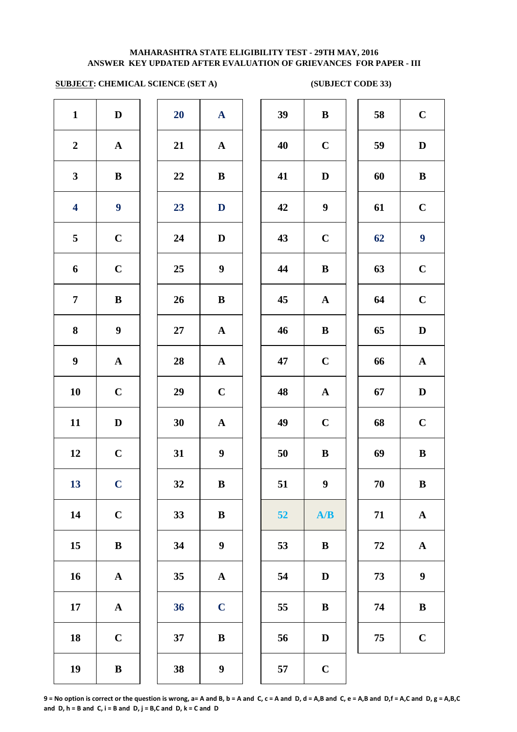# **SUBJECT: CHEMICAL SCIENCE (SET A)** (SUBJECT CODE 33)

| $\mathbf{1}$            | $\mathbf D$           | 20 | $\mathbf{A}$          | 39 | $\bf{B}$         |
|-------------------------|-----------------------|----|-----------------------|----|------------------|
| $\boldsymbol{2}$        | ${\bf A}$             | 21 | ${\bf A}$             | 40 | $\mathbf C$      |
| $\mathbf{3}$            | $\bf{B}$              | 22 | $\bf{B}$              | 41 | $\mathbf{D}$     |
| $\overline{\mathbf{4}}$ | $\boldsymbol{9}$      | 23 | $\mathbf D$           | 42 | $\boldsymbol{9}$ |
| 5                       | $\mathbf C$           | 24 | $\mathbf D$           | 43 | $\mathbf C$      |
| 6                       | $\mathbf C$           | 25 | $\boldsymbol{9}$      | 44 | $\bf{B}$         |
| $\overline{7}$          | $\, {\bf B}$          | 26 | $\, {\bf B}$          | 45 | $\mathbf A$      |
| 8                       | $\boldsymbol{9}$      | 27 | ${\bf A}$             | 46 | $\bf{B}$         |
| $\boldsymbol{9}$        | $\boldsymbol{\rm{A}}$ | 28 | ${\bf A}$             | 47 | $\mathbf C$      |
| ${\bf 10}$              | $\mathbf C$           | 29 | $\mathbf C$           | 48 | $\mathbf{A}$     |
| 11                      | $\mathbf D$           | 30 | ${\bf A}$             | 49 | $\mathbf C$      |
| 12                      | $\mathbf C$           | 31 | $\boldsymbol{9}$      | 50 | $\bf{B}$         |
| 13                      | $\mathbf C$           | 32 | $\, {\bf B}$          | 51 | $\boldsymbol{9}$ |
| 14                      | $\mathbf C$           | 33 | $\, {\bf B}$          | 52 | A                |
| 15                      | $\bf{B}$              | 34 | $\boldsymbol{9}$      | 53 | $\bf{B}$         |
| 16                      | ${\bf A}$             | 35 | $\boldsymbol{\rm{A}}$ | 54 | $\mathbf{D}$     |
| 17                      | $\boldsymbol{\rm{A}}$ | 36 | $\mathbf C$           | 55 | $\bf{B}$         |
| 18                      | $\mathbf C$           | 37 | $\, {\bf B}$          | 56 | $\mathbf{D}$     |
| 19                      | $\, {\bf B}$          | 38 | $\boldsymbol{9}$      | 57 | $\mathbf C$      |

| 20 | $\mathbf A$             |  |
|----|-------------------------|--|
| 21 | $\mathbf A$             |  |
| 22 | B                       |  |
| 23 | D                       |  |
| 24 | D                       |  |
| 25 | 9                       |  |
| 26 | B                       |  |
| 27 | $\mathbf{A}$            |  |
| 28 | $\mathbf{A}$            |  |
| 29 | $\mathbf C$             |  |
| 30 | $\mathbf A$             |  |
| 31 | 9                       |  |
| 32 | B                       |  |
| 33 | B                       |  |
| 34 | 9                       |  |
| 35 | A                       |  |
| 36 | $\overline{\mathbf{C}}$ |  |
| 37 | B                       |  |
|    |                         |  |

| $\mathbf{1}$            | $\mathbf D$      | 20 | $\mathbf{A}$          | 39 | $\, {\bf B}$     | 58 | $\mathbf C$      |
|-------------------------|------------------|----|-----------------------|----|------------------|----|------------------|
| $\overline{2}$          | ${\bf A}$        | 21 | ${\bf A}$             | 40 | $\mathbf C$      | 59 | $\mathbf D$      |
| $\mathbf{3}$            | ${\bf B}$        | 22 | ${\bf B}$             | 41 | $\mathbf D$      | 60 | $\, {\bf B}$     |
| $\overline{\mathbf{4}}$ | $\boldsymbol{9}$ | 23 | $\mathbf D$           | 42 | $\boldsymbol{9}$ | 61 | $\mathbf C$      |
| $\overline{5}$          | $\mathbf C$      | 24 | D                     | 43 | $\mathbf C$      | 62 | $\boldsymbol{9}$ |
| 6                       | $\mathbf C$      | 25 | $\boldsymbol{9}$      | 44 | $\, {\bf B}$     | 63 | $\mathbf C$      |
| $\overline{7}$          | $\bf{B}$         | 26 | ${\bf B}$             | 45 | ${\bf A}$        | 64 | $\mathbf C$      |
| 8                       | $\boldsymbol{9}$ | 27 | $\mathbf{A}$          | 46 | $\, {\bf B}$     | 65 | $\mathbf D$      |
| $\boldsymbol{9}$        | ${\bf A}$        | 28 | $\mathbf{A}$          | 47 | $\mathbf C$      | 66 | ${\bf A}$        |
| 10                      | $\mathbf C$      | 29 | $\bf C$               | 48 | $\mathbf{A}$     | 67 | $\mathbf D$      |
| 11                      | $\mathbf D$      | 30 | ${\bf A}$             | 49 | $\mathbf C$      | 68 | $\mathbf C$      |
| 12                      | $\mathbf C$      | 31 | $\boldsymbol{9}$      | 50 | $\, {\bf B}$     | 69 | $\, {\bf B}$     |
| 13                      | $\mathbf C$      | 32 | $\, {\bf B}$          | 51 | 9 <sup>1</sup>   | 70 | $\, {\bf B}$     |
| 14                      | $\mathbf C$      | 33 | ${\bf B}$             | 52 | A/B              | 71 | ${\bf A}$        |
| 15                      | $\, {\bf B}$     | 34 | $\boldsymbol{9}$      | 53 | $\, {\bf B}$     | 72 | ${\bf A}$        |
| 16                      | ${\bf A}$        | 35 | $\boldsymbol{\rm{A}}$ | 54 | $\mathbf D$      | 73 | $\boldsymbol{9}$ |
| 17                      | ${\bf A}$        | 36 | $\mathbf C$           | 55 | $\bf{B}$         | 74 | $\bf{B}$         |
| 18                      | $\mathbf C$      | 37 | ${\bf B}$             | 56 | $\mathbf D$      | 75 | $\mathbf C$      |
| 19                      | $\, {\bf B}$     | 38 | $\boldsymbol{9}$      | 57 | $\mathbf C$      |    |                  |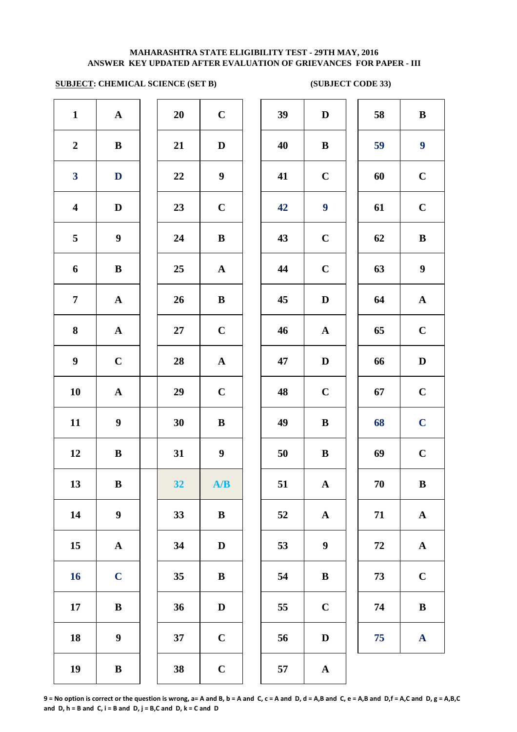# **SUBJECT: CHEMICAL SCIENCE (SET B)** (SUBJECT CODE 33)

| $\mathbf{1}$            | ${\bf A}$        | 20     | $\mathbf C$      | 39 | $\mathbf D$      | 58 | $\bf{B}$         |
|-------------------------|------------------|--------|------------------|----|------------------|----|------------------|
| $\boldsymbol{2}$        | $\, {\bf B}$     | 21     | $\mathbf D$      | 40 | $\bf{B}$         | 59 | $\boldsymbol{9}$ |
| $\overline{\mathbf{3}}$ | $\mathbf{D}$     | $22\,$ | $\boldsymbol{9}$ | 41 | $\mathbf C$      | 60 | $\mathbf C$      |
| $\overline{\mathbf{4}}$ | $\mathbf D$      | 23     | $\mathbf C$      | 42 | $\boldsymbol{9}$ | 61 | $\mathbf C$      |
| 5                       | $\boldsymbol{9}$ | 24     | $\bf{B}$         | 43 | $\mathbf C$      | 62 | $\bf{B}$         |
| 6                       | $\, {\bf B}$     | 25     | ${\bf A}$        | 44 | $\mathbf C$      | 63 | $\boldsymbol{9}$ |
| $\overline{7}$          | ${\bf A}$        | 26     | $\bf{B}$         | 45 | $\mathbf D$      | 64 | $\mathbf A$      |
| 8                       | ${\bf A}$        | 27     | $\mathbf C$      | 46 | ${\bf A}$        | 65 | $\mathbf C$      |
| $\boldsymbol{9}$        | $\mathbf C$      | 28     | ${\bf A}$        | 47 | $\mathbf D$      | 66 | D                |
| 10                      | ${\bf A}$        | 29     | $\mathbf C$      | 48 | $\mathbf C$      | 67 | $\mathbf C$      |
| 11                      | $\boldsymbol{9}$ | 30     | $\bf{B}$         | 49 | $\bf{B}$         | 68 | $\mathbf C$      |
| 12                      | $\bf{B}$         | 31     | $\boldsymbol{9}$ | 50 | $\bf{B}$         | 69 | $\mathbf C$      |
| 13                      | $\, {\bf B}$     | 32     | A/B              | 51 | $\mathbf{A}$     | 70 | $\bf{B}$         |
| 14                      | $\boldsymbol{9}$ | 33     | $\, {\bf B}$     | 52 | $\mathbf{A}$     | 71 | $\mathbf A$      |
| 15                      | ${\bf A}$        | 34     | $\mathbf D$      | 53 | $\boldsymbol{9}$ | 72 | $\mathbf A$      |
| 16                      | $\mathbf C$      | 35     | $\bf{B}$         | 54 | $\, {\bf B}$     | 73 | $\mathbf C$      |
| 17                      | $\bf{B}$         | 36     | $\mathbf D$      | 55 | $\mathbf C$      | 74 | $\bf{B}$         |
| 18                      | $\boldsymbol{9}$ | 37     | $\mathbf C$      | 56 | $\mathbf D$      | 75 | $\mathbf A$      |
| 19                      | $\, {\bf B}$     | 38     | $\mathbf C$      | 57 | $\mathbf A$      |    |                  |
|                         |                  |        |                  |    |                  |    |                  |

| 39 | $\mathbf{D}$          | 58 | B                     |
|----|-----------------------|----|-----------------------|
| 40 | $\bf{B}$              | 59 | $\boldsymbol{9}$      |
| 41 | $\mathbf C$           | 60 | $\mathbf C$           |
| 42 | 9                     | 61 | $\mathbf C$           |
| 43 | $\mathbf C$           | 62 | B                     |
| 44 | $\mathbf C$           | 63 | 9                     |
| 45 | D                     | 64 | $\mathbf A$           |
| 46 | $\mathbf A$           | 65 | $\mathbf C$           |
| 47 | $\mathbf D$           | 66 | $\mathbf D$           |
| 48 | $\mathbf C$           | 67 | $\mathbf C$           |
| 49 | $\bf{B}$              | 68 | $\mathbf C$           |
| 50 | $\bf{B}$              | 69 | $\overline{C}$        |
| 51 | $\mathbf A$           | 70 | $\bf{B}$              |
| 52 | $\boldsymbol{\rm{A}}$ | 71 | $\mathbf A$           |
| 53 | 9                     | 72 | $\boldsymbol{\rm{A}}$ |
| 54 | $\bf{B}$              | 73 | $\mathbf C$           |
| 55 | $\mathbf C$           | 74 | B                     |
| 56 | $\mathbf D$           | 75 | ${\bf A}$             |
|    |                       |    |                       |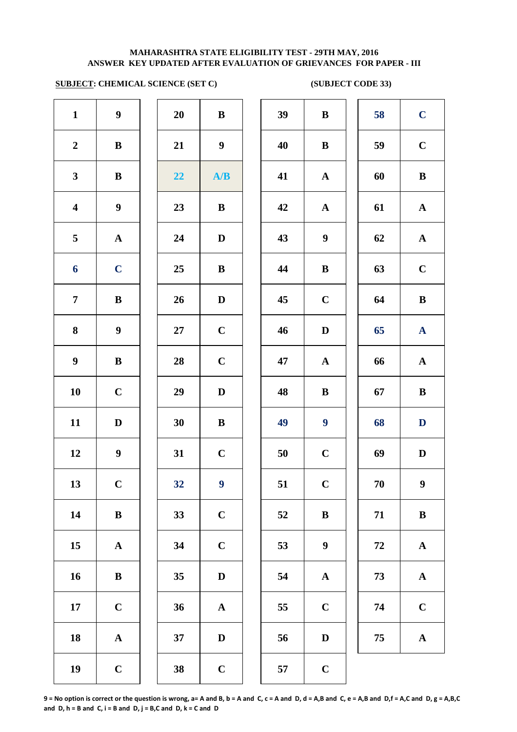# **SUBJECT: CHEMICAL SCIENCE (SET C)** (SUBJECT CODE 33)

| $\mathbf{1}$            | $\boldsymbol{9}$      | 20 | $\, {\bf B}$          | 39 | $\bf{B}$                |
|-------------------------|-----------------------|----|-----------------------|----|-------------------------|
| $\boldsymbol{2}$        | $\bf{B}$              | 21 | $\boldsymbol{9}$      | 40 | $\bf{B}$                |
| $\mathbf{3}$            | $\, {\bf B}$          | 22 | A/B                   | 41 | $\mathbf A$             |
| $\overline{\mathbf{4}}$ | $\boldsymbol{9}$      | 23 | $\, {\bf B}$          | 42 | $\mathbf A$             |
| 5                       | $\mathbf A$           | 24 | $\mathbf D$           | 43 | $\boldsymbol{9}$        |
| 6                       | $\mathbf C$           | 25 | $\bf{B}$              | 44 | $\bf{B}$                |
| $\overline{7}$          | $\bf{B}$              | 26 | $\mathbf D$           | 45 | $\mathbf C$             |
| 8                       | $\boldsymbol{9}$      | 27 | $\mathbf C$           | 46 | $\mathbf{D}$            |
| $\boldsymbol{9}$        | $\bf{B}$              | 28 | $\mathbf C$           | 47 | $\mathbf A$             |
| 10                      | $\mathbf C$           | 29 | $\mathbf D$           | 48 | $\bf{B}$                |
| 11                      | $\mathbf D$           | 30 | $\, {\bf B}$          | 49 | $\overline{\mathbf{9}}$ |
| 12                      | $\boldsymbol{9}$      | 31 | $\mathbf C$           | 50 | $\mathbf C$             |
| 13                      | $\mathbf C$           | 32 | $\boldsymbol{9}$      | 51 | $\mathbf C$             |
| 14                      | $\, {\bf B}$          | 33 | $\mathbf C$           | 52 | $\bf{B}$                |
| 15                      | $\boldsymbol{\rm{A}}$ | 34 | $\mathbf C$           | 53 | $\boldsymbol{9}$        |
| 16                      | $\bf{B}$              | 35 | $\mathbf D$           | 54 | $\mathbf A$             |
| 17                      | $\mathbf C$           | 36 | $\boldsymbol{\rm{A}}$ | 55 | $\mathbf C$             |
| 18                      | $\mathbf A$           | 37 | $\mathbf D$           | 56 | $\mathbf{D}$            |
| 19                      | $\mathbf C$           | 38 | $\mathbf C$           | 57 | $\mathbf C$             |
|                         |                       |    |                       |    |                         |

| 20 | B           |  |
|----|-------------|--|
| 21 | 9           |  |
| 22 | A/B         |  |
| 23 | B           |  |
| 24 | D           |  |
| 25 | B           |  |
| 26 | D           |  |
| 27 | $\mathbf C$ |  |
| 28 | $\mathbf C$ |  |
| 29 | D           |  |
| 30 | B           |  |
| 31 | $\mathbf C$ |  |
| 32 | 9           |  |
| 33 | $\mathbf C$ |  |
| 34 | $\mathbf C$ |  |
| 35 | $\mathbf D$ |  |
| 36 | $\mathbf A$ |  |
| 37 | D           |  |
| 20 |             |  |

| $\mathbf{1}$            | $\boldsymbol{9}$ | 20 | $\, {\bf B}$     | 39 | $\bf{B}$         | 58 | $\mathbf C$      |
|-------------------------|------------------|----|------------------|----|------------------|----|------------------|
| $\boldsymbol{2}$        | $\bf{B}$         | 21 | $\boldsymbol{9}$ | 40 | $\bf{B}$         | 59 | $\mathbf C$      |
| $\mathbf{3}$            | $\bf{B}$         | 22 | A/B              | 41 | $\mathbf{A}$     | 60 | $\bf{B}$         |
| $\overline{\mathbf{4}}$ | $\boldsymbol{9}$ | 23 | $\bf{B}$         | 42 | $\mathbf{A}$     | 61 | $\mathbf{A}$     |
| $\overline{5}$          | $\mathbf{A}$     | 24 | $\mathbf D$      | 43 | $\boldsymbol{9}$ | 62 | ${\bf A}$        |
| 6                       | $\mathbf C$      | 25 | $\bf{B}$         | 44 | $\bf{B}$         | 63 | $\mathbf C$      |
| $\overline{7}$          | $\bf{B}$         | 26 | $\mathbf D$      | 45 | $\mathbf C$      | 64 | $\bf{B}$         |
| 8                       | $\boldsymbol{9}$ | 27 | $\mathbf C$      | 46 | $\mathbf D$      | 65 | ${\bf A}$        |
| $\boldsymbol{9}$        | $\, {\bf B}$     | 28 | $\mathbf C$      | 47 | $\mathbf{A}$     | 66 | $\mathbf A$      |
| 10                      | $\mathbf C$      | 29 | $\mathbf D$      | 48 | $\bf{B}$         | 67 | $\bf{B}$         |
| 11                      | $\mathbf D$      | 30 | ${\bf B}$        | 49 | $\boldsymbol{9}$ | 68 | D                |
| 12                      | $\boldsymbol{9}$ | 31 | $\mathbf C$      | 50 | $\mathbf C$      | 69 | $\mathbf D$      |
| 13                      | $\mathbf C$      | 32 | $\boldsymbol{9}$ | 51 | $\mathbf C$      | 70 | $\boldsymbol{9}$ |
| 14                      | $\bf{B}$         | 33 | $\mathbf C$      | 52 | $\bf{B}$         | 71 | $\bf{B}$         |
| 15                      | $\mathbf{A}$     | 34 | $\mathbf C$      | 53 | $\boldsymbol{9}$ | 72 | ${\bf A}$        |
| 16                      | $\bf{B}$         | 35 | $\mathbf D$      | 54 | ${\bf A}$        | 73 | ${\bf A}$        |
| 17                      | $\mathbf C$      | 36 | $\mathbf A$      | 55 | $\mathbf C$      | 74 | $\bf C$          |
| 18                      | ${\bf A}$        | 37 | $\mathbf D$      | 56 | $\mathbf D$      | 75 | ${\bf A}$        |
| 19                      | $\mathbf C$      | 38 | $\mathbf C$      | 57 | $\mathbf C$      |    |                  |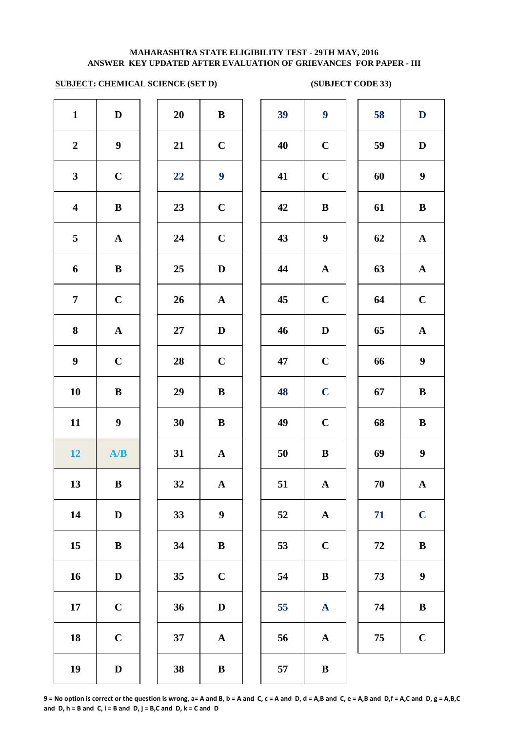## **SUBJECT: CHEMICAL SCIENCE (SET D) (SUBJECT CODE 33)**

| $\mathbf{1}$            | $\mathbf D$           | 20        | $\, {\bf B}$          | 39 | 9                         |
|-------------------------|-----------------------|-----------|-----------------------|----|---------------------------|
| $\boldsymbol{2}$        | $\boldsymbol{9}$      | 21        | $\mathbf C$           | 40 | $\mathbf C$               |
| $\mathbf{3}$            | $\mathbf C$           | 22        | $\boldsymbol{9}$      | 41 | $\mathbf C$               |
| $\overline{\mathbf{4}}$ | $\bf{B}$              | 23        | $\mathbf C$           | 42 | $\bf{B}$                  |
| $\overline{\mathbf{5}}$ | ${\bf A}$             | 24        | $\mathbf C$           | 43 | $\boldsymbol{9}$          |
| 6                       | $\bf{B}$              | 25        | $\mathbf D$           | 44 | $\mathbf A$               |
| $\overline{7}$          | $\mathbf C$           | 26        | ${\bf A}$             | 45 | $\mathbf C$               |
| 8                       | $\boldsymbol{\rm{A}}$ | <b>27</b> | $\mathbf D$           | 46 | $\bf{D}$                  |
| $\boldsymbol{9}$        | $\mathbf C$           | 28        | $\mathbf C$           | 47 | $\mathbf C$               |
| 10                      | $\, {\bf B}$          | 29        | $\, {\bf B}$          | 48 | $\mathbf C$               |
| 11                      | $\boldsymbol{9}$      | 30        | $\, {\bf B}$          | 49 | $\mathbf C$               |
| 12                      | A/B                   | 31        | $\boldsymbol{\rm{A}}$ | 50 | $\bf{B}$                  |
| 13                      | $\bf{B}$              | 32        | $\mathbf{A}$          | 51 | $\boldsymbol{\mathsf{A}}$ |
| 14                      | $\mathbf D$           | 33        | $\boldsymbol{9}$      | 52 | $\mathbf A$               |
| 15                      | $\bf{B}$              | 34        | $\bf{B}$              | 53 | $\mathbf C$               |
| 16                      | $\mathbf D$           | 35        | $\mathbf C$           | 54 | $\bf{B}$                  |
| $17\phantom{.}$         | $\mathbf C$           | 36        | $\mathbf{D}%$         | 55 | $\mathbf A$               |
| 18                      | $\mathbf C$           | 37        | $\boldsymbol{\rm{A}}$ | 56 | $\mathbf A$               |
| 19                      | $\mathbf D$           | 38        | $\, {\bf B}$          | 57 | $\bf{B}$                  |

| 20 | B            |  |
|----|--------------|--|
| 21 | $\mathbf C$  |  |
| 22 | 9            |  |
| 23 | $\mathbf C$  |  |
| 24 | $\mathbf C$  |  |
| 25 | D            |  |
| 26 | $\mathbf{A}$ |  |
| 27 | D            |  |
| 28 | $\mathbf C$  |  |
| 29 | B            |  |
| 30 | B            |  |
| 31 | $\mathbf A$  |  |
| 32 | $\mathbf A$  |  |
| 33 | 9            |  |
| 34 | B            |  |
| 35 | $\mathbf C$  |  |
| 36 | D            |  |
| 37 | A            |  |
| 38 | R            |  |

| $\mathbf{1}$            | $\mathbf D$      | 20 | $\bf{B}$         | 39 | $\boldsymbol{9}$ | 58     | $\mathbf D$      |
|-------------------------|------------------|----|------------------|----|------------------|--------|------------------|
| $\overline{2}$          | $\boldsymbol{9}$ | 21 | $\bf C$          | 40 | $\mathbf C$      | 59     | $\mathbf D$      |
| $\mathbf{3}$            | $\mathbf C$      | 22 | $\boldsymbol{9}$ | 41 | $\mathbf C$      | 60     | $\boldsymbol{9}$ |
| $\overline{\mathbf{4}}$ | $\, {\bf B}$     | 23 | $\mathbf C$      | 42 | $\bf{B}$         | 61     | $\, {\bf B}$     |
| 5                       | ${\bf A}$        | 24 | $\mathbf C$      | 43 | $\boldsymbol{9}$ | 62     | ${\bf A}$        |
| 6                       | $\, {\bf B}$     | 25 | $\mathbf D$      | 44 | ${\bf A}$        | 63     | ${\bf A}$        |
| $\overline{7}$          | $\mathbf C$      | 26 | $\mathbf{A}$     | 45 | $\mathbf C$      | 64     | $\mathbf C$      |
| $\boldsymbol{8}$        | ${\bf A}$        | 27 | $\mathbf D$      | 46 | $\mathbf D$      | 65     | ${\bf A}$        |
| $\boldsymbol{9}$        | $\mathbf C$      | 28 | $\mathbf C$      | 47 | $\mathbf C$      | 66     | $\boldsymbol{9}$ |
| 10                      | $\bf{B}$         | 29 | $\bf{B}$         | 48 | $\mathbf C$      | 67     | $\, {\bf B}$     |
| 11                      | $\boldsymbol{9}$ | 30 | $\bf{B}$         | 49 | $\mathbf C$      | 68     | $\, {\bf B}$     |
| 12 <sub>1</sub>         | A/B              | 31 | $\mathbf{A}$     | 50 | $\, {\bf B}$     | 69     | $\boldsymbol{9}$ |
| 13                      | $\, {\bf B}$     | 32 | $\mathbf A$      | 51 | $\mathbf A$      | $70\,$ | $\mathbf A$      |
| 14                      | D                | 33 | $\boldsymbol{9}$ | 52 | ${\bf A}$        | 71     | $\mathbf C$      |
| 15                      | $\bf{B}$         | 34 | ${\bf B}$        | 53 | $\mathbf C$      | 72     | $\, {\bf B}$     |
| 16                      | $\mathbf D$      | 35 | $\mathbf C$      | 54 | $\, {\bf B}$     | 73     | $\boldsymbol{9}$ |
| 17                      | $\mathbf C$      | 36 | $\mathbf D$      | 55 | $\mathbf{A}$     | 74     | $\, {\bf B}$     |
| 18                      | $\mathbf C$      | 37 | $\mathbf A$      | 56 | ${\bf A}$        | 75     | $\mathbf C$      |
| 19                      | $\mathbf D$      | 38 | $\, {\bf B}$     | 57 | $\, {\bf B}$     |        |                  |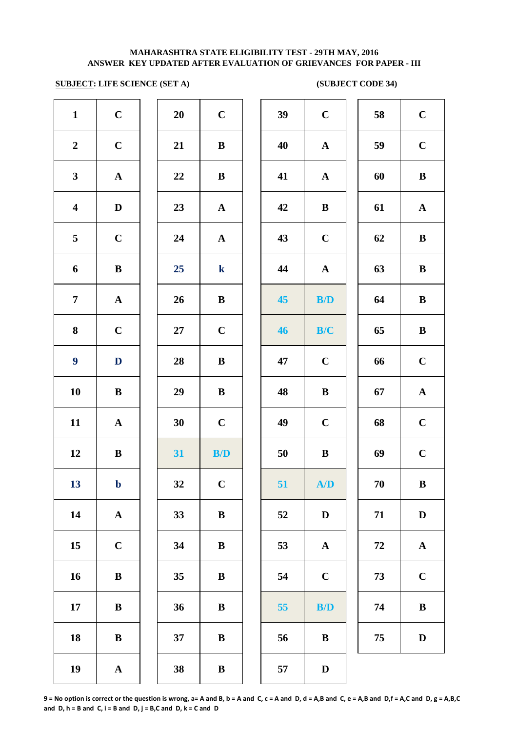## **SUBJECT: LIFE SCIENCE (SET A)** (SUBJECT CODE 34)

| $\mathbf{1}$            | $\mathbf C$           | 20     | $\mathbf C$  | 39 | $\mathbf C$  |
|-------------------------|-----------------------|--------|--------------|----|--------------|
| $\boldsymbol{2}$        | $\mathbf C$           | 21     | $\, {\bf B}$ | 40 | $\mathbf A$  |
| $\mathbf{3}$            | $\boldsymbol{\rm{A}}$ | 22     | $\, {\bf B}$ | 41 | $\mathbf A$  |
| $\overline{\mathbf{4}}$ | $\mathbf D$           | 23     | $\mathbf A$  | 42 | $\bf{B}$     |
| $\sqrt{5}$              | $\mathbf C$           | 24     | $\mathbf A$  | 43 | $\mathbf C$  |
| 6                       | $\, {\bf B}$          | 25     | $\mathbf k$  | 44 | $\mathbf A$  |
| $\overline{7}$          | $\boldsymbol{\rm{A}}$ | 26     | $\, {\bf B}$ | 45 | B/           |
| 8                       | $\mathbf C$           | $27\,$ | $\mathbf C$  | 46 | B/           |
| $\boldsymbol{9}$        | $\mathbf D$           | 28     | $\, {\bf B}$ | 47 | $\mathbf C$  |
| 10                      | $\bf{B}$              | 29     | $\, {\bf B}$ | 48 | $\bf{B}$     |
| 11                      | $\boldsymbol{\rm{A}}$ | 30     | $\mathbf C$  | 49 | $\mathbf C$  |
| 12                      | $\, {\bf B}$          | 31     | B/D          | 50 | $\bf{B}$     |
| 13                      | $\mathbf b$           | 32     | $\mathbf C$  | 51 | A            |
| 14                      | ${\bf A}$             | 33     | $\, {\bf B}$ | 52 | $\mathbf{D}$ |
| 15                      | $\mathbf C$           | 34     | $\bf{B}$     | 53 | $\mathbf A$  |
| 16                      | $\bf{B}$              | 35     | $\, {\bf B}$ | 54 | $\mathbf C$  |
| 17                      | $\, {\bf B}$          | 36     | $\, {\bf B}$ | 55 | B/           |
| 18                      | $\bf{B}$              | 37     | $\, {\bf B}$ | 56 | $\bf{B}$     |
| 19                      | $\boldsymbol{\rm{A}}$ | 38     | $\, {\bf B}$ | 57 | $\bf{D}$     |

| 20 | $\mathbf C$    |  |
|----|----------------|--|
| 21 | B              |  |
| 22 | B              |  |
| 23 | $\mathbf{A}$   |  |
| 24 | $\mathbf{A}$   |  |
| 25 | $\bf k$        |  |
| 26 | B              |  |
| 27 | $\mathbf C$    |  |
| 28 | B              |  |
| 29 | B              |  |
| 30 | $\mathbf C$    |  |
| 31 | B/D            |  |
| 32 | $\overline{C}$ |  |
| 33 | B              |  |
| 34 | B              |  |
| 35 | B              |  |
| 36 | B              |  |
| 37 | B              |  |
| 38 | B              |  |

| $\mathbf{1}$            | $\mathbf C$  | 20 | $\mathbf C$             | 39 | $\mathbf C$  | 58 | $\mathbf C$  |
|-------------------------|--------------|----|-------------------------|----|--------------|----|--------------|
| $\overline{2}$          | $\mathbf C$  | 21 | $\, {\bf B}$            | 40 | $\mathbf A$  | 59 | $\mathbf C$  |
| $\mathbf{3}$            | ${\bf A}$    | 22 | $\, {\bf B}$            | 41 | $\mathbf A$  | 60 | $\, {\bf B}$ |
| $\overline{\mathbf{4}}$ | $\mathbf D$  | 23 | ${\bf A}$               | 42 | $\, {\bf B}$ | 61 | ${\bf A}$    |
| $\overline{\mathbf{5}}$ | $\mathbf C$  | 24 | ${\bf A}$               | 43 | $\mathbf C$  | 62 | $\, {\bf B}$ |
| 6                       | ${\bf B}$    | 25 | $\bf k$                 | 44 | $\mathbf{A}$ | 63 | $\bf{B}$     |
| $\overline{7}$          | $\mathbf{A}$ | 26 | $\bf{B}$                | 45 | B/D          | 64 | $\, {\bf B}$ |
| 8                       | $\mathbf C$  | 27 | $\mathbf C$             | 46 | B/C          | 65 | $\, {\bf B}$ |
| $\boldsymbol{9}$        | $\mathbf{D}$ | 28 | $\bf{B}$                | 47 | $\mathbf C$  | 66 | $\mathbf C$  |
| 10                      | $\bf{B}$     | 29 | ${\bf B}$               | 48 | $\bf{B}$     | 67 | ${\bf A}$    |
| 11                      | ${\bf A}$    | 30 | $\mathbf C$             | 49 | $\mathbf C$  | 68 | $\mathbf C$  |
| 12                      | ${\bf B}$    | 31 | $\mathbf{B}/\mathbf{D}$ | 50 | $\, {\bf B}$ | 69 | $\mathbf C$  |
| 13                      | $\mathbf b$  | 32 | $\mathbf C$             | 51 | A/D          | 70 | $\, {\bf B}$ |
| 14                      | $\mathbf{A}$ | 33 | ${\bf B}$               | 52 | $\mathbf D$  | 71 | D            |
| 15                      | $\mathbf C$  | 34 | ${\bf B}$               | 53 | ${\bf A}$    | 72 | ${\bf A}$    |
| 16                      | ${\bf B}$    | 35 | ${\bf B}$               | 54 | $\mathbf C$  | 73 | $\mathbf C$  |
| 17                      | ${\bf B}$    | 36 | $\bf{B}$                | 55 | B/D          | 74 | $\, {\bf B}$ |
| 18                      | ${\bf B}$    | 37 | $\bf{B}$                | 56 | $\bf{B}$     | 75 | $\mathbf D$  |
| 19                      | ${\bf A}$    | 38 | ${\bf B}$               | 57 | D            |    |              |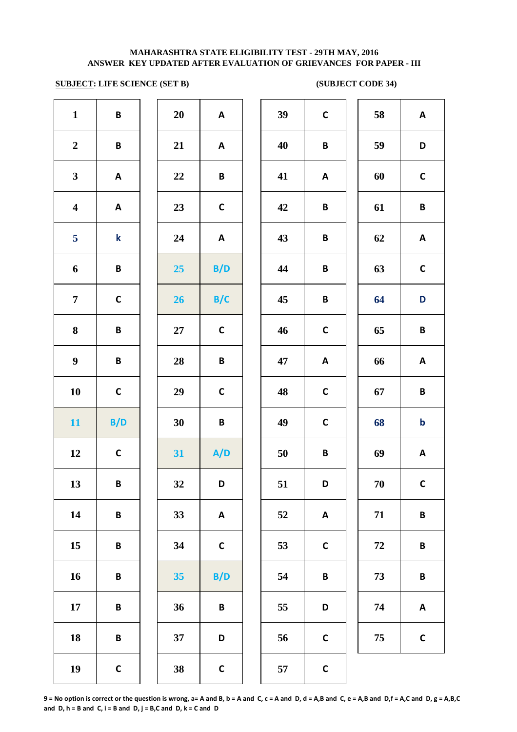# **SUBJECT: LIFE SCIENCE (SET B)** (SUBJECT CODE 34)

|                         |                 | Z.     |              |    | $\mathbf{v} = -$          |    |                         |
|-------------------------|-----------------|--------|--------------|----|---------------------------|----|-------------------------|
| $\mathbf{1}$            | B               | 20     | A            | 39 | $\mathsf C$               | 58 | A                       |
| $\boldsymbol{2}$        | $\, {\bf B} \,$ | 21     | $\mathsf{A}$ | 40 | $\, {\bf B} \,$           | 59 | D                       |
| $\mathbf{3}$            | A               | 22     | B            | 41 | A                         | 60 | $\mathbf C$             |
| $\overline{\mathbf{4}}$ | A               | 23     | $\mathsf{C}$ | 42 | $\pmb B$                  | 61 | $\overline{\mathbf{B}}$ |
| 5                       | $\bf k$         | 24     | $\mathsf{A}$ | 43 | B                         | 62 | A                       |
| $\boldsymbol{6}$        | B               | 25     | B/D          | 44 | $\, {\bf B} \,$           | 63 | $\mathbf c$             |
| $\overline{7}$          | $\mathsf{C}$    | 26     | B/C          | 45 | $\pmb B$                  | 64 | D                       |
| $\bf 8$                 | $\pmb B$        | $27\,$ | $\mathsf{C}$ | 46 | $\mathsf{C}$              | 65 | $\mathbf B$             |
| $\boldsymbol{9}$        | $\pmb B$        | 28     | $\pmb B$     | 47 | $\mathsf{A}$              | 66 | A                       |
| 10                      | $\mathsf{C}$    | 29     | $\mathsf{C}$ | 48 | $\mathsf{C}$              | 67 | $\mathbf B$             |
| 11                      | B/D             | 30     | B            | 49 | $\mathsf{C}$              | 68 | $\mathbf b$             |
| 12                      | $\mathsf{C}$    | 31     | A/D          | 50 | $\pmb B$                  | 69 | A                       |
| 13                      | B               | 32     | D            | 51 | D                         | 70 | $\mathbf c$             |
| 14                      | $\pmb B$        | 33     | A            | 52 | $\boldsymbol{\mathsf{A}}$ | 71 | B                       |
| 15                      | $\pmb B$        | 34     | $\mathsf C$  | 53 | $\mathsf{C}$              | 72 | $\mathbf B$             |
| 16                      | $\pmb B$        | 35     | B/D          | 54 | $\pmb B$                  | 73 | $\mathbf B$             |
| $17\,$                  | $\pmb B$        | 36     | $\pmb B$     | 55 | $\mathsf D$               | 74 | A                       |
| 18                      | $\pmb B$        | 37     | D            | 56 | $\mathsf{C}$              | 75 | $\mathbf C$             |
| 19                      | $\mathsf{C}$    | 38     | $\mathsf{C}$ | 57 | $\mathsf{C}$              |    |                         |
|                         |                 |        |              |    |                           |    |                         |

| 39 | C            | 58         | A           |
|----|--------------|------------|-------------|
| 40 | B            | 59         | D           |
| 41 | A            | 60         | C           |
| 42 | B            | 61         | B           |
| 43 | B            | 62         | Α           |
| 44 | B            | 63         | $\mathbf C$ |
| 45 | B            | 64         | D           |
| 46 | $\mathbf C$  | 65         | B           |
| 47 | A            | 66         | A           |
| 48 | $\mathbf C$  | 67         | B           |
| 49 | C            | 68         | b           |
| 50 | B            | 69         | A           |
| 51 | D            | 70         | $\epsilon$  |
| 52 | A            | 71         | B           |
| 53 | $\mathbf C$  | ${\bf 72}$ | B           |
| 54 | B            | 73         | B           |
| 55 | D            | 74         | A           |
| 56 | C            | 75         | C           |
| 57 | $\mathsf{C}$ |            |             |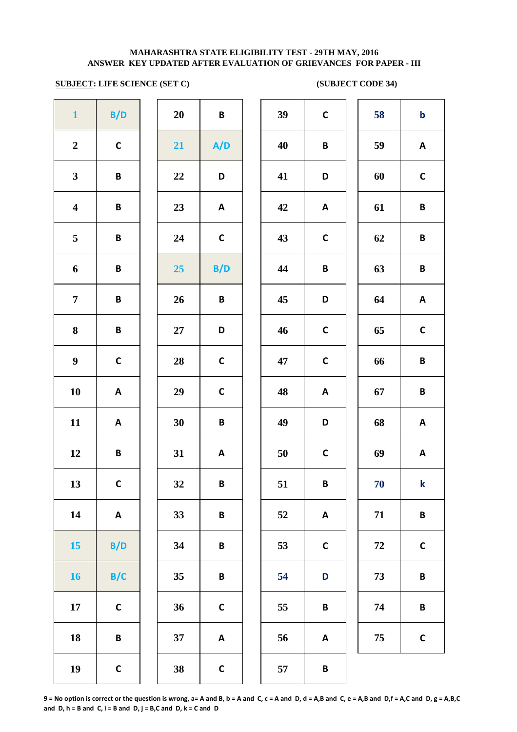# **SUBJECT: LIFE SCIENCE (SET C)** (SUBJECT CODE 34)

|                         |                           | .,     |                    |    | $\sim$ -     |
|-------------------------|---------------------------|--------|--------------------|----|--------------|
| $\mathbf{1}$            | B/D                       | 20     | B                  | 39 | $\mathsf{C}$ |
| $\boldsymbol{2}$        | $\mathsf{C}$              | 21     | A/D                | 40 | B            |
| $\mathbf{3}$            | B                         | 22     | D                  | 41 | D            |
| $\overline{\mathbf{4}}$ | B                         | 23     | A                  | 42 | A            |
| 5                       | B                         | 24     | $\mathsf C$        | 43 | $\mathsf{C}$ |
| $\boldsymbol{6}$        | B                         | 25     | B/D                | 44 | B            |
| $\overline{7}$          | B                         | 26     | B                  | 45 | D            |
| ${\bf 8}$               | B                         | $27\,$ | D                  | 46 | $\mathbf c$  |
| $\boldsymbol{9}$        | $\mathsf{C}$              | 28     | $\mathsf{C}$       | 47 | $\mathsf{C}$ |
| 10                      | $\boldsymbol{\mathsf{A}}$ | 29     | $\mathsf{C}$       | 48 | A            |
| 11                      | $\pmb{\mathsf{A}}$        | 30     | B                  | 49 | D            |
| 12                      | B                         | 31     | A                  | 50 | $\mathsf{C}$ |
| 13                      | $\mathsf{C}$              | 32     | B                  | 51 | B            |
| 14                      | $\pmb{\mathsf{A}}$        | 33     | B                  | 52 | A            |
| 15                      | B/D                       | 34     | B                  | 53 | $\mathsf{C}$ |
| 16                      | B/C                       | 35     | B                  | 54 | D            |
| $17\,$                  | $\mathsf{C}$              | 36     | $\mathsf{C}$       | 55 | B            |
| 18                      | B                         | 37     | $\pmb{\mathsf{A}}$ | 56 | A            |
| 19                      | $\mathsf{C}$              | 38     | $\mathsf{C}$       | 57 | B            |

| $\mathbf{1}$            | B/D          | 20        | $\pmb B$        | 39 | $\mathsf C$  | 58 | $\mathbf b$  |
|-------------------------|--------------|-----------|-----------------|----|--------------|----|--------------|
| $\boldsymbol{2}$        | $\mathsf C$  | 21        | A/D             | 40 | B            | 59 | A            |
| $\mathbf{3}$            | $\pmb B$     | 22        | D               | 41 | D            | 60 | $\mathsf C$  |
| $\overline{\mathbf{4}}$ | B            | 23        | A               | 42 | A            | 61 | B            |
| $\overline{5}$          | $\pmb B$     | 24        | $\mathsf C$     | 43 | $\mathsf C$  | 62 | B            |
| 6                       | $\pmb B$     | 25        | B/D             | 44 | $\pmb B$     | 63 | $\pmb B$     |
| $\overline{7}$          | $\pmb B$     | 26        | $\, {\bf B} \,$ | 45 | D            | 64 | A            |
| 8                       | $\pmb B$     | 27        | D               | 46 | $\mathsf C$  | 65 | $\mathsf C$  |
| $\boldsymbol{9}$        | $\mathsf{C}$ | 28        | $\mathsf C$     | 47 | $\mathsf C$  | 66 | $\pmb B$     |
| 10                      | A            | 29        | $\mathsf C$     | 48 | A            | 67 | B            |
| 11                      | A            | 30        | B               | 49 | D            | 68 | A            |
| 12                      | B            | 31        | A               | 50 | $\mathsf{C}$ | 69 | A            |
| 13                      | $\mathsf{C}$ | <b>32</b> | В               | 51 | B            | 70 | $\bf k$      |
| 14                      | A            | 33        | B               | 52 | A            | 71 | $\, {\bf B}$ |
| 15                      | B/D          | 34        | B               | 53 | $\mathsf{C}$ | 72 | $\mathsf{C}$ |
| 16                      | B/C          | 35        | $\pmb B$        | 54 | $\mathbf D$  | 73 | $\pmb B$     |
| 17                      | $\mathsf{C}$ | 36        | $\mathsf{C}$    | 55 | $\pmb B$     | 74 | $\pmb B$     |
| 18                      | $\, {\bf B}$ | 37        | A               | 56 | A            | 75 | $\mathsf{C}$ |
|                         |              |           |                 |    |              |    |              |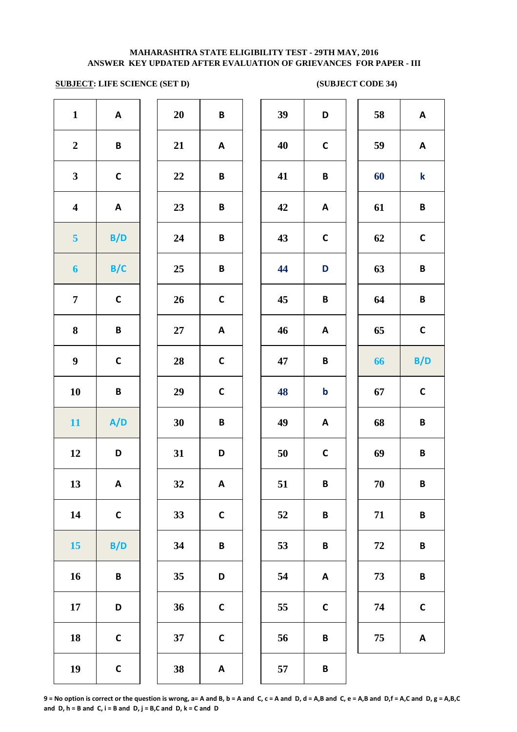# **SUBJECT: LIFE SCIENCE (SET D)** (SUBJECT CODE 34)

| -----                   |                 | - - ,  |                           |    |                 |    |                           |
|-------------------------|-----------------|--------|---------------------------|----|-----------------|----|---------------------------|
| $\mathbf{1}$            | A               | 20     | B                         | 39 | D               | 58 | A                         |
| $\boldsymbol{2}$        | B               | 21     | A                         | 40 | $\mathsf{C}$    | 59 | A                         |
| $\mathbf{3}$            | $\mathsf{C}$    | 22     | B                         | 41 | B               | 60 | $\mathbf k$               |
| $\overline{\mathbf{4}}$ | $\mathsf{A}$    | 23     | B                         | 42 | $\mathsf{A}$    | 61 | B                         |
| 5 <sup>5</sup>          | B/D             | 24     | B                         | 43 | $\mathsf{C}$    | 62 | $\mathsf{C}$              |
| $\boldsymbol{6}$        | B/C             | 25     | B                         | 44 | D               | 63 | $\, {\bf B} \,$           |
| $\overline{7}$          | $\mathsf{C}$    | 26     | $\mathsf{C}$              | 45 | B               | 64 | $\pmb B$                  |
| 8                       | $\pmb B$        | $27\,$ | $\mathsf{A}$              | 46 | A               | 65 | $\mathsf{C}$              |
| $\boldsymbol{9}$        | $\mathsf{C}$    | 28     | $\mathsf{C}$              | 47 | $\pmb B$        | 66 | B/D                       |
| 10                      | $\pmb B$        | 29     | $\mathsf C$               | 48 | $\mathbf b$     | 67 | $\mathsf{C}$              |
| 11                      | A/D             | 30     | B                         | 49 | A               | 68 | B                         |
| 12                      | D               | 31     | D                         | 50 | $\mathsf C$     | 69 | $\pmb B$                  |
| 13                      | $\mathsf{A}$    | 32     | A                         | 51 | B               | 70 | B                         |
| 14                      | $\mathsf{C}$    | 33     | $\mathsf{C}$              | 52 | B               | 71 | B                         |
| 15                      | B/D             | 34     | $\, {\bf B} \,$           | 53 | $\, {\bf B} \,$ | 72 | $\, {\bf B} \,$           |
| 16                      | $\, {\bf B} \,$ | 35     | D                         | 54 | A               | 73 | $\, {\bf B} \,$           |
| 17                      | D               | 36     | $\mathsf{C}$              | 55 | $\mathsf{C}$    | 74 | $\mathsf{C}$              |
| ${\bf 18}$              | $\mathsf{C}$    | 37     | $\mathsf{C}$              | 56 | $\pmb B$        | 75 | $\boldsymbol{\mathsf{A}}$ |
| 19                      | $\mathsf{C}$    | 38     | $\boldsymbol{\mathsf{A}}$ | 57 | $\pmb B$        |    |                           |
|                         |                 |        |                           |    |                 |    |                           |

| 39 | D           | 58 | A           |
|----|-------------|----|-------------|
| 40 | C           | 59 | A           |
| 41 | B           | 60 | k           |
| 42 | A           | 61 | B           |
| 43 | C           | 62 | $\mathbf C$ |
| 44 | D           | 63 | B           |
| 45 | B           | 64 | B           |
| 46 | A           | 65 | C           |
| 47 | B           | 66 | B/D         |
| 48 | $\mathbf b$ | 67 | $\mathbf C$ |
| 49 | A           | 68 | B           |
| 50 | C           | 69 | B           |
| 51 | B           | 70 | B           |
| 52 | B           | 71 | B           |
| 53 | B           | 72 | B           |
| 54 | A           | 73 | B           |
| 55 | C           | 74 | $\mathbf C$ |
| 56 | B           | 75 | A           |
| 57 | D           |    |             |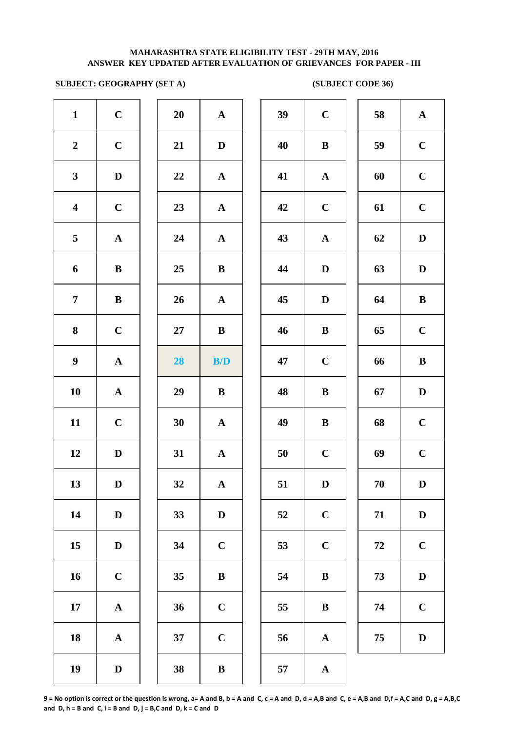## **SUBJECT: GEOGRAPHY (SET A) (SUBJECT CODE 36)**

| $\mathbf C$           | 20     | ${\bf A}$    | 39 | $\mathbf C$  |
|-----------------------|--------|--------------|----|--------------|
| $\mathbf C$           | 21     | $\mathbf D$  | 40 | $\bf{B}$     |
| $\mathbf D$           | 22     | $\mathbf A$  | 41 | $\mathbf A$  |
| $\mathbf C$           | 23     | $\mathbf A$  | 42 | $\mathbf C$  |
| ${\bf A}$             | 24     | ${\bf A}$    | 43 | $\mathbf A$  |
| $\, {\bf B}$          | 25     | $\, {\bf B}$ | 44 | $\mathbf{D}$ |
| $\bf{B}$              | 26     | $\mathbf A$  | 45 | $\mathbf{D}$ |
| $\mathbf C$           | $27\,$ | $\bf{B}$     | 46 | $\bf{B}$     |
| ${\bf A}$             | 28     | B/D          | 47 | $\mathbf C$  |
| ${\bf A}$             | 29     | $\bf{B}$     | 48 | $\bf{B}$     |
| $\mathbf C$           | 30     | $\mathbf A$  | 49 | $\bf{B}$     |
| $\mathbf D$           | 31     | $\mathbf A$  | 50 | $\mathbf C$  |
| $\mathbf D$           | 32     | $\mathbf A$  | 51 | $\mathbf{D}$ |
| $\mathbf D$           | 33     | $\mathbf D$  | 52 | $\mathbf C$  |
| $\mathbf D$           | 34     | $\mathbf C$  | 53 | $\mathbf C$  |
| $\mathbf C$           | 35     | $\, {\bf B}$ | 54 | $\bf{B}$     |
| $\boldsymbol{\rm{A}}$ | 36     | $\mathbf C$  | 55 | $\bf{B}$     |
| ${\bf A}$             | 37     | $\mathbf C$  | 56 | $\mathbf A$  |
| $\mathbf D$           | 38     | $\, {\bf B}$ | 57 | $\mathbf A$  |
|                       |        |              |    |              |

| 20 | $\overline{\mathbf{A}}$ |
|----|-------------------------|
| 21 | D                       |
| 22 | $\mathbf A$             |
| 23 | $\mathbf{A}$            |
| 24 | $\overline{\mathbf{A}}$ |
| 25 | B                       |
| 26 | $\mathbf A$             |
| 27 | B                       |
| 28 | B/D                     |
|    |                         |
| 29 | B                       |
| 30 | $\overline{\mathbf{A}}$ |
| 31 | A                       |
| 32 | $\mathbf A$             |
| 33 | $\mathbf D$             |
| 34 | $\mathbf C$             |
| 35 | B                       |
| 36 | $\mathbf C$             |
| 37 | $\overline{\mathbf{C}}$ |

| $\mathbf{1}$            | $\mathbf C$ | 20 | $\mathbf{A}$            | 39 | $\mathbf C$  | 58     | $\mathbf{A}$ |
|-------------------------|-------------|----|-------------------------|----|--------------|--------|--------------|
| $\overline{2}$          | $\mathbf C$ | 21 | D                       | 40 | $\bf{B}$     | 59     | $\mathbf C$  |
| $\mathbf{3}$            | $\mathbf D$ | 22 | $\mathbf{A}$            | 41 | $\mathbf A$  | 60     | $\mathbf C$  |
| $\overline{\mathbf{4}}$ | $\mathbf C$ | 23 | $\mathbf{A}$            | 42 | $\mathbf C$  | 61     | $\mathbf C$  |
| $\overline{5}$          | $\mathbf A$ | 24 | $\mathbf{A}$            | 43 | $\mathbf A$  | 62     | $\mathbf D$  |
| 6                       | $\bf{B}$    | 25 | $\bf{B}$                | 44 | $\mathbf D$  | 63     | $\mathbf D$  |
| $\overline{7}$          | $\bf{B}$    | 26 | $\mathbf{A}$            | 45 | $\mathbf D$  | 64     | $\bf{B}$     |
| 8                       | $\mathbf C$ | 27 | $\bf{B}$                | 46 | $\bf{B}$     | 65     | $\mathbf C$  |
| $\boldsymbol{9}$        | ${\bf A}$   | 28 | $\mathbf{B}/\mathbf{D}$ | 47 | $\mathbf C$  | 66     | $\bf{B}$     |
| 10                      | ${\bf A}$   | 29 | $\bf{B}$                | 48 | $\, {\bf B}$ | 67     | $\mathbf D$  |
| 11                      | $\mathbf C$ | 30 | $\mathbf{A}$            | 49 | $\bf{B}$     | 68     | $\mathbf C$  |
| 12                      | D           | 31 | $\mathbf{A}$            | 50 | $\mathbf C$  | 69     | $\mathbf C$  |
| 13                      | D           | 32 | $\mathbf{A}$            | 51 | $\mathbf{D}$ | $70\,$ | D            |
| 14                      | $\mathbf D$ | 33 | $\mathbf D$             | 52 | $\mathbf C$  | 71     | $\mathbf D$  |
| 15                      | $\mathbf D$ | 34 | $\mathbf C$             | 53 | $\mathbf C$  | 72     | $\mathbf C$  |
| 16                      | $\mathbf C$ | 35 | ${\bf B}$               | 54 | $\bf{B}$     | 73     | $\mathbf D$  |
| 17                      | ${\bf A}$   | 36 | $\mathbf C$             | 55 | $\bf{B}$     | 74     | $\mathbf C$  |
| 18                      | ${\bf A}$   | 37 | $\mathbf C$             | 56 | ${\bf A}$    | 75     | $\mathbf D$  |
|                         |             |    |                         |    |              |        |              |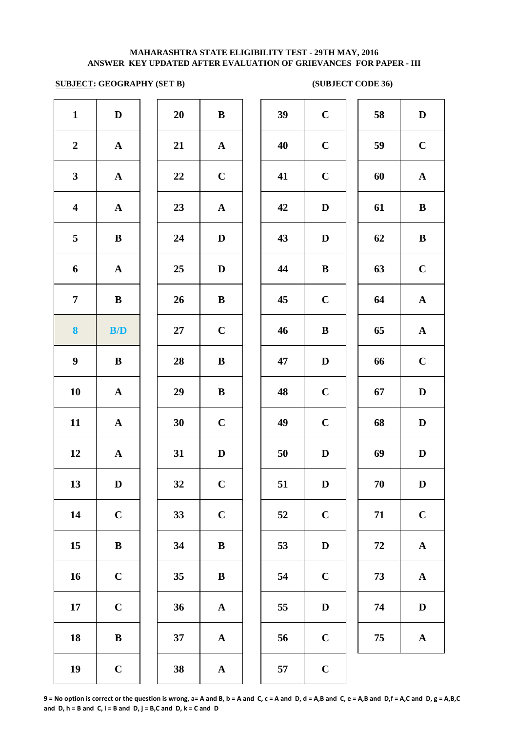## **SUBJECT: GEOGRAPHY (SET B) (SUBJECT CODE 36)**

| $\mathbf{1}$            | $\mathbf D$           | 20 | $\, {\bf B}$          | 39     | $\mathbf C$  |
|-------------------------|-----------------------|----|-----------------------|--------|--------------|
| $\boldsymbol{2}$        | $\boldsymbol{\rm{A}}$ | 21 | ${\bf A}$             | 40     | $\mathbf C$  |
| $\mathbf{3}$            | $\boldsymbol{\rm{A}}$ | 22 | $\mathbf C$           | 41     | $\mathbf C$  |
| $\overline{\mathbf{4}}$ | $\boldsymbol{\rm{A}}$ | 23 | $\mathbf A$           | 42     | $\mathbf{D}$ |
| 5                       | ${\bf B}$             | 24 | $\mathbf D$           | 43     | $\bf{D}$     |
| 6                       | ${\bf A}$             | 25 | $\mathbf D$           | 44     | $\bf{B}$     |
| $\overline{7}$          | $\bf{B}$              | 26 | $\bf{B}$              | 45     | $\mathbf C$  |
| 8                       | B/D                   | 27 | $\mathbf C$           | 46     | $\bf{B}$     |
| $\boldsymbol{9}$        | $\, {\bf B}$          | 28 | $\, {\bf B}$          | 47     | $\mathbf{D}$ |
| 10                      | $\boldsymbol{\rm{A}}$ | 29 | $\, {\bf B}$          | 48     | $\mathbf C$  |
| 11                      | $\boldsymbol{\rm{A}}$ | 30 | $\mathbf C$           | 49     | $\mathbf C$  |
| 12                      | $\boldsymbol{\rm{A}}$ | 31 | $\mathbf D$           | $50\,$ | $\mathbf{D}$ |
| 13                      | $\mathbf D$           | 32 | $\mathbf C$           | 51     | $\mathbf{D}$ |
| 14                      | $\mathbf C$           | 33 | $\mathbf C$           | 52     | $\mathbf C$  |
| 15                      | $\, {\bf B}$          | 34 | $\, {\bf B}$          | 53     | $\mathbf D$  |
| 16                      | $\mathbf C$           | 35 | $\bf{B}$              | 54     | $\mathbf C$  |
| 17                      | $\mathbf C$           | 36 | $\mathbf{A}$          | 55     | $\bf{D}$     |
| 18                      | $\, {\bf B}$          | 37 | ${\bf A}$             | 56     | $\mathbf C$  |
| 19                      | $\mathbf C$           | 38 | $\boldsymbol{\rm{A}}$ | 57     | $\mathbf C$  |

| 20 | B                       |  |
|----|-------------------------|--|
| 21 | $\mathbf A$             |  |
| 22 | $\mathbf C$             |  |
| 23 | $\mathbf{A}$            |  |
| 24 | D                       |  |
| 25 | D                       |  |
| 26 | B                       |  |
| 27 | $\mathbf C$             |  |
| 28 | B                       |  |
| 29 | B                       |  |
| 30 | $\overline{C}$          |  |
| 31 | D                       |  |
| 32 | $\overline{\mathbf{C}}$ |  |
| 33 | $\mathbf C$             |  |
| 34 | B                       |  |
| 35 | B                       |  |
| 36 | A                       |  |
| 37 | A                       |  |
|    |                         |  |

| $\mathbf{1}$            | $\mathbf D$  | 20     | $\bf{B}$     | 39 | $\mathbf C$  | 58 | $\mathbf D$  |
|-------------------------|--------------|--------|--------------|----|--------------|----|--------------|
| $\overline{2}$          | $\mathbf{A}$ | 21     | $\mathbf{A}$ | 40 | $\mathbf C$  | 59 | $\mathbf C$  |
| $\mathbf{3}$            | ${\bf A}$    | 22     | $\mathbf C$  | 41 | $\mathbf C$  | 60 | ${\bf A}$    |
| $\overline{\mathbf{4}}$ | ${\bf A}$    | 23     | ${\bf A}$    | 42 | $\mathbf D$  | 61 | $\, {\bf B}$ |
| $5\phantom{.0}$         | $\, {\bf B}$ | 24     | $\mathbf D$  | 43 | $\mathbf D$  | 62 | $\, {\bf B}$ |
| 6                       | ${\bf A}$    | 25     | $\mathbf D$  | 44 | $\, {\bf B}$ | 63 | $\mathbf C$  |
| $\overline{7}$          | $\bf{B}$     | 26     | $\bf{B}$     | 45 | $\mathbf C$  | 64 | ${\bf A}$    |
| $\boldsymbol{8}$        | B/D          | $27\,$ | $\mathbf C$  | 46 | $\, {\bf B}$ | 65 | ${\bf A}$    |
| $\boldsymbol{9}$        | $\bf{B}$     | 28     | $\, {\bf B}$ | 47 | $\mathbf D$  | 66 | $\mathbf C$  |
| 10                      | $\mathbf{A}$ | 29     | $\bf{B}$     | 48 | $\mathbf C$  | 67 | $\mathbf D$  |
| 11                      | ${\bf A}$    | 30     | $\mathbf C$  | 49 | $\mathbf C$  | 68 | $\mathbf D$  |
| 12                      | $\mathbf{A}$ | 31     | $\mathbf D$  | 50 | D            | 69 | $\mathbf D$  |
| 13                      | $\mathbf D$  | 32     | $\mathbf C$  | 51 | D            | 70 | D            |
| 14                      | $\mathbf C$  | 33     | $\mathbf C$  | 52 | $\mathbf C$  | 71 | $\mathbf C$  |
| 15                      | $\, {\bf B}$ | 34     | $\, {\bf B}$ | 53 | $\mathbf D$  | 72 | ${\bf A}$    |
| 16                      | $\mathbf C$  | 35     | $\bf{B}$     | 54 | $\mathbf C$  | 73 | ${\bf A}$    |
| 17                      | $\mathbf C$  | 36     | ${\bf A}$    | 55 | $\mathbf D$  | 74 | $\mathbf D$  |
| 18                      | $\, {\bf B}$ | 37     | ${\bf A}$    | 56 | $\mathbf C$  | 75 | $\mathbf A$  |
| 19                      | $\mathbf C$  | 38     | $\mathbf A$  | 57 | $\mathbf C$  |    |              |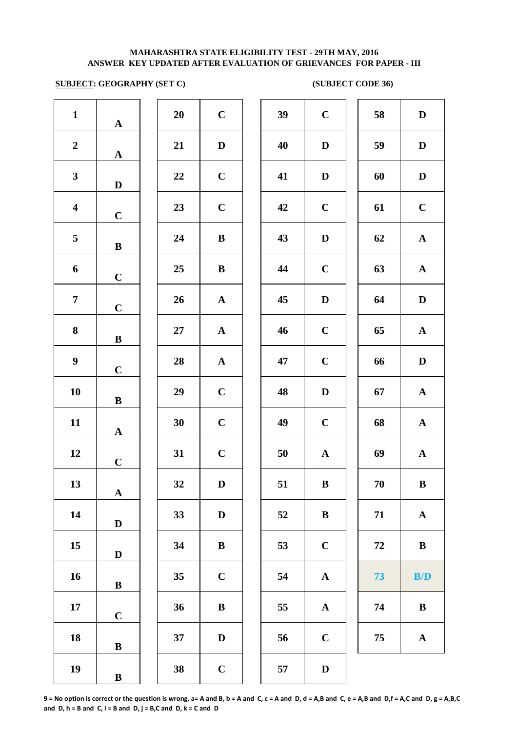## **SUBJECT: GEOGRAPHY (SET C) (SUBJECT CODE 36)**

| $\mathbf{1}$            | $\mathbf A$           | 20        | $\mathbf C$           | 39 | $\mathbf C$  |
|-------------------------|-----------------------|-----------|-----------------------|----|--------------|
| $\boldsymbol{2}$        | $\mathbf A$           | 21        | $\mathbf D$           | 40 | $\mathbf{D}$ |
| $\mathbf{3}$            | $\mathbf D$           | 22        | $\mathbf C$           | 41 | $\mathbf{D}$ |
| $\overline{\mathbf{4}}$ | $\mathbf C$           | 23        | $\mathbf C$           | 42 | $\mathbf C$  |
| 5                       | $\, {\bf B}$          | 24        | $\, {\bf B}$          | 43 | $\mathbf{D}$ |
| 6                       | $\mathbf C$           | 25        | $\, {\bf B}$          | 44 | $\mathbf C$  |
| $\overline{7}$          | $\mathbf C$           | 26        | $\boldsymbol{\rm{A}}$ | 45 | $\mathbf{D}$ |
| ${\bf 8}$               | $\, {\bf B}$          | <b>27</b> | $\boldsymbol{\rm{A}}$ | 46 | $\mathbf C$  |
| $\boldsymbol{9}$        | $\mathbf C$           | 28        | $\boldsymbol{\rm{A}}$ | 47 | $\mathbf C$  |
| 10                      | $\, {\bf B}$          | 29        | $\mathbf C$           | 48 | $\mathbf{D}$ |
| 11                      | ${\bf A}$             | 30        | $\mathbf C$           | 49 | $\mathbf C$  |
| 12                      | $\mathbf C$           | 31        | $\mathbf C$           | 50 | $\mathbf A$  |
| 13                      | $\boldsymbol{\rm{A}}$ | <b>32</b> | D                     | 51 | B            |
| 14                      | $\mathbf D$           | 33        | $\mathbf D$           | 52 | $\bf{B}$     |
| 15                      | $\mathbf D$           | 34        | $\, {\bf B}$          | 53 | $\mathbf C$  |
| 16                      | $\, {\bf B}$          | 35        | $\mathbf C$           | 54 | $\mathbf A$  |
| 17                      | $\mathbf C$           | 36        | $\, {\bf B}$          | 55 | $\mathbf A$  |
| 18                      | $\, {\bf B}$          | 37        | $\mathbf D$           | 56 | $\mathbf C$  |
| 19                      | $\, {\bf B}$          | 38        | $\mathbf C$           | 57 | $\mathbf{D}$ |

| 20 | $\mathbf C$  |  |
|----|--------------|--|
| 21 | $\mathbf D$  |  |
| 22 | $\mathbf C$  |  |
| 23 | $\mathbf C$  |  |
| 24 | B            |  |
| 25 | B            |  |
| 26 | $\mathbf{A}$ |  |
| 27 | $\mathbf{A}$ |  |
| 28 | $\mathbf A$  |  |
| 29 | $\mathbf C$  |  |
| 30 | $\mathbf C$  |  |
| 31 | $\mathbf C$  |  |
| 32 | D            |  |
| 33 | D            |  |
| 34 | B            |  |
| 35 | $\mathbf C$  |  |
| 36 | B            |  |
| 37 | D            |  |
|    |              |  |

| 20 | $\mathbf C$ | 39 | $\mathbf C$           | 58 | D                     |
|----|-------------|----|-----------------------|----|-----------------------|
| 21 | $\mathbf D$ | 40 | $\mathbf D$           | 59 | D                     |
| 22 | $\mathbf C$ | 41 | $\mathbf D$           | 60 | D                     |
| 23 | $\mathbf C$ | 42 | $\mathbf C$           | 61 | $\mathbf C$           |
| 24 | ${\bf B}$   | 43 | $\mathbf D$           | 62 | ${\bf A}$             |
| 25 | ${\bf B}$   | 44 | $\mathbf C$           | 63 | $\mathbf A$           |
| 26 | ${\bf A}$   | 45 | $\mathbf D$           | 64 | D                     |
| 27 | ${\bf A}$   | 46 | $\mathbf C$           | 65 | $\boldsymbol{\rm{A}}$ |
| 28 | ${\bf A}$   | 47 | $\mathbf C$           | 66 | D                     |
| 29 | $\mathbf C$ | 48 | $\mathbf D$           | 67 | $\mathbf A$           |
| 30 | $\mathbf C$ | 49 | $\mathbf C$           | 68 | $\mathbf A$           |
| 31 | $\mathbf C$ | 50 | $\boldsymbol{\rm{A}}$ | 69 | $\boldsymbol{\rm{A}}$ |
| 32 | D           | 51 | B                     | 70 | B                     |
| 33 | $\mathbf D$ | 52 | $\bf{B}$              | 71 | ${\bf A}$             |
| 34 | $\bf{B}$    | 53 | $\mathbf C$           | 72 | $\bf{B}$              |
| 35 | $\mathbf C$ | 54 | ${\bf A}$             | 73 | B/D                   |
| 36 | $\bf{B}$    | 55 | $\mathbf A$           | 74 | $\bf{B}$              |
| 37 | D           | 56 | $\mathbf C$           | 75 | $\mathbf A$           |
| 38 | $\mathbf C$ | 57 | $\mathbf D$           |    |                       |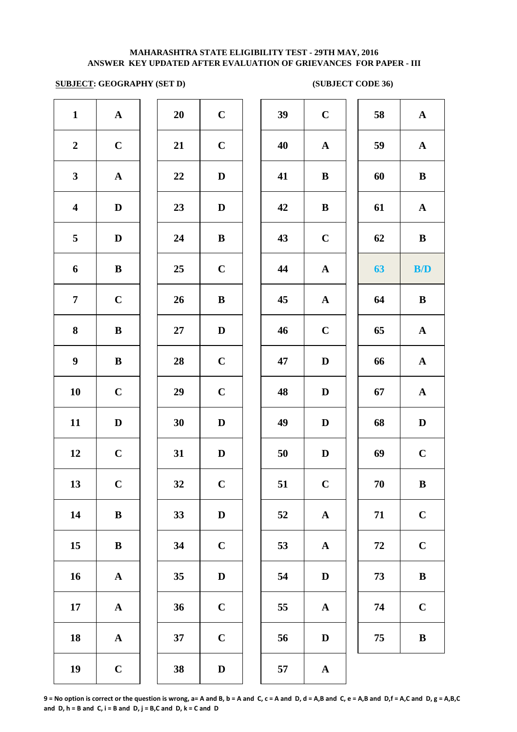## **SUBJECT: GEOGRAPHY (SET D) (SUBJECT CODE 36)**

| $\mathbf{1}$            | $\mathbf A$           | 20     | $\mathbf C$  | 39 | $\mathbf C$  |
|-------------------------|-----------------------|--------|--------------|----|--------------|
| $\boldsymbol{2}$        | $\mathbf C$           | 21     | $\mathbf C$  | 40 | $\mathbf A$  |
| $\mathbf{3}$            | ${\bf A}$             | 22     | $\mathbf D$  | 41 | $\bf{B}$     |
| $\overline{\mathbf{4}}$ | $\mathbf D$           | 23     | $\mathbf D$  | 42 | $\bf{B}$     |
| 5                       | $\mathbf D$           | 24     | $\, {\bf B}$ | 43 | $\mathbf C$  |
| 6                       | $\, {\bf B}$          | 25     | $\mathbf C$  | 44 | $\mathbf A$  |
| $\overline{7}$          | $\mathbf C$           | 26     | $\, {\bf B}$ | 45 | $\mathbf A$  |
| ${\bf 8}$               | $\, {\bf B}$          | $27\,$ | $\mathbf D$  | 46 | $\mathbf C$  |
| $\boldsymbol{9}$        | $\, {\bf B}$          | 28     | $\mathbf C$  | 47 | $\mathbf{D}$ |
| 10                      | $\mathbf C$           | 29     | $\mathbf C$  | 48 | $\mathbf{D}$ |
| 11                      | $\mathbf D$           | 30     | $\mathbf D$  | 49 | $\mathbf{D}$ |
| 12                      | $\mathbf C$           | 31     | $\mathbf D$  | 50 | $\mathbf{D}$ |
| 13                      | $\mathbf C$           | 32     | $\mathbf C$  | 51 | $\mathbf C$  |
| 14                      | ${\bf B}$             | 33     | $\mathbf D$  | 52 | $\mathbf A$  |
| 15                      | $\bf{B}$              | 34     | $\mathbf C$  | 53 | $\mathbf A$  |
| 16                      | ${\bf A}$             | 35     | $\mathbf D$  | 54 | $\bf{D}$     |
| 17                      | $\boldsymbol{\rm{A}}$ | 36     | $\mathbf C$  | 55 | $\mathbf A$  |
| 18                      | ${\bf A}$             | 37     | $\mathbf C$  | 56 | $\bf{D}$     |
| 19                      | $\mathbf C$           | 38     | $\mathbf D$  | 57 | $\mathbf A$  |
|                         |                       |        |              |    |              |

| 20 | $\mathbf C$             |  |
|----|-------------------------|--|
| 21 | $\mathbf C$             |  |
| 22 | D                       |  |
| 23 | D                       |  |
| 24 | B                       |  |
| 25 | $\mathbf C$             |  |
| 26 | B                       |  |
| 27 | D                       |  |
| 28 | $\mathbf C$             |  |
| 29 | $\mathbf C$             |  |
| 30 | $\mathbf D$             |  |
| 31 | D                       |  |
| 32 | $\mathbf C$             |  |
| 33 | $\bf{D}$                |  |
| 34 | $\mathbf C$             |  |
| 35 | D                       |  |
| 36 | $\mathbf C$             |  |
| 37 | $\overline{\mathbf{C}}$ |  |
|    |                         |  |

| $\mathbf{1}$            | ${\bf A}$   | 20 | $\mathbf C$  | 39 | $\bf C$      | 58 | $\mathbf A$  |
|-------------------------|-------------|----|--------------|----|--------------|----|--------------|
| $\overline{2}$          | $\mathbf C$ | 21 | $\mathbf C$  | 40 | ${\bf A}$    | 59 | $\mathbf{A}$ |
| $\mathbf{3}$            | ${\bf A}$   | 22 | D            | 41 | $\bf{B}$     | 60 | $\bf{B}$     |
| $\overline{\mathbf{4}}$ | $\mathbf D$ | 23 | D            | 42 | $\bf{B}$     | 61 | $\mathbf{A}$ |
| $5\overline{)}$         | D           | 24 | $\bf{B}$     | 43 | $\mathbf C$  | 62 | $\bf{B}$     |
| 6                       | $\bf{B}$    | 25 | $\mathbf C$  | 44 | ${\bf A}$    | 63 | B/D          |
| $\overline{7}$          | $\mathbf C$ | 26 | $\bf{B}$     | 45 | ${\bf A}$    | 64 | $\bf{B}$     |
| 8                       | $\bf{B}$    | 27 | $\mathbf{D}$ | 46 | $\mathbf C$  | 65 | ${\bf A}$    |
| $\boldsymbol{9}$        | $\bf{B}$    | 28 | $\mathbf C$  | 47 | D            | 66 | ${\bf A}$    |
| 10                      | $\mathbf C$ | 29 | $\mathbf C$  | 48 | D            | 67 | ${\bf A}$    |
| 11                      | $\mathbf D$ | 30 | $\mathbf D$  | 49 | D            | 68 | $\mathbf D$  |
| 12                      | $\mathbf C$ | 31 | $\mathbf{D}$ | 50 | D            | 69 | $\mathbf C$  |
| 13                      | $\mathbf C$ | 32 | $\mathbf C$  | 51 | $\mathbf C$  | 70 | $\bf{B}$     |
| 14                      | $\bf{B}$    | 33 | D            | 52 | $\mathbf{A}$ | 71 | $\mathbf C$  |
| 15                      | $\bf{B}$    | 34 | $\mathbf C$  | 53 | ${\bf A}$    | 72 | $\mathbf C$  |
| 16                      | ${\bf A}$   | 35 | $\mathbf D$  | 54 | D            | 73 | $\, {\bf B}$ |
| 17                      | ${\bf A}$   | 36 | $\mathbf C$  | 55 | $\mathbf{A}$ | 74 | $\mathbf C$  |
| 18                      | ${\bf A}$   | 37 | $\mathbf C$  | 56 | D            | 75 | $\, {\bf B}$ |
| 19                      | $\mathbf C$ | 38 | $\mathbf{D}$ | 57 | $\mathbf A$  |    |              |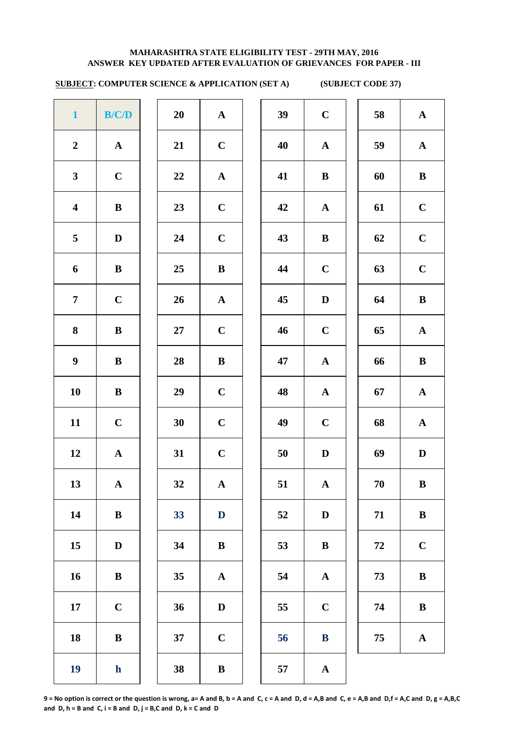# **SUBJECT: COMPUTER SCIENCE & APPLICATION (SET A) (SUBJECT CODE 37)**

| $\mathbf{1}$            | B/C/D        | 20 | $\mathbf A$  | 39 | $\mathbf C$  |
|-------------------------|--------------|----|--------------|----|--------------|
| $\boldsymbol{2}$        | $\mathbf A$  | 21 | $\mathbf C$  | 40 | $\mathbf A$  |
| $\mathbf{3}$            | $\mathbf C$  | 22 | ${\bf A}$    | 41 | $\bf{B}$     |
| $\overline{\mathbf{4}}$ | $\bf{B}$     | 23 | $\mathbf C$  | 42 | $\mathbf A$  |
| 5                       | $\mathbf D$  | 24 | $\mathbf C$  | 43 | $\bf{B}$     |
| 6                       | $\, {\bf B}$ | 25 | $\, {\bf B}$ | 44 | $\mathbf C$  |
| $\overline{7}$          | $\mathbf C$  | 26 | $\mathbf A$  | 45 | $\mathbf{D}$ |
| 8                       | $\, {\bf B}$ | 27 | $\mathbf C$  | 46 | $\mathbf C$  |
| $\boldsymbol{9}$        | $\, {\bf B}$ | 28 | $\, {\bf B}$ | 47 | $\mathbf{A}$ |
| 10                      | $\, {\bf B}$ | 29 | $\mathbf C$  | 48 | $\mathbf{A}$ |
| 11                      | $\mathbf C$  | 30 | $\mathbf C$  | 49 | $\mathbf C$  |
| 12                      | $\mathbf A$  | 31 | $\mathbf C$  | 50 | $\mathbf{D}$ |
| 13                      | $\mathbf A$  | 32 | $\mathbf A$  | 51 | $\mathbf A$  |
| 14                      | $\, {\bf B}$ | 33 | $\mathbf D$  | 52 | $\mathbf{D}$ |
| 15                      | $\mathbf D$  | 34 | $\, {\bf B}$ | 53 | $\bf{B}$     |
| 16                      | $\, {\bf B}$ | 35 | $\mathbf A$  | 54 | $\mathbf A$  |
| 17                      | $\mathbf C$  | 36 | $\mathbf D$  | 55 | $\mathbf C$  |
| 18                      | $\, {\bf B}$ | 37 | $\mathbf C$  | 56 | $\bf{B}$     |
| 19                      | ${\bf h}$    | 38 | $\, {\bf B}$ | 57 | $\mathbf A$  |

| 20 | $\mathbf A$             |
|----|-------------------------|
| 21 | $\mathbf C$             |
| 22 | $\mathbf{A}$            |
| 23 | $\mathbf C$             |
| 24 | $\mathbf C$             |
| 25 | B                       |
| 26 | $\mathbf{A}$            |
| 27 | $\mathbf C$             |
| 28 | B                       |
| 29 | $\mathbf C$             |
| 30 | $\mathbf C$             |
| 31 | $\mathbf C$             |
| 32 | $\overline{\mathbf{A}}$ |
| 33 | $\overline{\mathbf{D}}$ |
| 34 | B                       |
| 35 | $\mathbf A$             |
| 36 | D                       |
| 37 | $\overline{\mathbf{C}}$ |
| 20 | D                       |

| $\mathbf{1}$            | B/C/D        | 20 | ${\bf A}$    | 39 | $\mathbf C$  | 58 | ${\bf A}$    |
|-------------------------|--------------|----|--------------|----|--------------|----|--------------|
| $\overline{2}$          | $\mathbf{A}$ | 21 | $\mathbf C$  | 40 | $\mathbf{A}$ | 59 | ${\bf A}$    |
| $\mathbf{3}$            | $\mathbf C$  | 22 | ${\bf A}$    | 41 | $\bf{B}$     | 60 | $\bf{B}$     |
| $\overline{\mathbf{4}}$ | $\, {\bf B}$ | 23 | $\mathbf C$  | 42 | $\mathbf A$  | 61 | $\mathbf C$  |
| $\overline{5}$          | $\mathbf D$  | 24 | $\mathbf C$  | 43 | $\bf{B}$     | 62 | $\bf C$      |
| 6                       | $\, {\bf B}$ | 25 | $\bf{B}$     | 44 | $\mathbf C$  | 63 | $\mathbf C$  |
| $\overline{7}$          | $\mathbf C$  | 26 | ${\bf A}$    | 45 | $\mathbf D$  | 64 | $\bf{B}$     |
| 8                       | $\bf{B}$     | 27 | $\mathbf C$  | 46 | $\mathbf C$  | 65 | ${\bf A}$    |
| $\boldsymbol{9}$        | $\bf{B}$     | 28 | $\bf{B}$     | 47 | ${\bf A}$    | 66 | $\bf{B}$     |
| 10                      | ${\bf B}$    | 29 | $\mathbf C$  | 48 | ${\bf A}$    | 67 | ${\bf A}$    |
| 11                      | $\mathbf C$  | 30 | $\mathbf C$  | 49 | $\mathbf C$  | 68 | ${\bf A}$    |
| 12                      | ${\bf A}$    | 31 | $\mathbf C$  | 50 | D            | 69 | $\mathbf D$  |
| 13                      | ${\bf A}$    | 32 | ${\bf A}$    | 51 | ${\bf A}$    | 70 | $\, {\bf B}$ |
| 14                      | $\, {\bf B}$ | 33 | $\mathbf{D}$ | 52 | $\mathbf D$  | 71 | $\, {\bf B}$ |
| 15                      | $\mathbf D$  | 34 | $\bf{B}$     | 53 | $\bf{B}$     | 72 | $\mathbf C$  |
| 16                      | $\bf{B}$     | 35 | ${\bf A}$    | 54 | ${\bf A}$    | 73 | $\bf{B}$     |
| 17                      | $\mathbf C$  | 36 | $\mathbf D$  | 55 | $\mathbf C$  | 74 | $\bf{B}$     |
| 18                      | $\bf{B}$     | 37 | $\mathbf C$  | 56 | ${\bf B}$    | 75 | ${\bf A}$    |
| 19                      | $\mathbf{h}$ | 38 | $\bf{B}$     | 57 | $\mathbf{A}$ |    |              |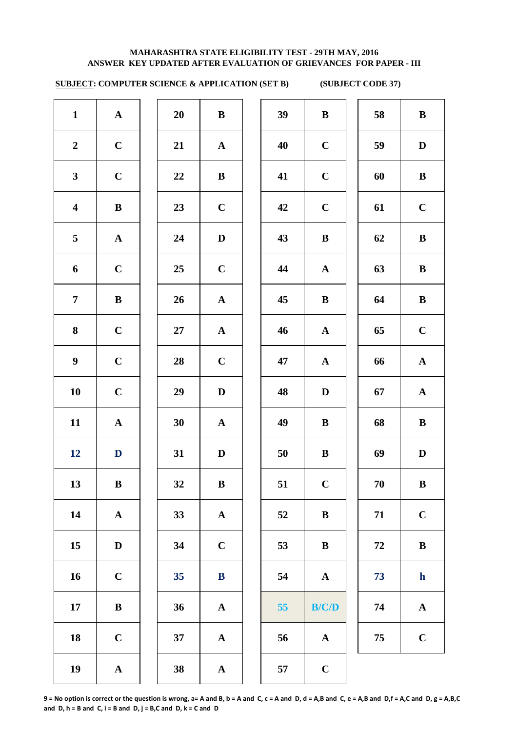# **SUBJECT: COMPUTER SCIENCE & APPLICATION (SET B) (SUBJECT CODE 37)**

| $\mathbf{1}$     | ${\bf A}$    | 20 | $\bf{B}$     | 39 | $\bf{B}$     | 58         | $\bf{B}$     |
|------------------|--------------|----|--------------|----|--------------|------------|--------------|
| $\overline{2}$   | $\mathbf C$  | 21 | $\mathbf{A}$ | 40 | $\mathbf C$  | 59         | $\mathbf{D}$ |
| $\mathbf{3}$     | $\mathbf C$  | 22 | ${\bf B}$    | 41 | $\mathbf C$  | 60         | $\bf{B}$     |
| $\boldsymbol{4}$ | $\bf{B}$     | 23 | $\mathbf C$  | 42 | $\mathbf C$  | 61         | $\mathbf C$  |
| $5\overline{)}$  | ${\bf A}$    | 24 | $\mathbf D$  | 43 | $\, {\bf B}$ | 62         | $\bf{B}$     |
| 6                | $\mathbf C$  | 25 | $\mathbf C$  | 44 | ${\bf A}$    | 63         | $\bf{B}$     |
| $\overline{7}$   | $\bf{B}$     | 26 | ${\bf A}$    | 45 | $\, {\bf B}$ | 64         | $\bf{B}$     |
| 8                | $\mathbf C$  | 27 | ${\bf A}$    | 46 | ${\bf A}$    | 65         | $\mathbf C$  |
| 9 <sup>1</sup>   | $\bf C$      | 28 | $\bf C$      | 47 | ${\bf A}$    | 66         | $\mathbf A$  |
| 10               | $\mathbf C$  | 29 | $\mathbf D$  | 48 | $\mathbf D$  | 67         | $\mathbf A$  |
| 11               | $\mathbf{A}$ | 30 | ${\bf A}$    | 49 | $\bf{B}$     | 68         | $\bf{B}$     |
| 12               | $\mathbf{D}$ | 31 | $\mathbf D$  | 50 | $\bf{B}$     | 69         | $\mathbf D$  |
| 13               | $\, {\bf B}$ | 32 | $\, {\bf B}$ | 51 | $\mathbf C$  | 70         | $\bf{B}$     |
| 14               | ${\bf A}$    | 33 | ${\bf A}$    | 52 | $\bf{B}$     | 71         | $\mathbf C$  |
| 15               | $\mathbf D$  | 34 | $\mathbf C$  | 53 | $\, {\bf B}$ | ${\bf 72}$ | $\bf{B}$     |
| 16               | $\mathbf C$  | 35 | $\bf{B}$     | 54 | ${\bf A}$    | 73         | $\mathbf h$  |
| 17               | $\, {\bf B}$ | 36 | ${\bf A}$    | 55 | B/C/D        | 74         | $\mathbf A$  |
| 18               | $\mathbf C$  | 37 | ${\bf A}$    | 56 | ${\bf A}$    | 75         | $\mathbf C$  |
| 19               | ${\bf A}$    | 38 | ${\bf A}$    | 57 | $\mathbf C$  |            |              |
|                  |              |    |              |    |              |            |              |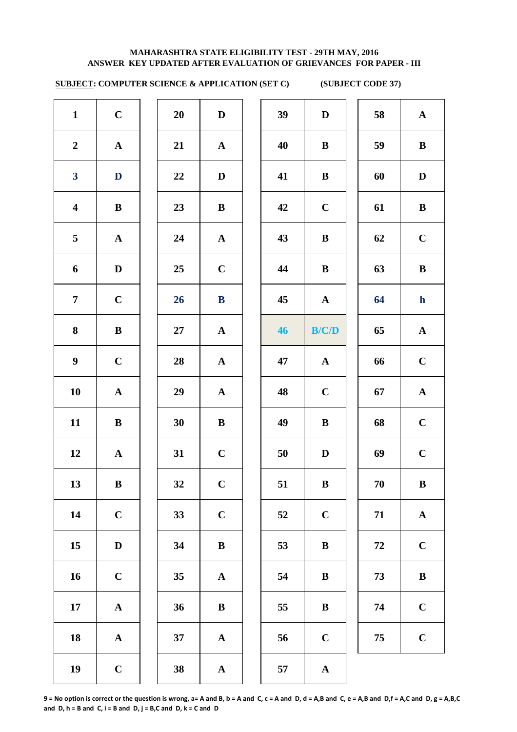# **SUBJECT: COMPUTER SCIENCE & APPLICATION (SET C) (SUBJECT CODE 37)**

| $\mathbf{1}$            | $\mathbf C$  | 20 | $\mathbf D$  | 39 | $\mathbf D$  | 58     | $\mathbf A$ |
|-------------------------|--------------|----|--------------|----|--------------|--------|-------------|
| $\boldsymbol{2}$        | ${\bf A}$    | 21 | $\mathbf{A}$ | 40 | $\bf{B}$     | 59     | $\bf{B}$    |
| $\boldsymbol{3}$        | $\mathbf{D}$ | 22 | $\mathbf D$  | 41 | $\bf{B}$     | 60     | $\mathbf D$ |
| $\overline{\mathbf{4}}$ | ${\bf B}$    | 23 | $\, {\bf B}$ | 42 | $\bf C$      | 61     | $\bf{B}$    |
| 5                       | ${\bf A}$    | 24 | ${\bf A}$    | 43 | $\bf{B}$     | 62     | $\mathbf C$ |
| 6                       | $\mathbf D$  | 25 | $\mathbf C$  | 44 | $\bf{B}$     | 63     | $\bf{B}$    |
| $\overline{7}$          | $\mathbf C$  | 26 | ${\bf B}$    | 45 | $\mathbf{A}$ | 64     | $\mathbf h$ |
| 8                       | ${\bf B}$    | 27 | ${\bf A}$    | 46 | B/C/D        | 65     | $\mathbf A$ |
| $\boldsymbol{9}$        | $\mathbf C$  | 28 | ${\bf A}$    | 47 | ${\bf A}$    | 66     | $\mathbf C$ |
| 10                      | ${\bf A}$    | 29 | ${\bf A}$    | 48 | $\mathbf C$  | 67     | $\mathbf A$ |
| 11                      | $\bf{B}$     | 30 | $\, {\bf B}$ | 49 | $\bf{B}$     | 68     | $\mathbf C$ |
| 12                      | ${\bf A}$    | 31 | $\mathbf C$  | 50 | $\mathbf D$  | 69     | $\mathbf C$ |
| 13                      | $\, {\bf B}$ | 32 | $\mathbf C$  | 51 | $\, {\bf B}$ | $70\,$ | $\bf{B}$    |
| 14                      | $\mathbf C$  | 33 | $\bf C$      | 52 | $\mathbf C$  | 71     | $\mathbf A$ |
| 15                      | $\mathbf D$  | 34 | $\, {\bf B}$ | 53 | $\bf{B}$     | $72\,$ | $\mathbf C$ |
| 16                      | $\mathbf C$  | 35 | ${\bf A}$    | 54 | $\bf{B}$     | 73     | $\bf{B}$    |
| 17                      | ${\bf A}$    | 36 | $\, {\bf B}$ | 55 | $\bf{B}$     | 74     | $\mathbf C$ |
| 18                      | ${\bf A}$    | 37 | $\mathbf{A}$ | 56 | $\mathbf C$  | 75     | $\mathbf C$ |
| 19                      | $\mathbf C$  | 38 | ${\bf A}$    | 57 | ${\bf A}$    |        |             |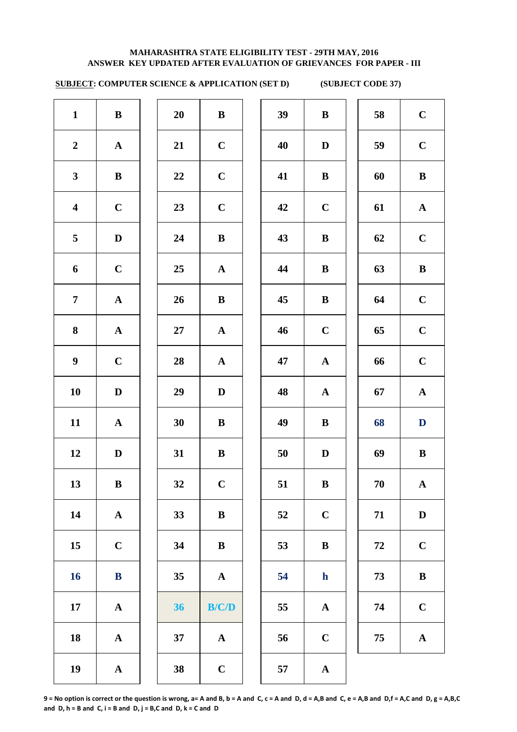# **SUBJECT: COMPUTER SCIENCE & APPLICATION (SET D) (SUBJECT CODE 37)**

| $\mathbf{1}$            | $\bf{B}$     | 20 | ${\bf B}$   | 39 | $\bf{B}$     | 58 | $\mathbf C$  |
|-------------------------|--------------|----|-------------|----|--------------|----|--------------|
| $\boldsymbol{2}$        | ${\bf A}$    | 21 | $\mathbf C$ | 40 | D            | 59 | $\mathbf C$  |
| $\mathbf{3}$            | ${\bf B}$    | 22 | $\mathbf C$ | 41 | $\bf{B}$     | 60 | $\, {\bf B}$ |
| $\overline{\mathbf{4}}$ | $\mathbf C$  | 23 | $\mathbf C$ | 42 | $\mathbf C$  | 61 | ${\bf A}$    |
| 5                       | $\mathbf{D}$ | 24 | $\bf{B}$    | 43 | $\bf{B}$     | 62 | $\mathbf C$  |
| 6                       | $\mathbf C$  | 25 | ${\bf A}$   | 44 | $\bf{B}$     | 63 | $\, {\bf B}$ |
| $\overline{7}$          | ${\bf A}$    | 26 | $\bf{B}$    | 45 | $\bf{B}$     | 64 | $\mathbf C$  |
| 8                       | ${\bf A}$    | 27 | ${\bf A}$   | 46 | $\mathbf C$  | 65 | $\mathbf C$  |
| $\boldsymbol{9}$        | $\mathbf C$  | 28 | ${\bf A}$   | 47 | ${\bf A}$    | 66 | $\mathbf C$  |
| 10                      | $\mathbf D$  | 29 | $\mathbf D$ | 48 | ${\bf A}$    | 67 | ${\bf A}$    |
| 11                      | ${\bf A}$    | 30 | $\bf{B}$    | 49 | $\bf{B}$     | 68 | $\mathbf D$  |
| 12                      | $\mathbf D$  | 31 | $\bf{B}$    | 50 | $\mathbf D$  | 69 | $\, {\bf B}$ |
| 13                      | $\bf{B}$     | 32 | $\mathbf C$ | 51 | $\bf{B}$     | 70 | ${\bf A}$    |
| 14                      | ${\bf A}$    | 33 | ${\bf B}$   | 52 | $\mathbf C$  | 71 | $\mathbf D$  |
| 15                      | $\mathbf C$  | 34 | ${\bf B}$   | 53 | $\, {\bf B}$ | 72 | $\mathbf C$  |
| 16                      | ${\bf B}$    | 35 | ${\bf A}$   | 54 | $\mathbf{h}$ | 73 | $\, {\bf B}$ |
| 17                      | ${\bf A}$    | 36 | B/C/D       | 55 | ${\bf A}$    | 74 | $\mathbf C$  |
| 18                      | ${\bf A}$    | 37 | ${\bf A}$   | 56 | $\bf C$      | 75 | ${\bf A}$    |
| 19                      | ${\bf A}$    | 38 | $\mathbf C$ | 57 | ${\bf A}$    |    |              |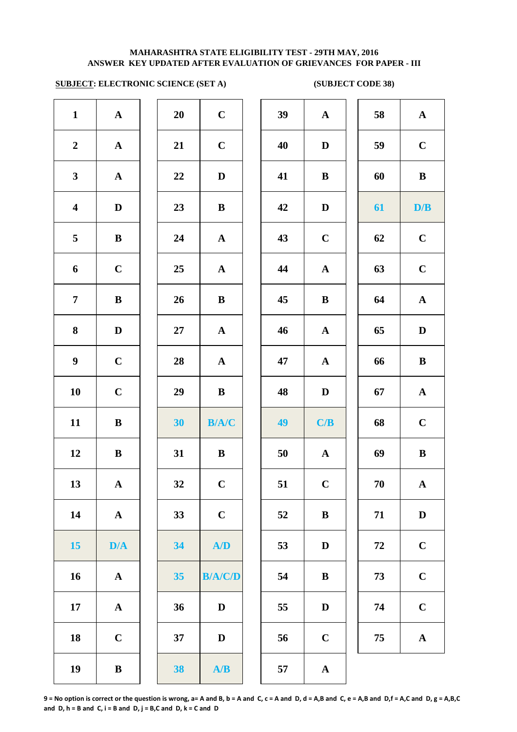# **SUBJECT: ELECTRONIC SCIENCE (SET A) (SUBJECT CODE 38)**



| 20 | $\mathbf C$                |  |
|----|----------------------------|--|
| 21 | $\mathbf C$                |  |
| 22 | D                          |  |
| 23 | B                          |  |
| 24 | $\mathbf A$                |  |
| 25 | A                          |  |
| 26 | B                          |  |
| 27 | $\mathbf A$                |  |
| 28 | $\mathbf A$                |  |
| 29 | B                          |  |
| 30 | <b>B/A/C</b>               |  |
| 31 | B                          |  |
| 32 | $\mathbf C$                |  |
| 33 | $\mathbf C$                |  |
| 34 | /D                         |  |
| 35 | B/L<br>7                   |  |
| 36 | D                          |  |
| 37 | D                          |  |
| 38 | $\blacktriangle/\!\!$<br>B |  |
|    |                            |  |

| $\mathbf{1}$            | ${\bf A}$    | 20 | $\mathbf C$    | 39     | ${\bf A}$   | 58 | ${\bf A}$    |
|-------------------------|--------------|----|----------------|--------|-------------|----|--------------|
| $\boldsymbol{2}$        | ${\bf A}$    | 21 | $\mathbf C$    | 40     | D           | 59 | $\mathbf C$  |
| $\mathbf{3}$            | ${\bf A}$    | 22 | $\mathbf D$    | 41     | $\bf{B}$    | 60 | $\, {\bf B}$ |
| $\overline{\mathbf{4}}$ | $\mathbf D$  | 23 | $\bf{B}$       | 42     | D           | 61 | D/B          |
| $\overline{\mathbf{5}}$ | $\bf{B}$     | 24 | ${\bf A}$      | 43     | $\mathbf C$ | 62 | $\mathbf C$  |
| 6                       | $\mathbf C$  | 25 | ${\bf A}$      | 44     | ${\bf A}$   | 63 | $\mathbf C$  |
| $\overline{7}$          | ${\bf B}$    | 26 | $\, {\bf B}$   | 45     | $\bf{B}$    | 64 | ${\bf A}$    |
| 8                       | $\mathbf D$  | 27 | $\mathbf{A}$   | 46     | ${\bf A}$   | 65 | $\mathbf D$  |
| $\boldsymbol{9}$        | $\mathbf C$  | 28 | ${\bf A}$      | 47     | ${\bf A}$   | 66 | $\, {\bf B}$ |
| 10                      | $\mathbf C$  | 29 | $\bf{B}$       | 48     | $\mathbf D$ | 67 | ${\bf A}$    |
| 11                      | $\, {\bf B}$ | 30 | B/A/C          | 49     | C/B         | 68 | $\mathbf C$  |
| 12                      | $\, {\bf B}$ | 31 | $\, {\bf B}$   | 50     | ${\bf A}$   | 69 | $\, {\bf B}$ |
| 13                      | ${\bf A}$    | 32 | $\mathbf C$    | 51     | $\mathbf C$ | 70 | ${\bf A}$    |
| 14                      | ${\bf A}$    | 33 | $\mathbf C$    | 52     | $\bf{B}$    | 71 | $\mathbf D$  |
| 15                      | D/A          | 34 | A/D            | 53     | $\mathbf D$ | 72 | $\mathbf C$  |
| 16                      | ${\bf A}$    | 35 | <b>B/A/C/D</b> | 54     | $\bf{B}$    | 73 | $\mathbf C$  |
| 17                      | ${\bf A}$    | 36 | $\mathbf D$    | 55     | $\mathbf D$ | 74 | $\mathbf C$  |
| 18                      | $\mathbf C$  | 37 | $\mathbf D$    | 56     | $\mathbf C$ | 75 | $\mathbf A$  |
| 19                      | $\, {\bf B}$ | 38 | A/B            | $57\,$ | ${\bf A}$   |    |              |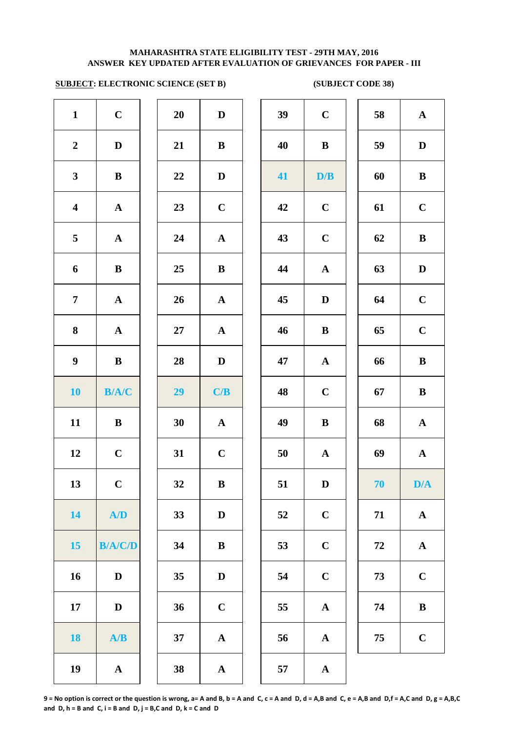# **SUBJECT: ELECTRONIC SCIENCE (SET B) (SUBJECT CODE 38)**

| $\mathbf{1}$            | $\mathbf C$           | $20\,$ | $\mathbf D$           | 39     | $\mathbf C$  |
|-------------------------|-----------------------|--------|-----------------------|--------|--------------|
| $\boldsymbol{2}$        | $\mathbf D$           | 21     | $\bf{B}$              | 40     | $\bf{B}$     |
| $\mathbf{3}$            | $\, {\bf B}$          | 22     | $\mathbf D$           | 41     | D/           |
| $\overline{\mathbf{4}}$ | $\mathbf A$           | 23     | $\mathbf C$           | 42     | $\mathbf C$  |
| 5                       | ${\bf A}$             | 24     | ${\bf A}$             | 43     | $\mathbf C$  |
| 6                       | $\, {\bf B}$          | 25     | $\bf{B}$              | 44     | $\mathbf A$  |
| 7                       | ${\bf A}$             | 26     | ${\bf A}$             | 45     | $\mathbf{D}$ |
| 8                       | ${\bf A}$             | 27     | ${\bf A}$             | 46     | $\bf{B}$     |
| $\boldsymbol{9}$        | $\, {\bf B}$          | 28     | $\mathbf D$           | 47     | $\mathbf{A}$ |
| <b>10</b>               | B/A/C                 | 29     | C/B                   | 48     | $\mathbf C$  |
| 11                      | $\, {\bf B}$          | 30     | $\mathbf A$           | 49     | $\bf{B}$     |
| 12                      | $\mathbf C$           | 31     | $\mathbf C$           | $50\,$ | $\mathbf A$  |
| 13                      | $\mathbf C$           | 32     | $\, {\bf B}$          | 51     | $\mathbf{D}$ |
| 14                      | A/D                   | 33     | $\mathbf{D}%$         | 52     | $\mathbf C$  |
| 15                      | <b>B/A/C/D</b>        | 34     | $\bf{B}$              | 53     | $\mathbf C$  |
| 16                      | $\mathbf D$           | 35     | $\mathbf D$           | 54     | $\mathbf C$  |
| 17                      | $\mathbf D$           | 36     | $\mathbf C$           | 55     | $\mathbf A$  |
| <b>18</b>               | A/B                   | 37     | $\boldsymbol{\rm{A}}$ | 56     | $\mathbf A$  |
| 19                      | $\boldsymbol{\rm{A}}$ | 38     | $\mathbf A$           | 57     | $\mathbf A$  |

| 20 | $\mathbf{D}$            |
|----|-------------------------|
| 21 | B                       |
| 22 | D                       |
| 23 | $\mathbf C$             |
| 24 | $\mathbf{A}$            |
| 25 | B                       |
| 26 | $\overline{\mathbf{A}}$ |
| 27 | $\overline{\mathbf{A}}$ |
| 28 | D                       |
|    | C/B                     |
| 29 |                         |
| 30 | $\mathbf A$             |
| 31 | $\mathbf C$             |
| 32 | B                       |
| 33 | D                       |
| 34 | B                       |
| 35 | D                       |
| 36 | $\mathbf C$             |
| 37 | A                       |

| $\mathbf{1}$            | $\mathbf C$    | 20 | $\mathbf D$  | 39 | $\mathbf C$  | 58 | ${\bf A}$    |
|-------------------------|----------------|----|--------------|----|--------------|----|--------------|
| $\overline{2}$          | $\mathbf D$    | 21 | $\, {\bf B}$ | 40 | $\bf{B}$     | 59 | $\mathbf D$  |
| $\mathbf{3}$            | ${\bf B}$      | 22 | $\mathbf D$  | 41 | D/B          | 60 | $\, {\bf B}$ |
| $\overline{\mathbf{4}}$ | ${\bf A}$      | 23 | $\mathbf C$  | 42 | $\mathbf C$  | 61 | $\mathbf C$  |
| $\overline{\mathbf{5}}$ | ${\bf A}$      | 24 | $\mathbf{A}$ | 43 | $\mathbf C$  | 62 | $\, {\bf B}$ |
| $\boldsymbol{6}$        | $\, {\bf B}$   | 25 | $\bf{B}$     | 44 | $\mathbf A$  | 63 | $\mathbf D$  |
| $\overline{7}$          | ${\bf A}$      | 26 | ${\bf A}$    | 45 | $\mathbf D$  | 64 | $\mathbf C$  |
| $\boldsymbol{8}$        | ${\bf A}$      | 27 | $\mathbf A$  | 46 | $\, {\bf B}$ | 65 | $\mathbf C$  |
| $\boldsymbol{9}$        | $\bf{B}$       | 28 | $\mathbf D$  | 47 | ${\bf A}$    | 66 | $\, {\bf B}$ |
| 10                      | B/A/C          | 29 | C/B          | 48 | $\mathbf C$  | 67 | $\, {\bf B}$ |
| 11                      | $\bf{B}$       | 30 | $\mathbf{A}$ | 49 | $\, {\bf B}$ | 68 | $\mathbf A$  |
| 12                      | $\mathbf C$    | 31 | $\mathbf C$  | 50 | $\mathbf{A}$ | 69 | $\mathbf A$  |
| 13                      | $\mathbf C$    | 32 | $\, {\bf B}$ | 51 | $\mathbf D$  | 70 | D/A          |
| 14                      | A/D            | 33 | $\mathbf{D}$ | 52 | $\mathbf C$  | 71 | ${\bf A}$    |
| 15                      | <b>B/A/C/D</b> | 34 | $\bf{B}$     | 53 | $\mathbf C$  | 72 | ${\bf A}$    |
| 16                      | D              | 35 | $\mathbf D$  | 54 | $\mathbf C$  | 73 | $\mathbf C$  |
| 17                      | D              | 36 | $\mathbf C$  | 55 | $\mathbf A$  | 74 | $\, {\bf B}$ |
| 18                      | A/B            | 37 | $\mathbf A$  | 56 | $\mathbf A$  | 75 | $\mathbf C$  |
| 19                      | $\mathbf A$    | 38 | $\mathbf A$  | 57 | $\mathbf A$  |    |              |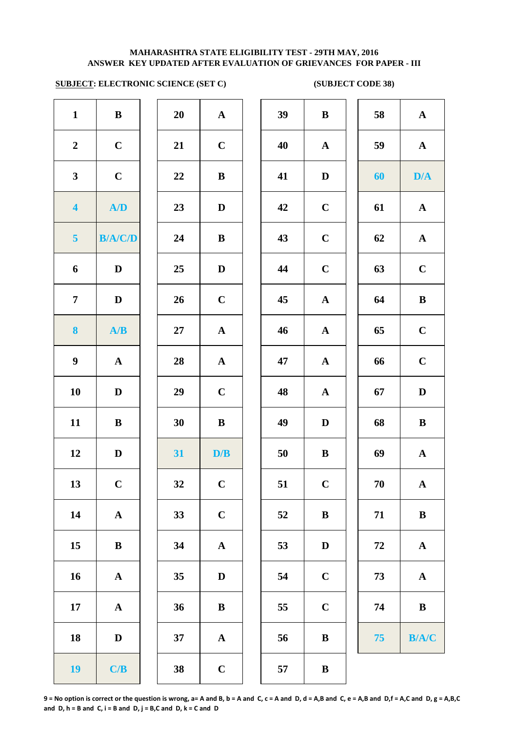# **SUBJECT: ELECTRONIC SCIENCE (SET C) (SUBJECT CODE 38)**

| $\mathbf{1}$            | $\bf{B}$                |
|-------------------------|-------------------------|
| $\overline{\mathbf{c}}$ | $\mathbf C$             |
| $\mathbf{3}$            | $\mathbf C$             |
| 4                       | A/D                     |
| 5                       | <b>B/A/C/D</b>          |
| 6                       | D                       |
| 7                       | D                       |
| 8                       | A/B                     |
| 9                       | $\mathbf A$             |
| 10                      | D                       |
| 11                      | B                       |
| 12                      | D                       |
| 13                      | $\mathbf C$             |
| 14                      | A                       |
| 15                      | $\bf{B}$                |
| 16                      | A                       |
| 17                      | A                       |
| 18                      | D                       |
| 19                      | $\mathbf{C}/\mathbf{B}$ |

| $\mathbf{1}$            | $\bf{B}$              | 20     | $\mathbf{A}$          | 39 | $\bf{B}$                  |
|-------------------------|-----------------------|--------|-----------------------|----|---------------------------|
| $\boldsymbol{2}$        | $\mathbf C$           | 21     | $\mathbf C$           | 40 | $\mathbf A$               |
| $\mathbf{3}$            | $\mathbf C$           | 22     | $\, {\bf B}$          | 41 | $\mathbf{D}$              |
| $\overline{\mathbf{4}}$ | A/D                   | 23     | $\mathbf D$           | 42 | $\mathbf C$               |
| $\overline{\mathbf{5}}$ | <b>B/A/C/D</b>        | 24     | $\, {\bf B}$          | 43 | $\mathbf C$               |
| $\boldsymbol{6}$        | $\mathbf D$           | 25     | $\mathbf D$           | 44 | $\mathbf C$               |
| $\overline{7}$          | $\mathbf D$           | 26     | $\mathbf C$           | 45 | $\mathbf A$               |
| $\boldsymbol{8}$        | A/B                   | $27\,$ | $\boldsymbol{\rm{A}}$ | 46 | $\mathbf A$               |
| $\boldsymbol{9}$        | $\mathbf A$           | 28     | $\mathbf A$           | 47 | $\boldsymbol{\mathsf{A}}$ |
| 10                      | D                     | 29     | $\mathbf C$           | 48 | $\mathbf A$               |
| 11                      | $\bf{B}$              | 30     | $\, {\bf B}$          | 49 | $\mathbf{D}$              |
| 12                      | $\mathbf D$           | 31     | D/B                   | 50 | $\bf{B}$                  |
| 13                      | $\mathbf C$           | 32     | $\mathbf C$           | 51 | $\mathbf C$               |
| 14                      | $\boldsymbol{\rm{A}}$ | 33     | $\mathbf C$           | 52 | $\bf{B}$                  |
| 15                      | $\bf{B}$              | 34     | $\mathbf A$           | 53 | $\bf{D}$                  |
| 16                      | ${\bf A}$             | 35     | $\mathbf D$           | 54 | $\mathbf C$               |
| 17                      | ${\bf A}$             | 36     | $\, {\bf B}$          | 55 | $\mathbf C$               |
| 18                      | $\mathbf D$           | 37     | $\mathbf A$           | 56 | $\bf{B}$                  |
| 19                      | C/B                   | 38     | $\mathbf C$           | 57 | $\bf{B}$                  |

| $\mathbf{1}$            | $\bf{B}$       | 20     | ${\bf A}$    | 39 | $\bf{B}$     | 58 | ${\bf A}$    |
|-------------------------|----------------|--------|--------------|----|--------------|----|--------------|
| $\overline{2}$          | $\mathbf C$    | 21     | $\mathbf C$  | 40 | $\mathbf{A}$ | 59 | ${\bf A}$    |
| $\mathbf{3}$            | $\mathbf C$    | 22     | $\bf{B}$     | 41 | $\mathbf D$  | 60 | D/A          |
| $\overline{\mathbf{4}}$ | A/D            | 23     | $\mathbf D$  | 42 | $\mathbf C$  | 61 | ${\bf A}$    |
| $5\phantom{.0}$         | <b>B/A/C/D</b> | 24     | ${\bf B}$    | 43 | $\mathbf C$  | 62 | ${\bf A}$    |
| 6                       | $\mathbf D$    | 25     | $\mathbf D$  | 44 | $\mathbf C$  | 63 | $\mathbf C$  |
| $\overline{7}$          | D              | 26     | $\mathbf C$  | 45 | $\mathbf A$  | 64 | $\, {\bf B}$ |
| $\boldsymbol{8}$        | A/B            | $27\,$ | $\mathbf A$  | 46 | $\mathbf A$  | 65 | $\mathbf C$  |
| $\boldsymbol{9}$        | $\mathbf{A}$   | 28     | ${\bf A}$    | 47 | $\mathbf A$  | 66 | $\mathbf C$  |
| 10                      | D              | 29     | $\mathbf C$  | 48 | $\mathbf{A}$ | 67 | $\mathbf D$  |
| 11                      | $\bf{B}$       | 30     | $\bf{B}$     | 49 | $\mathbf D$  | 68 | $\, {\bf B}$ |
| 12                      | D              | 31     | D/B          | 50 | $\bf{B}$     | 69 | $\mathbf A$  |
| 13                      | $\mathbf C$    | 32     | $\mathbf C$  | 51 | $\mathbf C$  | 70 | $\mathbf A$  |
| 14                      | ${\bf A}$      | 33     | $\mathbf C$  | 52 | $\bf{B}$     | 71 | ${\bf B}$    |
| 15                      | $\bf{B}$       | 34     | ${\bf A}$    | 53 | $\mathbf D$  | 72 | ${\bf A}$    |
| 16                      | $\mathbf A$    | 35     | D            | 54 | $\mathbf C$  | 73 | $\mathbf A$  |
| 17                      | $\mathbf{A}$   | 36     | ${\bf B}$    | 55 | $\mathbf C$  | 74 | $\, {\bf B}$ |
| 18                      | D              | 37     | $\mathbf{A}$ | 56 | $\bf{B}$     | 75 | B/A/C        |
| 19                      | C/B            | 38     | $\mathbf C$  | 57 | $\bf{B}$     |    |              |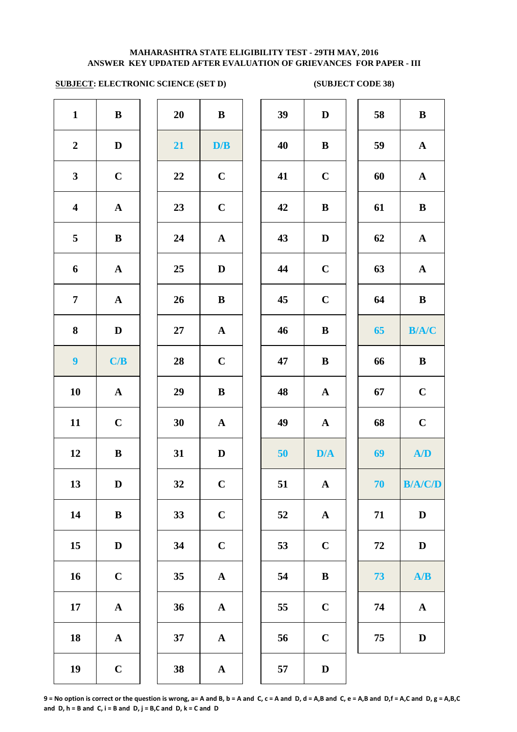# **SUBJECT: ELECTRONIC SCIENCE (SET D) (SUBJECT CODE 38)**

| $\mathbf{1}$            | B            |
|-------------------------|--------------|
| $\boldsymbol{2}$        | $\mathbf D$  |
| $\overline{\mathbf{3}}$ | $\mathbf C$  |
| $\overline{\mathbf{4}}$ | $\mathbf{A}$ |
| 5                       | B            |
| 6                       | $\mathbf A$  |
| 7                       | $\mathbf A$  |
| 8                       | D            |
| 9                       | C/B          |
| 10                      | $\mathbf A$  |
| 11                      | $\mathbf C$  |
| 12                      | B            |
| 13                      | D            |
| 14                      | $\bf{B}$     |
| 15                      | D            |
| 16                      | $\mathbf C$  |
| 17                      | A            |
| 18                      | A            |
| 19                      | $\mathbf C$  |

| $\mathbf{1}$            | $\, {\bf B}$          | 20     | $\, {\bf B}$          | 39 | $\mathbf{D}$ |
|-------------------------|-----------------------|--------|-----------------------|----|--------------|
| $\boldsymbol{2}$        | $\mathbf D$           | 21     | D/B                   | 40 | $\bf{B}$     |
| $\mathbf{3}$            | $\mathbf C$           | 22     | $\mathbf C$           | 41 | $\mathbf C$  |
| $\overline{\mathbf{4}}$ | $\mathbf A$           | 23     | $\mathbf C$           | 42 | $\bf{B}$     |
| $\overline{\mathbf{5}}$ | $\bf{B}$              | 24     | $\mathbf A$           | 43 | $\mathbf{D}$ |
| $\boldsymbol{6}$        | $\boldsymbol{\rm{A}}$ | 25     | ${\bf D}$             | 44 | $\mathbf C$  |
| $\overline{7}$          | $\mathbf A$           | 26     | $\, {\bf B}$          | 45 | $\mathbf C$  |
| $\bf 8$                 | $\mathbf D$           | $27\,$ | $\boldsymbol{\rm{A}}$ | 46 | $\bf{B}$     |
| $\boldsymbol{9}$        | C/B                   | 28     | $\mathbf C$           | 47 | $\bf{B}$     |
| 10                      | $\boldsymbol{\rm{A}}$ | 29     | $\, {\bf B}$          | 48 | $\mathbf A$  |
| 11                      | $\mathbf C$           | 30     | $\mathbf A$           | 49 | $\mathbf{A}$ |
| 12                      | $\, {\bf B}$          | 31     | ${\bf D}$             | 50 | D/4          |
| 13                      | $\mathbf D$           | 32     | $\mathbf C$           | 51 | $\mathbf A$  |
| 14                      | $\bf{B}$              | 33     | $\mathbf C$           | 52 | $\mathbf A$  |
| 15                      | $\mathbf D$           | 34     | $\mathbf C$           | 53 | $\mathbf C$  |
| 16                      | $\mathbf C$           | 35     | $\boldsymbol{\rm{A}}$ | 54 | $\bf{B}$     |
| 17                      | $\boldsymbol{\rm{A}}$ | 36     | $\mathbf A$           | 55 | $\mathbf C$  |
| 18                      | ${\bf A}$             | 37     | $\boldsymbol{\rm{A}}$ | 56 | $\mathbf C$  |
| 19                      | $\mathbf C$           | 38     | $\mathbf A$           | 57 | $\mathbf{D}$ |

| $\mathbf{1}$            | $\bf{B}$     | 20 | $\mathbf B$  | 39 | $\mathbf D$  | 58 | $\bf{B}$       |
|-------------------------|--------------|----|--------------|----|--------------|----|----------------|
| $\overline{2}$          | $\mathbf D$  | 21 | D/B          | 40 | $\bf{B}$     | 59 | $\mathbf{A}$   |
| $\mathbf{3}$            | $\mathbf C$  | 22 | $\mathbf C$  | 41 | $\bf C$      | 60 | $\mathbf{A}$   |
| $\overline{\mathbf{4}}$ | ${\bf A}$    | 23 | $\mathbf C$  | 42 | $\bf{B}$     | 61 | $\bf{B}$       |
| 5                       | $\, {\bf B}$ | 24 | ${\bf A}$    | 43 | $\mathbf D$  | 62 | $\mathbf{A}$   |
| 6                       | ${\bf A}$    | 25 | $\mathbf D$  | 44 | $\mathbf C$  | 63 | $\mathbf{A}$   |
| $\overline{7}$          | ${\bf A}$    | 26 | $\bf{B}$     | 45 | $\mathbf C$  | 64 | $\, {\bf B}$   |
| 8                       | $\mathbf D$  | 27 | ${\bf A}$    | 46 | $\bf{B}$     | 65 | B/A/C          |
| $\overline{\mathbf{9}}$ | C/B          | 28 | $\mathbf C$  | 47 | B            | 66 | $\, {\bf B}$   |
| 10                      | $\mathbf{A}$ | 29 | $\bf{B}$     | 48 | $\mathbf{A}$ | 67 | $\mathbf C$    |
| 11                      | $\mathbf C$  | 30 | ${\bf A}$    | 49 | $\mathbf A$  | 68 | $\mathbf C$    |
| 12                      | $\bf{B}$     | 31 | D            | 50 | D/A          | 69 | A/D            |
| 13                      | D            | 32 | $\mathbf C$  | 51 | $\mathbf A$  | 70 | <b>B/A/C/D</b> |
| 14                      | $\bf{B}$     | 33 | $\mathbf C$  | 52 | $\mathbf{A}$ | 71 | $\mathbf D$    |
| 15                      | $\mathbf D$  | 34 | $\mathbf C$  | 53 | $\mathbf C$  | 72 | $\mathbf D$    |
| 16                      | $\mathbf C$  | 35 | ${\bf A}$    | 54 | $\bf{B}$     | 73 | A/B            |
| 17                      | ${\bf A}$    | 36 | $\mathbf{A}$ | 55 | $\mathbf C$  | 74 | $\mathbf{A}$   |
| 18                      | $\mathbf{A}$ | 37 | $\mathbf{A}$ | 56 | $\mathbf C$  | 75 | $\mathbf D$    |
| 19                      | $\mathbf C$  | 38 | $\mathbf{A}$ | 57 | D            |    |                |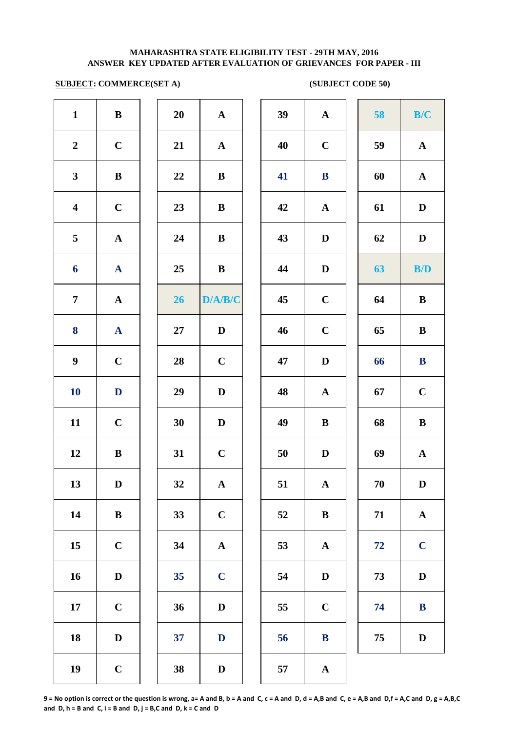## **SUBJECT: COMMERCE(SET A)** (SUBJECT CODE 50)

| $\mathbf{1}$            | $\bf{B}$              | 20 | ${\bf A}$             | 39 | $\mathbf A$  |
|-------------------------|-----------------------|----|-----------------------|----|--------------|
| $\boldsymbol{2}$        | $\mathbf C$           | 21 | $\mathbf A$           | 40 | $\mathbf C$  |
| $\mathbf{3}$            | $\, {\bf B}$          | 22 | $\, {\bf B}$          | 41 | $\bf{B}$     |
| $\overline{\mathbf{4}}$ | $\mathbf C$           | 23 | $\bf{B}$              | 42 | $\mathbf A$  |
| $\overline{\mathbf{5}}$ | $\boldsymbol{\rm{A}}$ | 24 | $\, {\bf B}$          | 43 | $\mathbf{D}$ |
| 6                       | ${\bf A}$             | 25 | $\, {\bf B}$          | 44 | $\mathbf{D}$ |
| $\overline{7}$          | $\boldsymbol{\rm{A}}$ | 26 | D/A/B/C               | 45 | $\mathbf C$  |
| 8                       | $\mathbf{A}$          | 27 | $\mathbf D$           | 46 | $\mathbf C$  |
| $\boldsymbol{9}$        | $\mathbf C$           | 28 | $\mathbf C$           | 47 | $\mathbf{D}$ |
| <b>10</b>               | $\mathbf D$           | 29 | $\mathbf D$           | 48 | $\mathbf A$  |
| 11                      | $\mathbf C$           | 30 | ${\bf D}$             | 49 | $\bf{B}$     |
| $12\,$                  | $\, {\bf B}$          | 31 | $\mathbf C$           | 50 | $\mathbf{D}$ |
| 13                      | $\mathbf D$           | 32 | $\mathbf A$           | 51 | $\mathbf A$  |
| 14                      | $\, {\bf B}$          | 33 | $\mathbf C$           | 52 | $\bf{B}$     |
| 15                      | $\mathbf C$           | 34 | $\boldsymbol{\rm{A}}$ | 53 | $\mathbf A$  |
| 16                      | $\mathbf D$           | 35 | $\mathbf C$           | 54 | $\mathbf{D}$ |
| 17                      | $\mathbf C$           | 36 | ${\bf D}$             | 55 | $\mathbf C$  |
| 18                      | $\mathbf D$           | 37 | $\mathbf D$           | 56 | $\bf{B}$     |
| 19                      | $\mathbf C$           | 38 | $\mathbf D$           | 57 | $\mathbf A$  |
|                         |                       |    |                       |    |              |

| 20 | $\mathbf A$             |  |
|----|-------------------------|--|
| 21 | $\mathbf{A}$            |  |
| 22 | B                       |  |
| 23 | B                       |  |
| 24 | B                       |  |
| 25 | B                       |  |
| 26 | D/A/B/C                 |  |
| 27 | D                       |  |
| 28 | $\mathbf C$             |  |
| 29 | D                       |  |
| 30 | D                       |  |
| 31 | $\overline{C}$          |  |
| 32 | $\overline{\mathbf{A}}$ |  |
| 33 | $\mathbf C$             |  |
| 34 | A                       |  |
| 35 | $\overline{\mathbf{C}}$ |  |
| 36 | D                       |  |
| 37 | D                       |  |
|    |                         |  |

| $\mathbf{1}$            | ${\bf B}$   | 20     | ${\bf A}$    | 39 | ${\bf A}$    | 58 | B/C          |
|-------------------------|-------------|--------|--------------|----|--------------|----|--------------|
| $\overline{2}$          | $\mathbf C$ | 21     | ${\bf A}$    | 40 | $\mathbf C$  | 59 | ${\bf A}$    |
| $\mathbf{3}$            | ${\bf B}$   | 22     | $\bf{B}$     | 41 | ${\bf B}$    | 60 | ${\bf A}$    |
| $\overline{\mathbf{4}}$ | $\mathbf C$ | 23     | $\bf{B}$     | 42 | ${\bf A}$    | 61 | $\mathbf D$  |
| $\overline{5}$          | ${\bf A}$   | 24     | $\bf{B}$     | 43 | $\mathbf D$  | 62 | $\mathbf D$  |
| $\boldsymbol{6}$        | ${\bf A}$   | 25     | $\mathbf{B}$ | 44 | $\mathbf D$  | 63 | B/D          |
| $\overline{7}$          | ${\bf A}$   | 26     | D/A/B/C      | 45 | $\mathbf C$  | 64 | $\, {\bf B}$ |
| 8                       | ${\bf A}$   | $27\,$ | $\mathbf D$  | 46 | $\mathbf C$  | 65 | $\, {\bf B}$ |
| $\boldsymbol{9}$        | $\mathbf C$ | 28     | $\mathbf C$  | 47 | $\mathbf D$  | 66 | $\bf{B}$     |
| 10                      | D           | 29     | $\mathbf D$  | 48 | $\mathbf{A}$ | 67 | $\mathbf C$  |
| 11                      | $\mathbf C$ | 30     | $\mathbf D$  | 49 | $\bf{B}$     | 68 | $\, {\bf B}$ |
| 12                      | $\bf{B}$    | 31     | $\mathbf C$  | 50 | $\mathbf D$  | 69 | ${\bf A}$    |
| 13                      | D           | 32     | $\mathbf{A}$ | 51 | $\mathbf{A}$ | 70 | D            |
| 14                      | $\bf{B}$    | 33     | $\mathbf C$  | 52 | $\bf{B}$     | 71 | ${\bf A}$    |
| 15                      | $\mathbf C$ | 34     | ${\bf A}$    | 53 | $\mathbf{A}$ | 72 | $\mathbf C$  |
| 16                      | $\mathbf D$ | 35     | $\mathbf C$  | 54 | $\mathbf D$  | 73 | $\mathbf D$  |
| 17                      | $\mathbf C$ | 36     | $\mathbf D$  | 55 | $\mathbf C$  | 74 | $\bf{B}$     |
| 18                      | $\mathbf D$ | 37     | $\mathbf D$  | 56 | $\bf{B}$     | 75 | $\mathbf D$  |
| 19                      | $\mathbf C$ | 38     | $\mathbf D$  | 57 | $\mathbf A$  |    |              |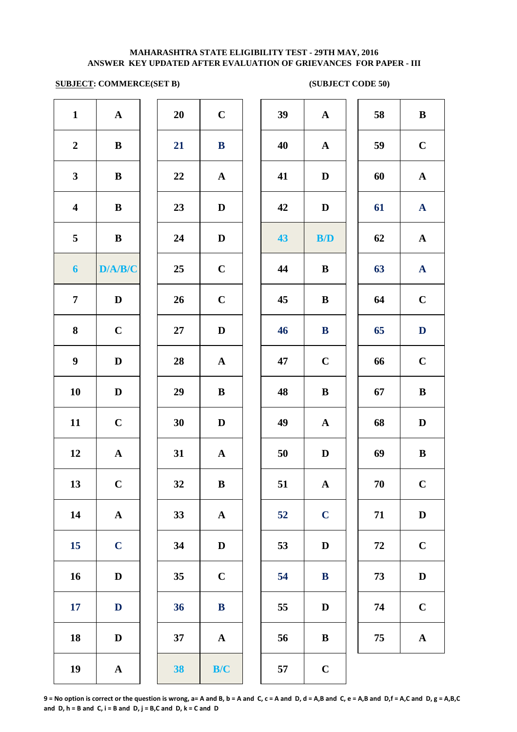## **SUBJECT: COMMERCE(SET B) (SUBJECT CODE 50)**

| $\mathbf{1}$            | ${\bf A}$    | 20 | $\mathbf C$  | 39 | ${\bf A}$    | 58     | $\bf{B}$     |
|-------------------------|--------------|----|--------------|----|--------------|--------|--------------|
| $\boldsymbol{2}$        | $\bf{B}$     | 21 | ${\bf B}$    | 40 | ${\bf A}$    | 59     | $\mathbf C$  |
| $\mathbf{3}$            | $\, {\bf B}$ | 22 | ${\bf A}$    | 41 | $\mathbf D$  | 60     | $\mathbf A$  |
| $\overline{\mathbf{4}}$ | $\bf{B}$     | 23 | $\mathbf D$  | 42 | D            | 61     | $\mathbf A$  |
| 5                       | $\bf{B}$     | 24 | $\mathbf D$  | 43 | B/D          | 62     | $\mathbf A$  |
| $\boldsymbol{6}$        | D/A/B/C      | 25 | $\mathbf C$  | 44 | $\bf{B}$     | 63     | $\mathbf A$  |
| $\overline{7}$          | $\mathbf{D}$ | 26 | $\mathbf C$  | 45 | $\bf{B}$     | 64     | $\mathbf C$  |
| 8                       | $\mathbf C$  | 27 | $\mathbf{D}$ | 46 | $\bf{B}$     | 65     | D            |
| $\boldsymbol{9}$        | $\mathbf D$  | 28 | ${\bf A}$    | 47 | $\mathbf C$  | 66     | $\mathbf C$  |
| 10                      | $\mathbf D$  | 29 | $\bf{B}$     | 48 | $\bf{B}$     | 67     | $\bf{B}$     |
| 11                      | $\mathbf C$  | 30 | $\mathbf D$  | 49 | $\mathbf{A}$ | 68     | $\mathbf{D}$ |
| 12                      | ${\bf A}$    | 31 | ${\bf A}$    | 50 | $\mathbf D$  | 69     | $\bf{B}$     |
| 13                      | $\mathbf C$  | 32 | $\bf{B}$     | 51 | $\mathbf{A}$ | 70     | $\mathbf C$  |
| 14                      | ${\bf A}$    | 33 | ${\bf A}$    | 52 | $\mathbf C$  | 71     | D            |
| 15                      | $\mathbf C$  | 34 | $\mathbf D$  | 53 | $\mathbf D$  | $72\,$ | $\mathbf C$  |
| 16                      | $\mathbf D$  | 35 | $\mathbf C$  | 54 | $\bf{B}$     | 73     | $\mathbf{D}$ |
| 17                      | $\mathbf{D}$ | 36 | $\, {\bf B}$ | 55 | $\mathbf D$  | 74     | $\mathbf C$  |
| 18                      | $\mathbf D$  | 37 | ${\bf A}$    | 56 | $\bf{B}$     | 75     | $\mathbf A$  |
| 19                      | ${\bf A}$    | 38 | B/C          | 57 | $\mathbf C$  |        |              |
|                         |              |    |              |    |              |        |              |

| 39 | ${\bf A}$    | 58 | $\, {\bf B}$          |
|----|--------------|----|-----------------------|
| 40 | ${\bf A}$    | 59 | $\mathbf C$           |
| 41 | $\mathbf D$  | 60 | ${\bf A}$             |
| 42 | $\mathbf D$  | 61 | $\mathbf{A}$          |
| 43 | B/D          | 62 | ${\bf A}$             |
| 44 | $\, {\bf B}$ | 63 | $\mathbf{A}$          |
| 45 | $\bf{B}$     | 64 | $\mathbf C$           |
| 46 | ${\bf B}$    | 65 | $\mathbf D$           |
| 47 | $\mathbf C$  | 66 | $\mathbf C$           |
| 48 | $\, {\bf B}$ | 67 | $\bf{B}$              |
| 49 | $\mathbf A$  | 68 | D                     |
| 50 | $\mathbf D$  | 69 | $\bf{B}$              |
| 51 | $\mathbf{A}$ | 70 | $\mathbf C$           |
| 52 | $\mathbf C$  | 71 | ${\bf D}$             |
| 53 | $\mathbf D$  | 72 | $\mathbf C$           |
| 54 | $\bf{B}$     | 73 | $\mathbf D$           |
| 55 | $\mathbf D$  | 74 | $\mathbf C$           |
| 56 | B            | 75 | $\boldsymbol{\rm{A}}$ |
| 77 |              |    |                       |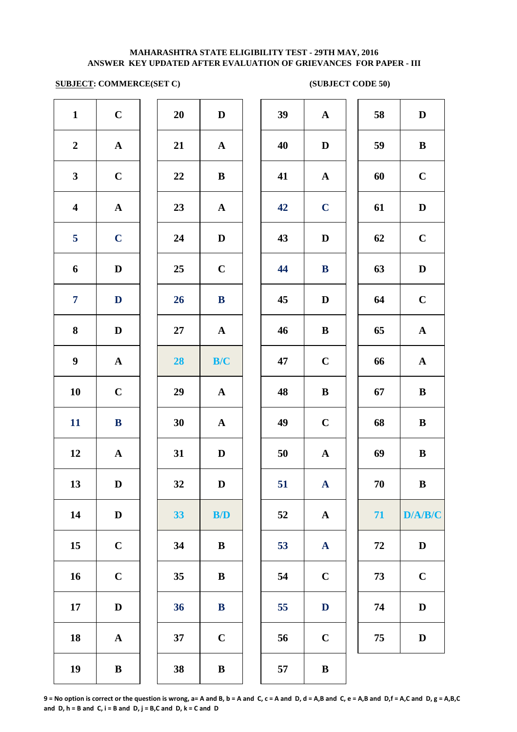## **SUBJECT: COMMERCE(SET C) (SUBJECT CODE 50)**

|                         |              | $\overline{\phantom{a}}$ |                         |    |              |            |              |
|-------------------------|--------------|--------------------------|-------------------------|----|--------------|------------|--------------|
| $\mathbf{1}$            | $\mathbf C$  | 20                       | $\mathbf D$             | 39 | $\mathbf{A}$ | 58         | D            |
| $\overline{2}$          | $\mathbf{A}$ | 21                       | ${\bf A}$               | 40 | $\mathbf D$  | 59         | $\, {\bf B}$ |
| 3 <sup>1</sup>          | $\mathbf C$  | 22                       | $\bf{B}$                | 41 | $\mathbf{A}$ | 60         | $\mathbf C$  |
| $\overline{\mathbf{4}}$ | ${\bf A}$    | 23                       | ${\bf A}$               | 42 | $\mathbf C$  | 61         | $\mathbf D$  |
| 5 <sub>5</sub>          | $\mathbf C$  | 24                       | $\mathbf D$             | 43 | $\mathbf D$  | 62         | $\mathbf C$  |
| 6                       | $\mathbf D$  | 25                       | $\mathbf C$             | 44 | $\bf{B}$     | 63         | $\mathbf D$  |
| $\overline{7}$          | $\mathbf{D}$ | 26                       | $\bf{B}$                | 45 | $\mathbf D$  | 64         | $\mathbf C$  |
| 8                       | $\mathbf D$  | $27\,$                   | ${\bf A}$               | 46 | $\, {\bf B}$ | 65         | ${\bf A}$    |
| $\boldsymbol{9}$        | ${\bf A}$    | 28                       | B/C                     | 47 | $\mathbf C$  | 66         | $\mathbf{A}$ |
| 10                      | $\mathbf C$  | 29                       | ${\bf A}$               | 48 | $\bf{B}$     | 67         | $\, {\bf B}$ |
| 11                      | ${\bf B}$    | 30                       | ${\bf A}$               | 49 | $\bf C$      | 68         | $\bf{B}$     |
| 12                      | $\mathbf{A}$ | 31                       | $\mathbf D$             | 50 | $\mathbf{A}$ | 69         | $\bf{B}$     |
| 13                      | $\mathbf D$  | 32                       | $\mathbf D$             | 51 | ${\bf A}$    | 70         | $\, {\bf B}$ |
| 14                      | $\mathbf D$  | 33                       | $\mathbf{B}/\mathbf{D}$ | 52 | ${\bf A}$    | 71         | D/A/B/C      |
| 15                      | $\mathbf C$  | 34                       | $\, {\bf B}$            | 53 | ${\bf A}$    | ${\bf 72}$ | $\mathbf D$  |
| 16                      | $\mathbf C$  | 35                       | $\, {\bf B}$            | 54 | $\mathbf C$  | 73         | $\mathbf C$  |
| $17\,$                  | $\mathbf D$  | 36                       | $\bf{B}$                | 55 | $\mathbf D$  | 74         | $\mathbf D$  |
| 18                      | ${\bf A}$    | 37                       | $\mathbf C$             | 56 | $\bf C$      | 75         | $\mathbf D$  |
| 19                      | $\, {\bf B}$ | 38                       | $\, {\bf B}$            | 57 | $\, {\bf B}$ |            |              |
|                         |              |                          |                         |    |              |            |              |

| 39 | $\mathbf A$  | 58 | $\mathbf D$  |
|----|--------------|----|--------------|
| 40 | $\mathbf D$  | 59 | $\, {\bf B}$ |
| 41 | $\mathbf A$  | 60 | $\mathbf C$  |
| 42 | $\mathbf C$  | 61 | $\mathbf D$  |
| 43 | $\mathbf D$  | 62 | $\mathbf C$  |
| 44 | $\bf{B}$     | 63 | $\mathbf D$  |
| 45 | $\mathbf D$  | 64 | $\mathbf C$  |
| 46 | $\, {\bf B}$ | 65 | ${\bf A}$    |
| 47 | $\mathbf C$  | 66 | $\mathbf A$  |
| 48 | $\bf{B}$     | 67 | ${\bf B}$    |
| 49 | $\mathbf C$  | 68 | $\bf{B}$     |
| 50 | $\mathbf A$  | 69 | $\bf{B}$     |
| 51 | A            | 70 | $\bf{B}$     |
| 52 | $\mathbf A$  | 71 | D/A/B/C      |
| 53 | $\mathbf A$  | 72 | $\mathbf D$  |
| 54 | $\mathbf C$  | 73 | $\mathbf C$  |
| 55 | $\mathbf{D}$ | 74 | $\mathbf D$  |
| 56 | $\mathbf C$  | 75 | $\mathbf D$  |
|    |              |    |              |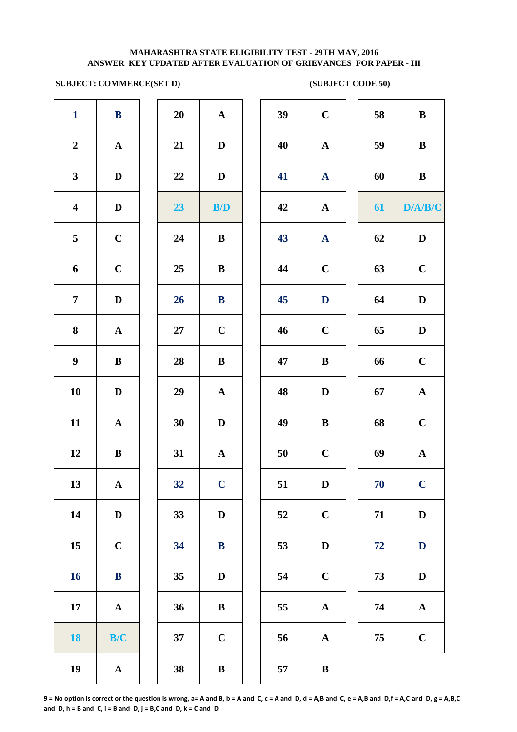### **SUBJECT: COMMERCE(SET D)** (SUBJECT CODE 50)

|                         |              | $\sim$ |                         |    |              |    |              |
|-------------------------|--------------|--------|-------------------------|----|--------------|----|--------------|
| $\mathbf{1}$            | $\bf{B}$     | 20     | $\mathbf{A}$            | 39 | $\mathbf C$  | 58 | $\bf{B}$     |
| $\overline{2}$          | ${\bf A}$    | 21     | $\mathbf{D}$            | 40 | ${\bf A}$    | 59 | $\, {\bf B}$ |
| $\mathbf{3}$            | $\mathbf D$  | 22     | $\mathbf D$             | 41 | $\mathbf{A}$ | 60 | $\, {\bf B}$ |
| $\overline{\mathbf{4}}$ | $\mathbf D$  | 23     | $\mathbf{B}/\mathbf{D}$ | 42 | ${\bf A}$    | 61 | D/A/B/C      |
| 5                       | $\mathbf C$  | 24     | $\bf{B}$                | 43 | $\mathbf{A}$ | 62 | $\mathbf D$  |
| 6                       | $\mathbf C$  | 25     | $\bf{B}$                | 44 | $\mathbf C$  | 63 | $\mathbf C$  |
| $\overline{7}$          | $\mathbf D$  | 26     | ${\bf B}$               | 45 | $\mathbf D$  | 64 | $\mathbf D$  |
| $\bf{8}$                | ${\bf A}$    | 27     | $\mathbf C$             | 46 | $\mathbf C$  | 65 | $\mathbf D$  |
| $\boldsymbol{9}$        | $\bf{B}$     | 28     | $\, {\bf B}$            | 47 | $\, {\bf B}$ | 66 | $\mathbf C$  |
| ${\bf 10}$              | $\mathbf D$  | 29     | ${\bf A}$               | 48 | $\mathbf D$  | 67 | ${\bf A}$    |
| 11                      | ${\bf A}$    | 30     | $\mathbf D$             | 49 | $\, {\bf B}$ | 68 | $\mathbf C$  |
| 12                      | $\, {\bf B}$ | 31     | ${\bf A}$               | 50 | $\mathbf C$  | 69 | $\mathbf{A}$ |
| 13                      | ${\bf A}$    | 32     | $\mathbf C$             | 51 | $\mathbf D$  | 70 | $\mathbf C$  |
| 14                      | $\mathbf D$  | 33     | $\mathbf D$             | 52 | $\mathbf C$  | 71 | $\mathbf D$  |
| 15                      | $\mathbf C$  | 34     | ${\bf B}$               | 53 | $\mathbf D$  | 72 | $\mathbf D$  |
| 16                      | ${\bf B}$    | 35     | $\mathbf D$             | 54 | $\mathbf C$  | 73 | $\mathbf D$  |
| $17\phantom{.}$         | ${\bf A}$    | 36     | $\, {\bf B}$            | 55 | $\mathbf A$  | 74 | ${\bf A}$    |
| 18                      | B/C          | 37     | $\mathbf C$             | 56 | $\mathbf A$  | 75 | $\mathbf C$  |
| 19                      | ${\bf A}$    | 38     | $\, {\bf B}$            | 57 | $\, {\bf B}$ |    |              |
|                         |              |        |                         |    |              |    |              |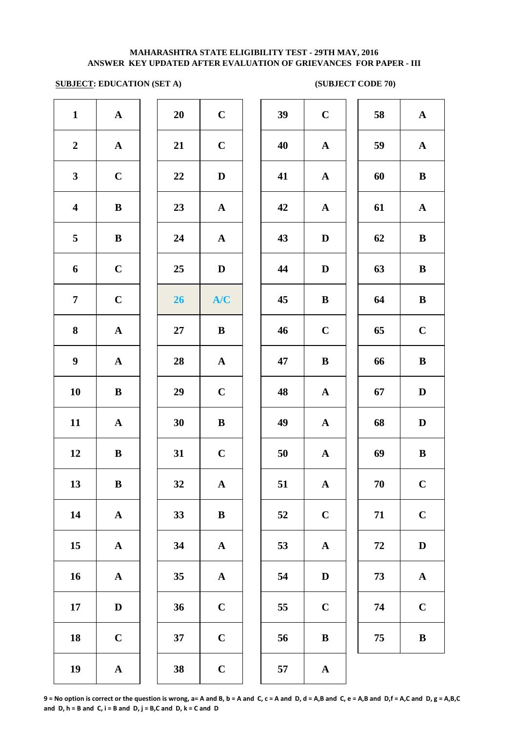# **SUBJECT: EDUCATION (SET A)** (SUBJECT CODE 70)

| $\mathbf{1}$            | ${\bf A}$             | 20     | $\mathbf C$  | 39 | $\mathbf C$  |
|-------------------------|-----------------------|--------|--------------|----|--------------|
| $\boldsymbol{2}$        | ${\bf A}$             | 21     | $\mathbf C$  | 40 | $\mathbf{A}$ |
| $\mathbf{3}$            | $\mathbf C$           | 22     | $\mathbf D$  | 41 | $\mathbf A$  |
| $\overline{\mathbf{4}}$ | $\, {\bf B}$          | 23     | ${\bf A}$    | 42 | $\mathbf A$  |
| 5                       | $\, {\bf B}$          | 24     | ${\bf A}$    | 43 | $\mathbf{D}$ |
| 6                       | $\mathbf C$           | 25     | $\mathbf D$  | 44 | $\mathbf{D}$ |
| $\overline{7}$          | $\mathbf C$           | 26     | A/C          | 45 | $\bf{B}$     |
| 8                       | $\boldsymbol{\rm{A}}$ | $27\,$ | $\bf{B}$     | 46 | $\mathbf C$  |
| $\boldsymbol{9}$        | ${\bf A}$             | 28     | ${\bf A}$    | 47 | $\bf{B}$     |
| 10                      | $\, {\bf B}$          | 29     | $\mathbf C$  | 48 | $\mathbf A$  |
| 11                      | ${\bf A}$             | 30     | $\, {\bf B}$ | 49 | $\mathbf{A}$ |
| 12                      | $\, {\bf B}$          | 31     | $\mathbf C$  | 50 | $\mathbf{A}$ |
| 13                      | $\bf{B}$              | 32     | ${\bf A}$    | 51 | $\mathbf A$  |
| 14                      | ${\bf A}$             | 33     | $\, {\bf B}$ | 52 | $\mathbf C$  |
| 15                      | ${\bf A}$             | 34     | $\mathbf A$  | 53 | $\mathbf A$  |
| 16                      | $\mathbf A$           | 35     | $\mathbf A$  | 54 | $\bf{D}$     |
| 17                      | $\mathbf D$           | 36     | $\mathbf C$  | 55 | $\mathbf C$  |
| 18                      | $\mathbf C$           | 37     | $\mathbf C$  | 56 | $\bf{B}$     |
| 19                      | $\boldsymbol{\rm{A}}$ | 38     | $\mathbf C$  | 57 | $\mathbf A$  |
|                         |                       |        |              |    |              |

| 20 | $\mathbf C$             |  |
|----|-------------------------|--|
| 21 | $\mathbf C$             |  |
| 22 | D                       |  |
| 23 | $\mathbf{A}$            |  |
| 24 | $\overline{\mathbf{A}}$ |  |
| 25 | D                       |  |
| 26 | A/C                     |  |
| 27 | B                       |  |
| 28 | $\mathbf A$             |  |
| 29 | $\mathbf C$             |  |
| 30 | B                       |  |
| 31 | $\overline{C}$          |  |
| 32 | $\mathbf A$             |  |
| 33 | B                       |  |
| 34 | $\overline{\mathbf{A}}$ |  |
| 35 | A                       |  |
| 36 | $\mathbf C$             |  |
| 37 | $\overline{\mathbf{C}}$ |  |
|    |                         |  |

| $\mathbf{1}$            | ${\bf A}$    | 20 | $\mathbf C$  | 39 | $\mathbf C$  | 58 | ${\bf A}$    |
|-------------------------|--------------|----|--------------|----|--------------|----|--------------|
| $\overline{2}$          | ${\bf A}$    | 21 | $\bf C$      | 40 | ${\bf A}$    | 59 | ${\bf A}$    |
| $\mathbf{3}$            | $\mathbf C$  | 22 | $\mathbf D$  | 41 | ${\bf A}$    | 60 | $\, {\bf B}$ |
| $\overline{\mathbf{4}}$ | $\, {\bf B}$ | 23 | ${\bf A}$    | 42 | ${\bf A}$    | 61 | ${\bf A}$    |
| $\overline{\mathbf{5}}$ | $\bf{B}$     | 24 | ${\bf A}$    | 43 | $\mathbf D$  | 62 | $\, {\bf B}$ |
| 6                       | $\mathbf C$  | 25 | $\mathbf{D}$ | 44 | D            | 63 | $\, {\bf B}$ |
| $\overline{7}$          | $\mathbf C$  | 26 | A/C          | 45 | $\, {\bf B}$ | 64 | $\bf{B}$     |
| 8                       | ${\bf A}$    | 27 | $\bf{B}$     | 46 | $\mathbf C$  | 65 | $\mathbf C$  |
| $\boldsymbol{9}$        | $\mathbf A$  | 28 | $\mathbf A$  | 47 | $\bf{B}$     | 66 | $\, {\bf B}$ |
| 10                      | $\bf{B}$     | 29 | $\mathbf C$  | 48 | $\mathbf{A}$ | 67 | $\mathbf D$  |
| 11                      | $\mathbf{A}$ | 30 | $\, {\bf B}$ | 49 | $\mathbf{A}$ | 68 | $\mathbf D$  |
| 12                      | $\bf{B}$     | 31 | $\mathbf C$  | 50 | ${\bf A}$    | 69 | $\, {\bf B}$ |
| 13                      | $\, {\bf B}$ | 32 | $\mathbf A$  | 51 | $\mathbf A$  | 70 | $\mathbf C$  |
| 14                      | ${\bf A}$    | 33 | $\bf{B}$     | 52 | $\mathbf C$  | 71 | $\mathbf C$  |
| 15                      | ${\bf A}$    | 34 | ${\bf A}$    | 53 | $\mathbf A$  | 72 | $\mathbf D$  |
| 16                      | ${\bf A}$    | 35 | ${\bf A}$    | 54 | $\mathbf D$  | 73 | ${\bf A}$    |
| 17                      | $\mathbf D$  | 36 | $\mathbf C$  | 55 | $\mathbf C$  | 74 | $\mathbf C$  |
| 18                      | $\mathbf C$  | 37 | $\mathbf C$  | 56 | $\, {\bf B}$ | 75 | $\, {\bf B}$ |
| 19                      | $\mathbf A$  | 38 | $\mathbf C$  | 57 | $\mathbf A$  |    |              |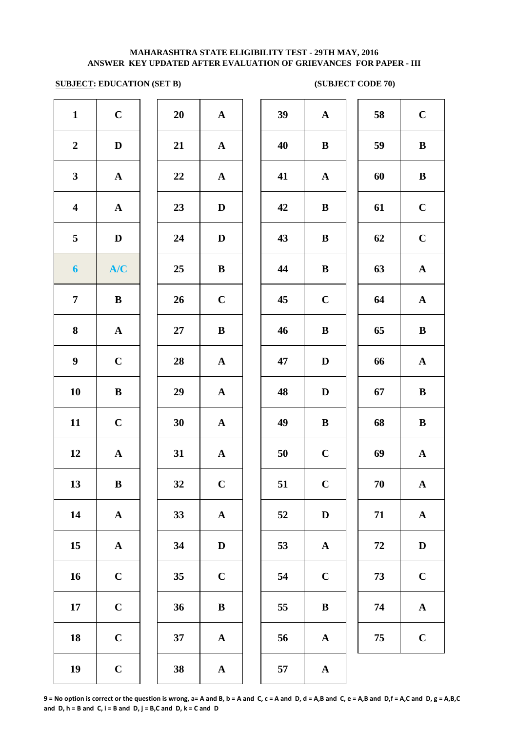## **SUBJECT: EDUCATION (SET B)** (SUBJECT CODE 70)

| $\mathbf{1}$            | $\mathbf C$           | 20 | $\mathbf A$           | 39 | $\mathbf A$  |
|-------------------------|-----------------------|----|-----------------------|----|--------------|
| $\boldsymbol{2}$        | $\mathbf D$           | 21 | ${\bf A}$             | 40 | $\bf{B}$     |
| $\mathbf{3}$            | ${\bf A}$             | 22 | ${\bf A}$             | 41 | $\mathbf A$  |
| $\overline{\mathbf{4}}$ | $\boldsymbol{\rm{A}}$ | 23 | $\mathbf D$           | 42 | $\bf{B}$     |
| 5                       | $\mathbf D$           | 24 | $\mathbf D$           | 43 | $\bf{B}$     |
| $\boldsymbol{6}$        | A/C                   | 25 | $\bf{B}$              | 44 | $\bf{B}$     |
| $\overline{7}$          | $\bf{B}$              | 26 | $\mathbf C$           | 45 | $\mathbf C$  |
| 8                       | $\boldsymbol{\rm{A}}$ | 27 | $\bf{B}$              | 46 | $\bf{B}$     |
| $\boldsymbol{9}$        | $\mathbf C$           | 28 | ${\bf A}$             | 47 | $\mathbf{D}$ |
| 10                      | $\, {\bf B}$          | 29 | $\mathbf A$           | 48 | $\mathbf{D}$ |
| 11                      | $\mathbf C$           | 30 | ${\bf A}$             | 49 | $\bf{B}$     |
| 12                      | $\boldsymbol{\rm{A}}$ | 31 | ${\bf A}$             | 50 | $\mathbf C$  |
| 13                      | $\bf{B}$              | 32 | $\mathbf C$           | 51 | $\mathbf C$  |
| 14                      | $\boldsymbol{\rm{A}}$ | 33 | $\boldsymbol{\rm{A}}$ | 52 | $\mathbf{D}$ |
| 15                      | $\boldsymbol{\rm{A}}$ | 34 | $\mathbf D$           | 53 | $\mathbf A$  |
| 16                      | $\mathbf C$           | 35 | $\mathbf C$           | 54 | $\mathbf C$  |
| 17                      | $\mathbf C$           | 36 | $\, {\bf B}$          | 55 | $\bf{B}$     |
| 18                      | $\mathbf C$           | 37 | $\boldsymbol{\rm{A}}$ | 56 | $\mathbf A$  |
| 19                      | $\mathbf C$           | 38 | $\boldsymbol{\rm{A}}$ | 57 | $\mathbf A$  |
|                         |                       |    |                       |    |              |

| 20 | A                       |  |
|----|-------------------------|--|
| 21 | $\mathbf A$             |  |
| 22 | $\overline{\mathbf{A}}$ |  |
| 23 | D                       |  |
| 24 | D                       |  |
| 25 | B                       |  |
| 26 | $\mathbf C$             |  |
| 27 | B                       |  |
| 28 | $\mathbf A$             |  |
| 29 | $\mathbf A$             |  |
| 30 | $\mathbf A$             |  |
| 31 | $\overline{\mathbf{A}}$ |  |
| 32 | $\mathbf C$             |  |
| 33 | $\mathbf A$             |  |
| 34 | D                       |  |
| 35 | $\mathbf C$             |  |
| 36 | B                       |  |
| 37 | A                       |  |
|    |                         |  |

| $\mathbf{1}$            | $\mathbf C$ | 20     | ${\bf A}$    | 39 | ${\bf A}$    | 58 | $\mathbf C$  |
|-------------------------|-------------|--------|--------------|----|--------------|----|--------------|
| $\overline{2}$          | $\mathbf D$ | 21     | ${\bf A}$    | 40 | $\bf{B}$     | 59 | $\, {\bf B}$ |
| $\mathbf{3}$            | ${\bf A}$   | $22\,$ | ${\bf A}$    | 41 | $\mathbf{A}$ | 60 | $\, {\bf B}$ |
| $\overline{\mathbf{4}}$ | ${\bf A}$   | 23     | $\mathbf D$  | 42 | $\bf{B}$     | 61 | $\mathbf C$  |
| $\overline{\mathbf{5}}$ | $\mathbf D$ | 24     | $\mathbf D$  | 43 | B            | 62 | $\mathbf C$  |
| $\boldsymbol{6}$        | A/C         | 25     | $\bf{B}$     | 44 | $\bf{B}$     | 63 | $\mathbf{A}$ |
| $\overline{7}$          | $\bf{B}$    | 26     | $\mathbf C$  | 45 | $\mathbf C$  | 64 | $\mathbf{A}$ |
| 8                       | $\mathbf A$ | 27     | $\bf{B}$     | 46 | $\bf{B}$     | 65 | $\bf{B}$     |
| $\boldsymbol{9}$        | $\mathbf C$ | 28     | $\mathbf A$  | 47 | D            | 66 | $\mathbf A$  |
| 10                      | $\bf{B}$    | 29     | $\mathbf{A}$ | 48 | $\mathbf D$  | 67 | $\bf{B}$     |
| 11                      | $\mathbf C$ | 30     | $\mathbf{A}$ | 49 | $\bf{B}$     | 68 | $\bf{B}$     |
| 12                      | ${\bf A}$   | 31     | ${\bf A}$    | 50 | $\mathbf C$  | 69 | $\mathbf{A}$ |
| 13                      | ${\bf B}$   | 32     | $\mathbf C$  | 51 | $\mathbf C$  | 70 | $\mathbf A$  |
| 14                      | ${\bf A}$   | 33     | $\mathbf{A}$ | 52 | $\mathbf{D}$ | 71 | ${\bf A}$    |
| 15                      | ${\bf A}$   | 34     | D            | 53 | $\mathbf{A}$ | 72 | D            |
| 16                      | $\mathbf C$ | 35     | $\mathbf C$  | 54 | $\mathbf C$  | 73 | $\mathbf C$  |
| 17                      | $\mathbf C$ | 36     | $\bf{B}$     | 55 | $\bf{B}$     | 74 | $\mathbf{A}$ |
| 18                      | $\mathbf C$ | 37     | $\mathbf{A}$ | 56 | $\mathbf A$  | 75 | $\mathbf C$  |
| 19                      | $\mathbf C$ | 38     | $\mathbf A$  | 57 | $\mathbf A$  |    |              |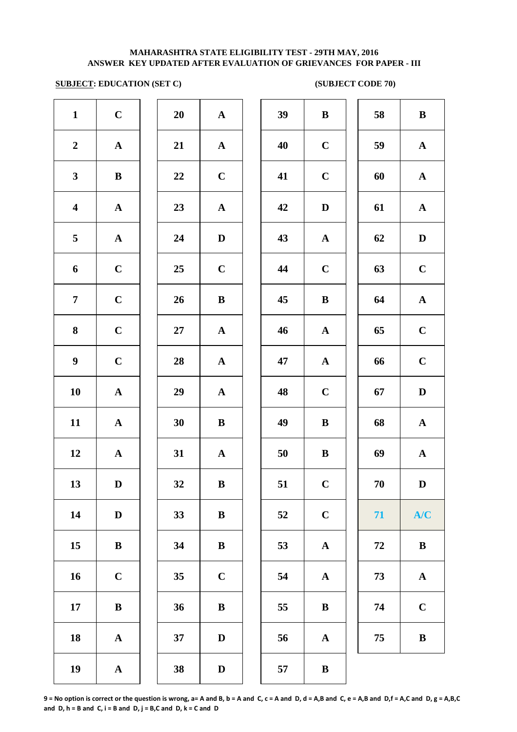# **SUBJECT: EDUCATION (SET C)** (SUBJECT CODE 70)

| $\mathbf{1}$            | $\mathbf C$           | 20     | ${\bf A}$             | 39 | $\bf{B}$                  |
|-------------------------|-----------------------|--------|-----------------------|----|---------------------------|
| $\boldsymbol{2}$        | $\mathbf A$           | 21     | $\mathbf A$           | 40 | $\mathbf C$               |
| $\mathbf{3}$            | $\, {\bf B}$          | 22     | $\mathbf C$           | 41 | $\mathbf C$               |
| $\overline{\mathbf{4}}$ | $\boldsymbol{\rm{A}}$ | 23     | $\boldsymbol{\rm{A}}$ | 42 | $\mathbf{D}$              |
| $\overline{\mathbf{5}}$ | $\boldsymbol{\rm{A}}$ | 24     | $\mathbf D$           | 43 | $\mathbf A$               |
| $\boldsymbol{6}$        | $\mathbf C$           | 25     | $\mathbf C$           | 44 | $\mathbf C$               |
| $\overline{7}$          | $\mathbf C$           | 26     | $\, {\bf B}$          | 45 | $\bf{B}$                  |
| $\boldsymbol{8}$        | $\mathbf C$           | $27\,$ | $\boldsymbol{\rm{A}}$ | 46 | $\boldsymbol{\mathsf{A}}$ |
| $\boldsymbol{9}$        | $\mathbf C$           | 28     | $\boldsymbol{\rm{A}}$ | 47 | $\mathbf A$               |
| 10                      | $\boldsymbol{\rm{A}}$ | 29     | $\boldsymbol{\rm{A}}$ | 48 | $\mathbf C$               |
| 11                      | ${\bf A}$             | 30     | $\, {\bf B}$          | 49 | $\bf{B}$                  |
| 12                      | $\boldsymbol{\rm{A}}$ | 31     | ${\bf A}$             | 50 | $\bf{B}$                  |
| 13                      | $\mathbf D$           | 32     | $\, {\bf B}$          | 51 | $\mathbf C$               |
| 14                      | $\mathbf D$           | 33     | $\bf{B}$              | 52 | $\mathbf C$               |
| 15                      | $\bf{B}$              | 34     | $\bf{B}$              | 53 | $\mathbf A$               |
| 16                      | $\mathbf C$           | 35     | $\mathbf C$           | 54 | $\mathbf A$               |
| 17                      | $\bf{B}$              | 36     | $\, {\bf B}$          | 55 | $\bf{B}$                  |
| 18                      | $\boldsymbol{\rm{A}}$ | 37     | $\mathbf D$           | 56 | $\mathbf A$               |
| 19                      | $\boldsymbol{\rm{A}}$ | 38     | $\mathbf D$           | 57 | $\bf{B}$                  |
|                         |                       |        |                       |    |                           |

| 20 | $\mathbf A$             |
|----|-------------------------|
| 21 | $\mathbf A$             |
| 22 | $\mathbf C$             |
| 23 | $\mathbf A$             |
| 24 | D                       |
| 25 | $\mathbf C$             |
| 26 | B                       |
| 27 | $\mathbf{A}$            |
| 28 | $\mathbf A$             |
| 29 | $\overline{\mathbf{A}}$ |
| 30 | B                       |
| 31 | $\mathbf A$             |
| 32 | B                       |
| 33 | B                       |
| 34 | B                       |
| 35 | $\mathbf C$             |
| 36 | B                       |
| 37 | $\mathbf D$             |
|    |                         |

| $\mathbf{1}$            | $\mathbf C$  | 20     | ${\bf A}$    | 39 | $\bf{B}$     | 58 | $\bf{B}$     |
|-------------------------|--------------|--------|--------------|----|--------------|----|--------------|
| $\overline{2}$          | ${\bf A}$    | 21     | ${\bf A}$    | 40 | $\mathbf C$  | 59 | ${\bf A}$    |
| $\mathbf{3}$            | ${\bf B}$    | 22     | $\mathbf C$  | 41 | $\mathbf C$  | 60 | ${\bf A}$    |
| $\overline{\mathbf{4}}$ | ${\bf A}$    | 23     | ${\bf A}$    | 42 | $\mathbf D$  | 61 | ${\bf A}$    |
| $\overline{5}$          | ${\bf A}$    | 24     | $\mathbf D$  | 43 | ${\bf A}$    | 62 | $\mathbf D$  |
| 6                       | $\mathbf C$  | 25     | $\mathbf C$  | 44 | $\mathbf C$  | 63 | $\mathbf C$  |
| $\overline{7}$          | $\mathbf C$  | 26     | $\, {\bf B}$ | 45 | $\, {\bf B}$ | 64 | ${\bf A}$    |
| 8                       | $\mathbf C$  | $27\,$ | ${\bf A}$    | 46 | ${\bf A}$    | 65 | $\mathbf C$  |
| $\boldsymbol{9}$        | $\mathbf C$  | 28     | ${\bf A}$    | 47 | ${\bf A}$    | 66 | $\mathbf C$  |
| 10                      | $\mathbf{A}$ | 29     | ${\bf A}$    | 48 | $\mathbf C$  | 67 | $\mathbf D$  |
| 11                      | $\mathbf{A}$ | 30     | $\bf{B}$     | 49 | $\bf{B}$     | 68 | ${\bf A}$    |
| 12                      | $\mathbf{A}$ | 31     | $\mathbf{A}$ | 50 | $\, {\bf B}$ | 69 | ${\bf A}$    |
| 13                      | D            | 32     | $\bf{B}$     | 51 | $\mathbf{C}$ | 70 | D            |
| 14                      | $\mathbf D$  | 33     | $\bf{B}$     | 52 | $\mathbf C$  | 71 | A/C          |
| 15                      | ${\bf B}$    | 34     | $\bf{B}$     | 53 | ${\bf A}$    | 72 | $\, {\bf B}$ |
| 16                      | $\mathbf C$  | 35     | $\mathbf C$  | 54 | ${\bf A}$    | 73 | ${\bf A}$    |
| 17                      | $\, {\bf B}$ | 36     | $\, {\bf B}$ | 55 | $\bf{B}$     | 74 | $\mathbf C$  |
| 18                      | ${\bf A}$    | 37     | $\mathbf{D}$ | 56 | $\mathbf{A}$ | 75 | $\bf{B}$     |
| 19                      | $\mathbf{A}$ | 38     | D            | 57 | $\bf{B}$     |    |              |